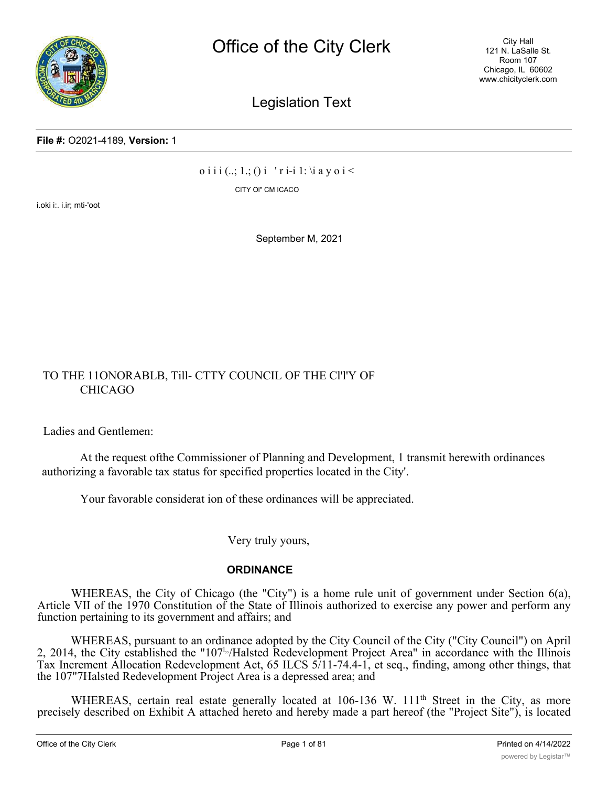

City Hall 121 N. LaSalle St. Room 107 Chicago, IL 60602 www.chicityclerk.com

# Legislation Text

**File #:** O2021-4189, **Version:** 1

 $o$  i i i  $(.,; 1.; ()$  i ' r i-i 1: \i a y o i <

CITY Ol" CM ICACO

i.oki i:. i.ir; mti-'oot

September M, 2021

### TO THE 11ONORABLB, Till- CTTY COUNCIL OF THE Cl'l'Y OF CHICAGO

Ladies and Gentlemen:

At the request ofthe Commissioner of Planning and Development, 1 transmit herewith ordinances authorizing a favorable tax status for specified properties located in the City'.

Your favorable considerat ion of these ordinances will be appreciated.

Very truly yours,

#### **ORDINANCE**

WHEREAS, the City of Chicago (the "City") is a home rule unit of government under Section 6(a), Article VII of the 1970 Constitution of the State of Illinois authorized to exercise any power and perform any function pertaining to its government and affairs; and

WHEREAS, pursuant to an ordinance adopted by the City Council of the City ("City Council") on April 2, 2014, the City established the "107<sup>1</sup><sub>"</sub>/Halsted Redevelopment Project Area" in accordance with the Illinois Tax Increment Allocation Redevelopment Act, 65 ILCS 5/11-74.4-1, et seq., finding, among other things, that the 107"7Halsted Redevelopment Project Area is a depressed area; and

WHEREAS, certain real estate generally located at 106-136 W. 111<sup>th</sup> Street in the City, as more precisely described on Exhibit A attached hereto and hereby made a part hereof (the "Project Site"), is located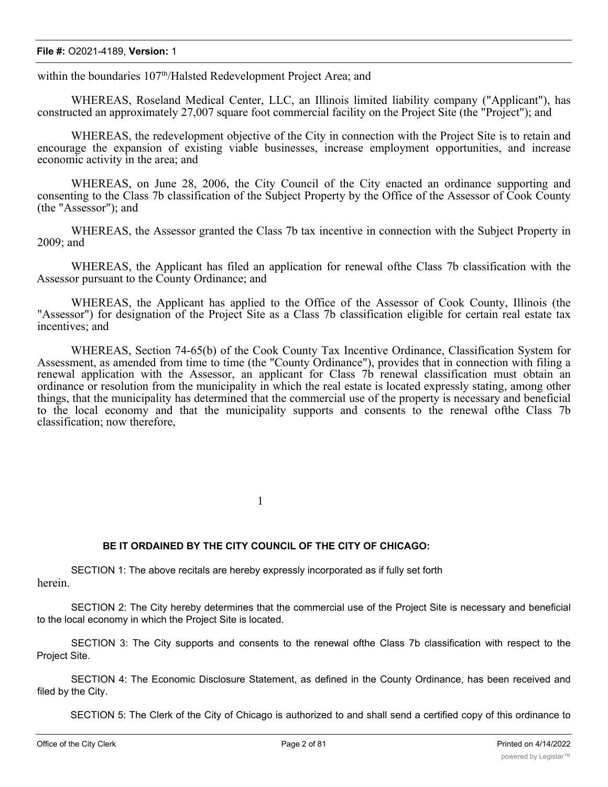#### **File #:** O2021-4189, **Version:** 1

within the boundaries 107<sup>th</sup>/Halsted Redevelopment Project Area; and

WHEREAS, Roseland Medical Center, LLC, an Illinois limited liability company ("Applicant"), has constructed an approximately 27,007 square foot commercial facility on the Project Site (the "Project"); and

WHEREAS, the redevelopment objective of the City in connection with the Project Site is to retain and encourage the expansion of existing viable businesses, increase employment opportunities, and increase economic activity in the area; and

WHEREAS, on June 28, 2006, the City Council of the City enacted an ordinance supporting and consenting to the Class 7b classification of the Subject Property by the Office of the Assessor of Cook County (the "Assessor"); and

WHEREAS, the Assessor granted the Class 7b tax incentive in connection with the Subject Property in 2009; and

WHEREAS, the Applicant has filed an application for renewal ofthe Class 7b classification with the Assessor pursuant to the County Ordinance; and

WHEREAS, the Applicant has applied to the Office of the Assessor of Cook County, Illinois (the "Assessor") for designation of the Project Site as a Class 7b classification eligible for certain real estate tax incentives; and

WHEREAS, Section 74-65(b) of the Cook County Tax Incentive Ordinance, Classification System for Assessment, as amended from time to time (the "County Ordinance"), provides that in connection with filing a renewal application with the Assessor, an applicant for Class 7b renewal classification must obtain an ordinance or resolution from the municipality in which the real estate is located expressly stating, among other things, that the municipality has determined that the commercial use of the property is necessary and beneficial to the local economy and that the municipality supports and consents to the renewal ofthe Class 7b classification; now therefore,

1

#### **BE IT ORDAINED BY THE CITY COUNCIL OF THE CITY OF CHICAGO:**

SECTION 1: The above recitals are hereby expressly incorporated as if fully set forth herein.

SECTION 2: The City hereby determines that the commercial use of the Project Site is necessary and beneficial to the local economy in which the Project Site is located.

SECTION 3: The City supports and consents to the renewal ofthe Class 7b classification with respect to the Project Site.

SECTION 4: The Economic Disclosure Statement, as defined in the County Ordinance, has been received and filed by the City.

SECTION 5: The Clerk of the City of Chicago is authorized to and shall send a certified copy of this ordinance to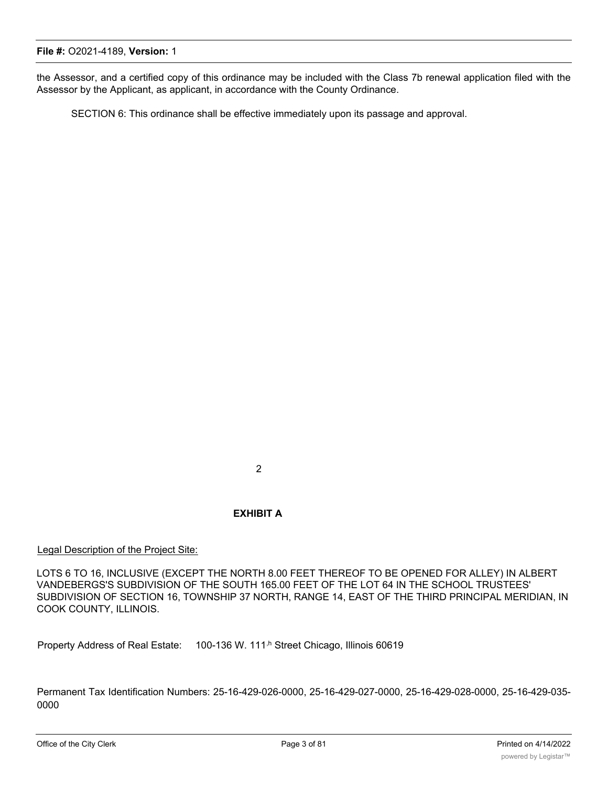the Assessor, and a certified copy of this ordinance may be included with the Class 7b renewal application filed with the Assessor by the Applicant, as applicant, in accordance with the County Ordinance.

SECTION 6: This ordinance shall be effective immediately upon its passage and approval.

2

#### **EXHIBIT A**

Legal Description of the Project Site:

LOTS 6 TO 16, INCLUSIVE (EXCEPT THE NORTH 8.00 FEET THEREOF TO BE OPENED FOR ALLEY) IN ALBERT VANDEBERGS'S SUBDIVISION OF THE SOUTH 165.00 FEET OF THE LOT 64 IN THE SCHOOL TRUSTEES' SUBDIVISION OF SECTION 16, TOWNSHIP 37 NORTH, RANGE 14, EAST OF THE THIRD PRINCIPAL MERIDIAN, IN COOK COUNTY, ILLINOIS.

Property Address of Real Estate: 100-136 W. 111<sup>,h</sup> Street Chicago, Illinois 60619

Permanent Tax Identification Numbers: 25-16-429-026-0000, 25-16-429-027-0000, 25-16-429-028-0000, 25-16-429-035- 0000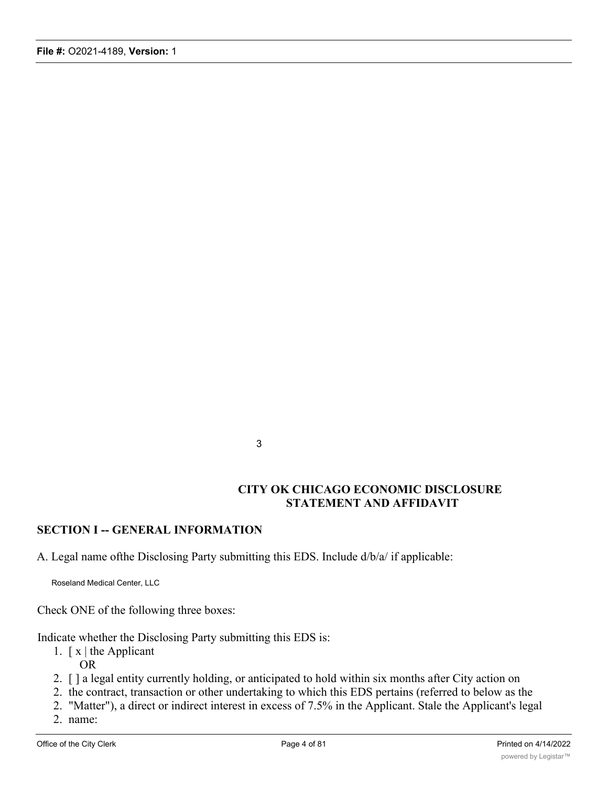3

### **CITY OK CHICAGO ECONOMIC DISCLOSURE STATEMENT AND AFFIDAVIT**

### **SECTION I -- GENERAL INFORMATION**

A. Legal name ofthe Disclosing Party submitting this EDS. Include d/b/a/ if applicable:

Roseland Medical Center, LLC

Check ONE of the following three boxes:

Indicate whether the Disclosing Party submitting this EDS is:

- 1.  $\lceil x \rceil$  the Applicant OR
- 2. [ ] a legal entity currently holding, or anticipated to hold within six months after City action on
- 2. the contract, transaction or other undertaking to which this EDS pertains (referred to below as the
- 2. "Matter"), a direct or indirect interest in excess of 7.5% in the Applicant. Stale the Applicant's legal
- 2. name: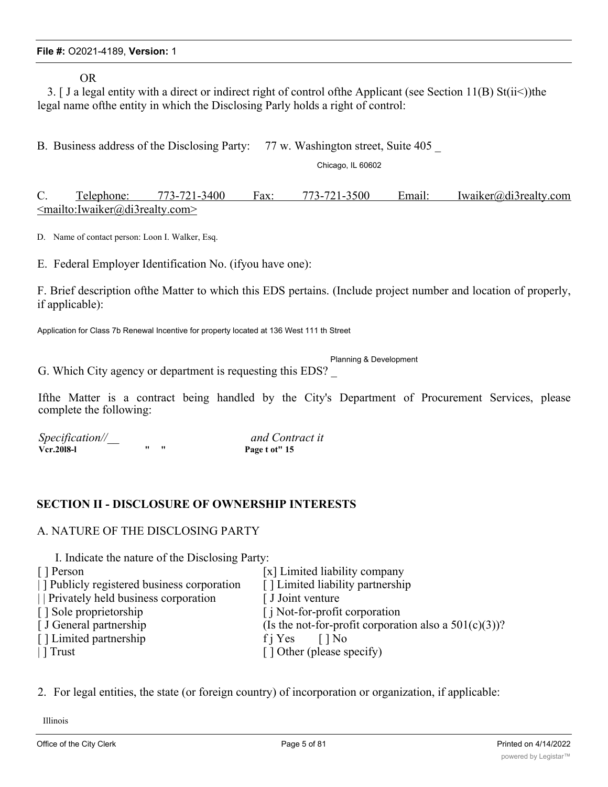OR

3. [ J a legal entity with a direct or indirect right of control ofthe Applicant (see Section 11(B) St(ii<))the legal name ofthe entity in which the Disclosing Parly holds a right of control:

B. Business address of the Disclosing Party: 77 w. Washington street, Suite 405

Chicago, IL 60602

C. Telephone: 773-721-3400 Fax: 773-721-3500 Email: Iwaiker@di3realty.com <mailto:Iwaiker@di3realty.com>

D. Name of contact person: Loon I. Walker, Esq.

E. Federal Employer Identification No. (ifyou have one):

F. Brief description ofthe Matter to which this EDS pertains. (Include project number and location of properly, if applicable):

Application for Class 7b Renewal Incentive for property located at 136 West 111 th Street

Planning & Development

G. Which City agency or department is requesting this EDS? \_

Ifthe Matter is a contract being handled by the City's Department of Procurement Services, please complete the following:

*Specification//\_\_ and Contract it*

**Page t ot" 15** 

### **SECTION II - DISCLOSURE OF OWNERSHIP INTERESTS**

#### A. NATURE OF THE DISCLOSING PARTY

I. Indicate the nature of the Disclosing Party:

| [ ] Person                               | [x] Limited liability company                            |
|------------------------------------------|----------------------------------------------------------|
| Publicly registered business corporation | [] Limited liability partnership                         |
| Privately held business corporation      | [ J Joint venture                                        |
| [] Sole proprietorship                   | [ <i>i</i> Not-for-profit corporation                    |
| [ J General partnership                  | (Is the not-for-profit corporation also a $501(c)(3)$ )? |
| [] Limited partnership                   | f j Yes<br>$\Box$ No                                     |
| $\Gamma$ Trust                           | [] Other (please specify)                                |
|                                          |                                                          |

2. For legal entities, the state (or foreign country) of incorporation or organization, if applicable:

Illinois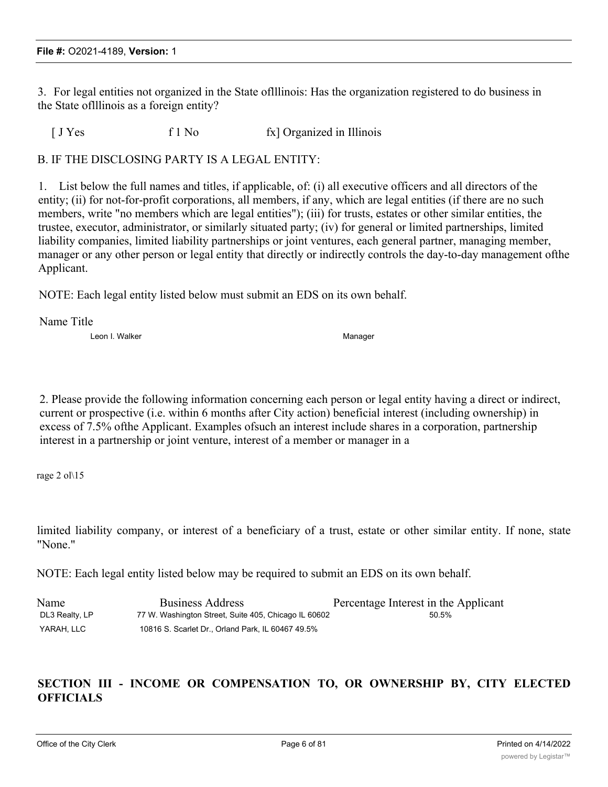3. For legal entities not organized in the State oflllinois: Has the organization registered to do business in the State oflllinois as a foreign entity?

[ J Yes f 1 No fx] Organized in Illinois

B. IF THE DISCLOSING PARTY IS A LEGAL ENTITY:

1. List below the full names and titles, if applicable, of: (i) all executive officers and all directors of the entity; (ii) for not-for-profit corporations, all members, if any, which are legal entities (if there are no such members, write "no members which are legal entities"); (iii) for trusts, estates or other similar entities, the trustee, executor, administrator, or similarly situated party; (iv) for general or limited partnerships, limited liability companies, limited liability partnerships or joint ventures, each general partner, managing member, manager or any other person or legal entity that directly or indirectly controls the day-to-day management ofthe Applicant.

NOTE: Each legal entity listed below must submit an EDS on its own behalf.

Name Title

Leon I. Walker Manager Manager Manager Manager Manager

2. Please provide the following information concerning each person or legal entity having a direct or indirect, current or prospective (i.e. within 6 months after City action) beneficial interest (including ownership) in excess of 7.5% ofthe Applicant. Examples ofsuch an interest include shares in a corporation, partnership interest in a partnership or joint venture, interest of a member or manager in a

rage 2 ol\15

limited liability company, or interest of a beneficiary of a trust, estate or other similar entity. If none, state "None."

NOTE: Each legal entity listed below may be required to submit an EDS on its own behalf.

| Name           | <b>Business Address</b>                              | Percentage Interest in the Applicant |
|----------------|------------------------------------------------------|--------------------------------------|
| DL3 Realty, LP | 77 W. Washington Street, Suite 405, Chicago IL 60602 | 50.5%                                |
| YARAH. LLC     | 10816 S. Scarlet Dr., Orland Park, IL 60467 49.5%    |                                      |

# **SECTION III - INCOME OR COMPENSATION TO, OR OWNERSHIP BY, CITY ELECTED OFFICIALS**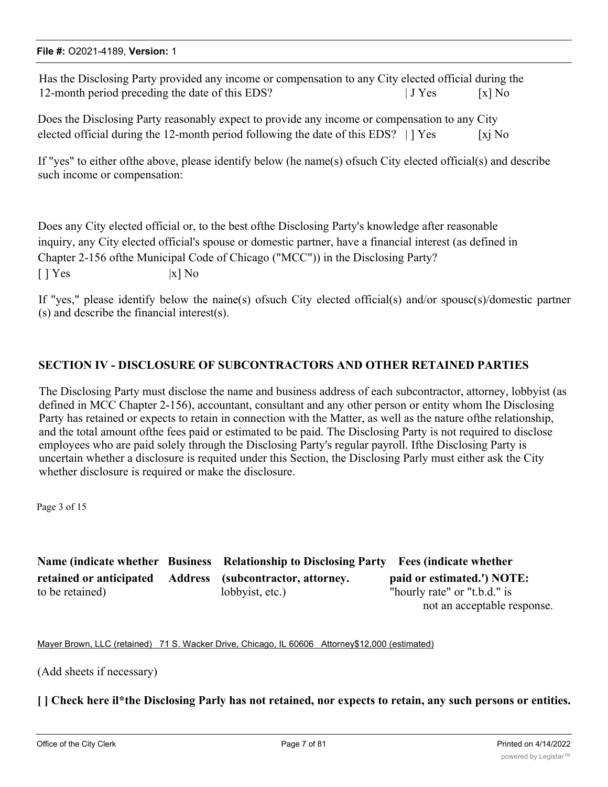#### **File #:** O2021-4189, **Version:** 1

Has the Disclosing Party provided any income or compensation to any City elected official during the 12-month period preceding the date of this EDS? | J Yes [x] No

Does the Disclosing Party reasonably expect to provide any income or compensation to any City elected official during the 12-month period following the date of this EDS?  $| \cdot |$  Yes [xj No

If "yes" to either ofthe above, please identify below (he name(s) ofsuch City elected official(s) and describe such income or compensation:

Does any City elected official or, to the best ofthe Disclosing Party's knowledge after reasonable inquiry, any City elected official's spouse or domestic partner, have a financial interest (as defined in Chapter 2-156 ofthe Municipal Code of Chicago ("MCC")) in the Disclosing Party?  $[ ] Yes$  |x] No

If "yes," please identify below the naine(s) ofsuch City elected official(s) and/or spousc(s)/domestic partner (s) and describe the financial interest(s).

### **SECTION IV - DISCLOSURE OF SUBCONTRACTORS AND OTHER RETAINED PARTIES**

The Disclosing Party must disclose the name and business address of each subcontractor, attorney, lobbyist (as defined in MCC Chapter 2-156), accountant, consultant and any other person or entity whom Ihe Disclosing Party has retained or expects to retain in connection with the Matter, as well as the nature ofthe relationship, and the total amount ofthe fees paid or estimated to be paid. The Disclosing Party is not required to disclose employees who are paid solely through the Disclosing Party's regular payroll. Ifthe Disclosing Party is uncertain whether a disclosure is requited under this Section, the Disclosing Parly must either ask the City whether disclosure is required or make the disclosure.

Page 3 of 15

**Name (indicate whether Business Relationship to Disclosing Party Fees (indicate whether retained or anticipated Address (subcontractor, attorney. paid or estimated.') NOTE:** to be retained) lobbyist, etc.) "hourly rate" or "t.b.d." is not an acceptable response.

Mayer Brown, LLC (retained) 71 S. Wacker Drive, Chicago, IL 60606 Attorney\$12,000 (estimated)

(Add sheets if necessary)

[ ] Check here il\*the Disclosing Parly has not retained, nor expects to retain, any such persons or entities.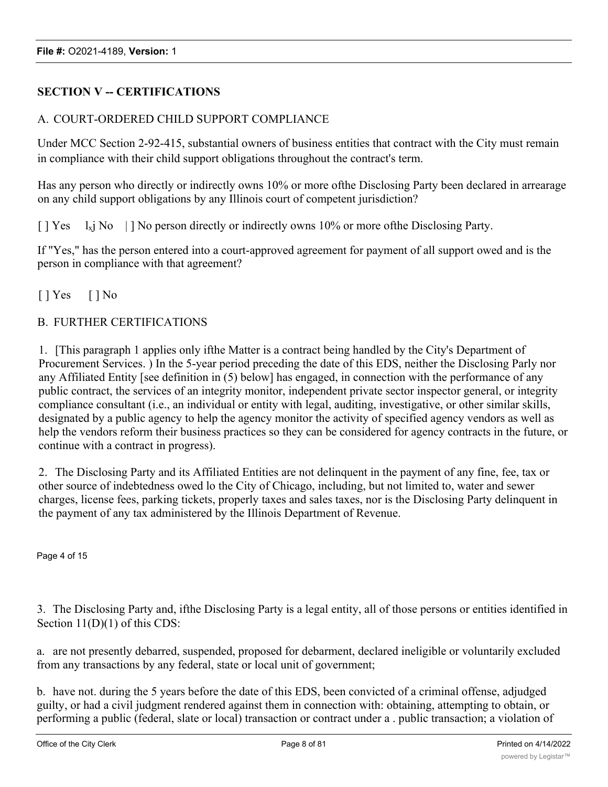# **SECTION V -- CERTIFICATIONS**

### A. COURT-ORDERED CHILD SUPPORT COMPLIANCE

Under MCC Section 2-92-415, substantial owners of business entities that contract with the City must remain in compliance with their child support obligations throughout the contract's term.

Has any person who directly or indirectly owns 10% or more ofthe Disclosing Party been declared in arrearage on any child support obligations by any Illinois court of competent jurisdiction?

 $[$  | Yes  $1_x$  No  $|$  | No person directly or indirectly owns 10% or more of the Disclosing Party.

If "Yes," has the person entered into a court-approved agreement for payment of all support owed and is the person in compliance with that agreement?

 $[$  | Yes  $[$  | No

### B. FURTHER CERTIFICATIONS

1. [This paragraph 1 applies only ifthe Matter is a contract being handled by the City's Department of Procurement Services. ) In the 5-year period preceding the date of this EDS, neither the Disclosing Parly nor any Affiliated Entity [see definition in (5) below] has engaged, in connection with the performance of any public contract, the services of an integrity monitor, independent private sector inspector general, or integrity compliance consultant (i.e., an individual or entity with legal, auditing, investigative, or other similar skills, designated by a public agency to help the agency monitor the activity of specified agency vendors as well as help the vendors reform their business practices so they can be considered for agency contracts in the future, or continue with a contract in progress).

2. The Disclosing Party and its Affiliated Entities are not delinquent in the payment of any fine, fee, tax or other source of indebtedness owed lo the City of Chicago, including, but not limited to, water and sewer charges, license fees, parking tickets, properly taxes and sales taxes, nor is the Disclosing Party delinquent in the payment of any tax administered by the Illinois Department of Revenue.

Page 4 of 15

3. The Disclosing Party and, ifthe Disclosing Party is a legal entity, all of those persons or entities identified in Section 11(D)(1) of this CDS:

a. are not presently debarred, suspended, proposed for debarment, declared ineligible or voluntarily excluded from any transactions by any federal, state or local unit of government;

b. have not. during the 5 years before the date of this EDS, been convicted of a criminal offense, adjudged guilty, or had a civil judgment rendered against them in connection with: obtaining, attempting to obtain, or performing a public (federal, slate or local) transaction or contract under a . public transaction; a violation of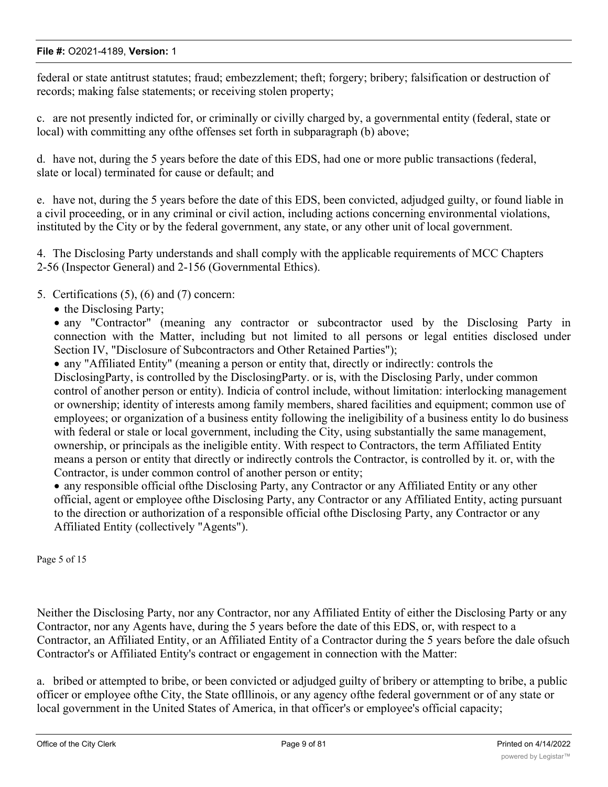federal or state antitrust statutes; fraud; embezzlement; theft; forgery; bribery; falsification or destruction of records; making false statements; or receiving stolen property;

c. are not presently indicted for, or criminally or civilly charged by, a governmental entity (federal, state or local) with committing any ofthe offenses set forth in subparagraph (b) above;

d. have not, during the 5 years before the date of this EDS, had one or more public transactions (federal, slate or local) terminated for cause or default; and

e. have not, during the 5 years before the date of this EDS, been convicted, adjudged guilty, or found liable in a civil proceeding, or in any criminal or civil action, including actions concerning environmental violations, instituted by the City or by the federal government, any state, or any other unit of local government.

4. The Disclosing Party understands and shall comply with the applicable requirements of MCC Chapters 2-56 (Inspector General) and 2-156 (Governmental Ethics).

5. Certifications (5), (6) and (7) concern:

• the Disclosing Party;

• any "Contractor" (meaning any contractor or subcontractor used by the Disclosing Party in connection with the Matter, including but not limited to all persons or legal entities disclosed under Section IV, "Disclosure of Subcontractors and Other Retained Parties");

· any "Affiliated Entity" (meaning a person or entity that, directly or indirectly: controls the DisclosingParty, is controlled by the DisclosingParty. or is, with the Disclosing Parly, under common control of another person or entity). Indicia of control include, without limitation: interlocking management or ownership; identity of interests among family members, shared facilities and equipment; common use of employees; or organization of a business entity following the ineligibility of a business entity lo do business with federal or stale or local government, including the City, using substantially the same management, ownership, or principals as the ineligible entity. With respect to Contractors, the term Affiliated Entity means a person or entity that directly or indirectly controls the Contractor, is controlled by it. or, with the Contractor, is under common control of another person or entity;

· any responsible official ofthe Disclosing Party, any Contractor or any Affiliated Entity or any other official, agent or employee ofthe Disclosing Party, any Contractor or any Affiliated Entity, acting pursuant to the direction or authorization of a responsible official ofthe Disclosing Party, any Contractor or any Affiliated Entity (collectively "Agents").

Page 5 of 15

Neither the Disclosing Party, nor any Contractor, nor any Affiliated Entity of either the Disclosing Party or any Contractor, nor any Agents have, during the 5 years before the date of this EDS, or, with respect to a Contractor, an Affiliated Entity, or an Affiliated Entity of a Contractor during the 5 years before the dale ofsuch Contractor's or Affiliated Entity's contract or engagement in connection with the Matter:

a. bribed or attempted to bribe, or been convicted or adjudged guilty of bribery or attempting to bribe, a public officer or employee ofthe City, the State oflllinois, or any agency ofthe federal government or of any state or local government in the United States of America, in that officer's or employee's official capacity;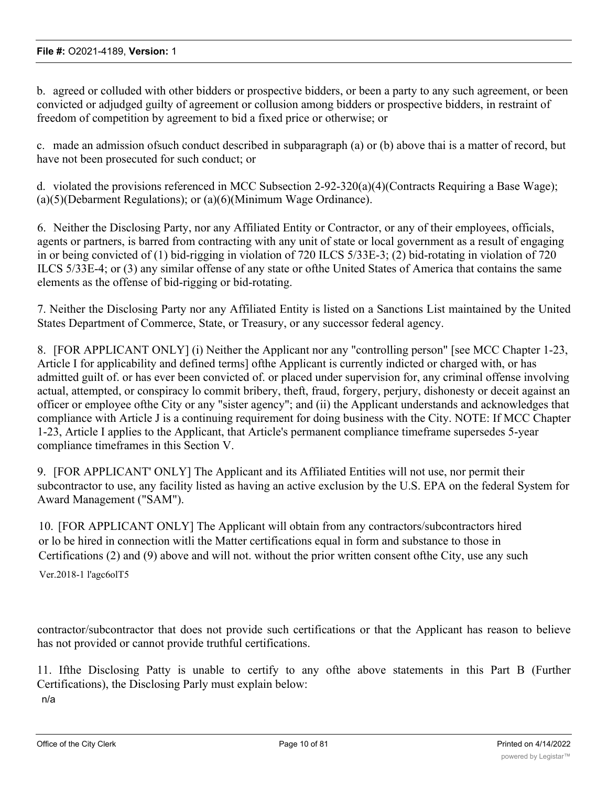b. agreed or colluded with other bidders or prospective bidders, or been a party to any such agreement, or been convicted or adjudged guilty of agreement or collusion among bidders or prospective bidders, in restraint of freedom of competition by agreement to bid a fixed price or otherwise; or

c. made an admission ofsuch conduct described in subparagraph (a) or (b) above thai is a matter of record, but have not been prosecuted for such conduct; or

d. violated the provisions referenced in MCC Subsection 2-92-320(a)(4)(Contracts Requiring a Base Wage); (a)(5)(Debarment Regulations); or (a)(6)(Minimum Wage Ordinance).

6. Neither the Disclosing Party, nor any Affiliated Entity or Contractor, or any of their employees, officials, agents or partners, is barred from contracting with any unit of state or local government as a result of engaging in or being convicted of (1) bid-rigging in violation of 720 ILCS 5/33E-3; (2) bid-rotating in violation of 720 ILCS 5/33E-4; or (3) any similar offense of any state or ofthe United States of America that contains the same elements as the offense of bid-rigging or bid-rotating.

7. Neither the Disclosing Party nor any Affiliated Entity is listed on a Sanctions List maintained by the United States Department of Commerce, State, or Treasury, or any successor federal agency.

8. [FOR APPLICANT ONLY] (i) Neither the Applicant nor any "controlling person" [see MCC Chapter 1-23, Article I for applicability and defined terms] ofthe Applicant is currently indicted or charged with, or has admitted guilt of. or has ever been convicted of. or placed under supervision for, any criminal offense involving actual, attempted, or conspiracy lo commit bribery, theft, fraud, forgery, perjury, dishonesty or deceit against an officer or employee ofthe City or any "sister agency"; and (ii) the Applicant understands and acknowledges that compliance with Article J is a continuing requirement for doing business with the City. NOTE: If MCC Chapter 1-23, Article I applies to the Applicant, that Article's permanent compliance timeframe supersedes 5-year compliance timeframes in this Section V.

9. [FOR APPLICANT' ONLY] The Applicant and its Affiliated Entities will not use, nor permit their subcontractor to use, any facility listed as having an active exclusion by the U.S. EPA on the federal System for Award Management ("SAM").

10. [FOR APPLICANT ONLY] The Applicant will obtain from any contractors/subcontractors hired or lo be hired in connection witli the Matter certifications equal in form and substance to those in Certifications (2) and (9) above and will not. without the prior written consent ofthe City, use any such

Ver.2018-1 l'agc6olT5

contractor/subcontractor that does not provide such certifications or that the Applicant has reason to believe has not provided or cannot provide truthful certifications.

11. Ifthe Disclosing Patty is unable to certify to any ofthe above statements in this Part B (Further Certifications), the Disclosing Parly must explain below: n/a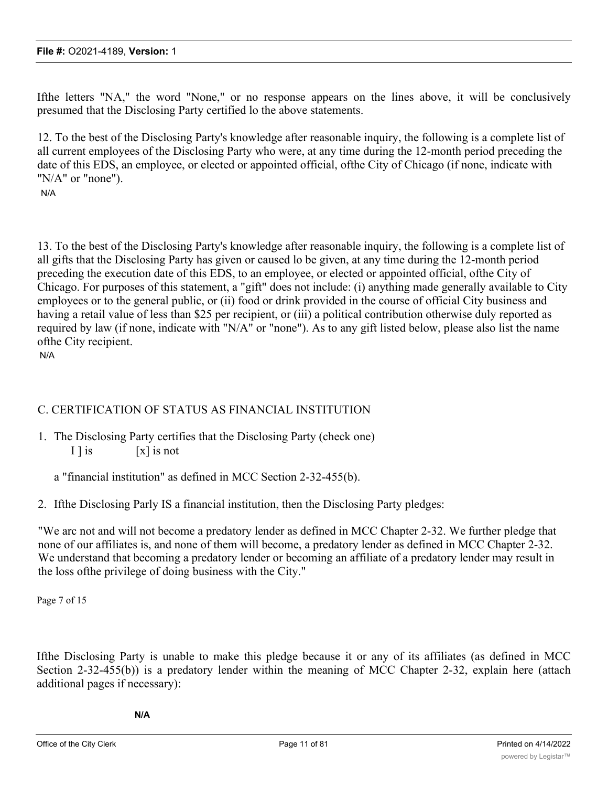Ifthe letters "NA," the word "None," or no response appears on the lines above, it will be conclusively presumed that the Disclosing Party certified lo the above statements.

12. To the best of the Disclosing Party's knowledge after reasonable inquiry, the following is a complete list of all current employees of the Disclosing Party who were, at any time during the 12-month period preceding the date of this EDS, an employee, or elected or appointed official, ofthe City of Chicago (if none, indicate with "N/A" or "none").

N/A

13. To the best of the Disclosing Party's knowledge after reasonable inquiry, the following is a complete list of all gifts that the Disclosing Party has given or caused lo be given, at any time during the 12-month period preceding the execution date of this EDS, to an employee, or elected or appointed official, ofthe City of Chicago. For purposes of this statement, a "gift" does not include: (i) anything made generally available to City employees or to the general public, or (ii) food or drink provided in the course of official City business and having a retail value of less than \$25 per recipient, or (iii) a political contribution otherwise duly reported as required by law (if none, indicate with "N/A" or "none"). As to any gift listed below, please also list the name ofthe City recipient.

N/A

# C. CERTIFICATION OF STATUS AS FINANCIAL INSTITUTION

1. The Disclosing Party certifies that the Disclosing Party (check one) I l is [x] is not

a "financial institution" as defined in MCC Section 2-32-455(b).

2. Ifthe Disclosing Parly IS a financial institution, then the Disclosing Party pledges:

"We arc not and will not become a predatory lender as defined in MCC Chapter 2-32. We further pledge that none of our affiliates is, and none of them will become, a predatory lender as defined in MCC Chapter 2-32. We understand that becoming a predatory lender or becoming an affiliate of a predatory lender may result in the loss ofthe privilege of doing business with the City."

Page 7 of 15

Ifthe Disclosing Party is unable to make this pledge because it or any of its affiliates (as defined in MCC Section 2-32-455(b)) is a predatory lender within the meaning of MCC Chapter 2-32, explain here (attach additional pages if necessary):

**N/A**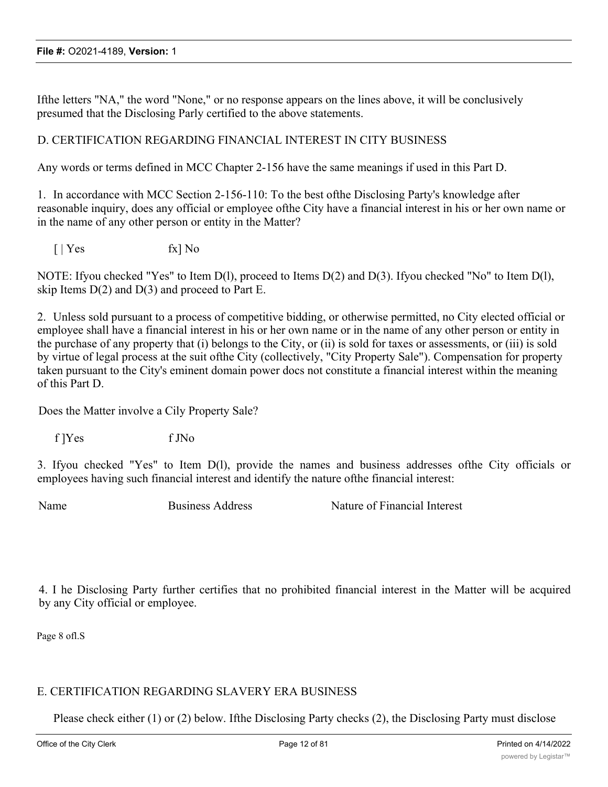Ifthe letters "NA," the word "None," or no response appears on the lines above, it will be conclusively presumed that the Disclosing Parly certified to the above statements.

### D. CERTIFICATION REGARDING FINANCIAL INTEREST IN CITY BUSINESS

Any words or terms defined in MCC Chapter 2-156 have the same meanings if used in this Part D.

1. In accordance with MCC Section 2-156-110: To the best ofthe Disclosing Party's knowledge after reasonable inquiry, does any official or employee ofthe City have a financial interest in his or her own name or in the name of any other person or entity in the Matter?

 $\lceil \cdot \rceil$  Yes fx  $\lceil \cdot \rceil$  No

NOTE: Ifyou checked "Yes" to Item D(l), proceed to Items D(2) and D(3). Ifyou checked "No" to Item D(l), skip Items  $D(2)$  and  $D(3)$  and proceed to Part E.

2. Unless sold pursuant to a process of competitive bidding, or otherwise permitted, no City elected official or employee shall have a financial interest in his or her own name or in the name of any other person or entity in the purchase of any property that (i) belongs to the City, or (ii) is sold for taxes or assessments, or (iii) is sold by virtue of legal process at the suit ofthe City (collectively, "City Property Sale"). Compensation for property taken pursuant to the City's eminent domain power docs not constitute a financial interest within the meaning of this Part D.

Does the Matter involve a Cily Property Sale?

f ]Yes f JNo

3. Ifyou checked "Yes" to Item D(l), provide the names and business addresses ofthe City officials or employees having such financial interest and identify the nature ofthe financial interest:

Name Business Address Nature of Financial Interest

4. I he Disclosing Party further certifies that no prohibited financial interest in the Matter will be acquired by any City official or employee.

Page 8 ofl.S

### E. CERTIFICATION REGARDING SLAVERY ERA BUSINESS

Please check either (1) or (2) below. Ifthe Disclosing Party checks (2), the Disclosing Party must disclose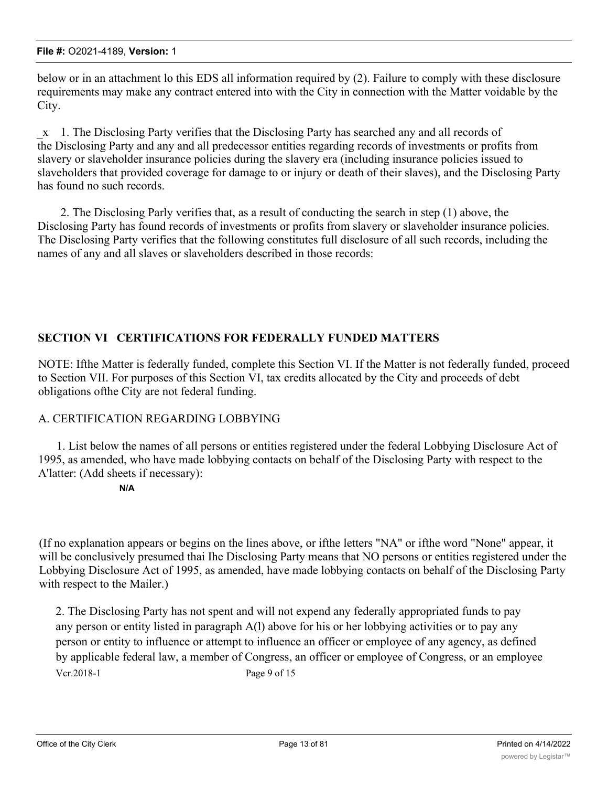below or in an attachment lo this EDS all information required by (2). Failure to comply with these disclosure requirements may make any contract entered into with the City in connection with the Matter voidable by the City.

\_x 1. The Disclosing Party verifies that the Disclosing Party has searched any and all records of the Disclosing Party and any and all predecessor entities regarding records of investments or profits from slavery or slaveholder insurance policies during the slavery era (including insurance policies issued to slaveholders that provided coverage for damage to or injury or death of their slaves), and the Disclosing Party has found no such records.

2. The Disclosing Parly verifies that, as a result of conducting the search in step (1) above, the Disclosing Party has found records of investments or profits from slavery or slaveholder insurance policies. The Disclosing Party verifies that the following constitutes full disclosure of all such records, including the names of any and all slaves or slaveholders described in those records:

# **SECTION VI CERTIFICATIONS FOR FEDERALLY FUNDED MATTERS**

NOTE: Ifthe Matter is federally funded, complete this Section VI. If the Matter is not federally funded, proceed to Section VII. For purposes of this Section VI, tax credits allocated by the City and proceeds of debt obligations ofthe City are not federal funding.

### A. CERTIFICATION REGARDING LOBBYING

1. List below the names of all persons or entities registered under the federal Lobbying Disclosure Act of 1995, as amended, who have made lobbying contacts on behalf of the Disclosing Party with respect to the A'latter: (Add sheets if necessary):

#### **N/A**

(If no explanation appears or begins on the lines above, or ifthe letters "NA" or ifthe word "None" appear, it will be conclusively presumed thai Ihe Disclosing Party means that NO persons or entities registered under the Lobbying Disclosure Act of 1995, as amended, have made lobbying contacts on behalf of the Disclosing Party with respect to the Mailer.)

2. The Disclosing Party has not spent and will not expend any federally appropriated funds to pay any person or entity listed in paragraph A(l) above for his or her lobbying activities or to pay any person or entity to influence or attempt to influence an officer or employee of any agency, as defined by applicable federal law, a member of Congress, an officer or employee of Congress, or an employee Vcr.2018-1 Page 9 of 15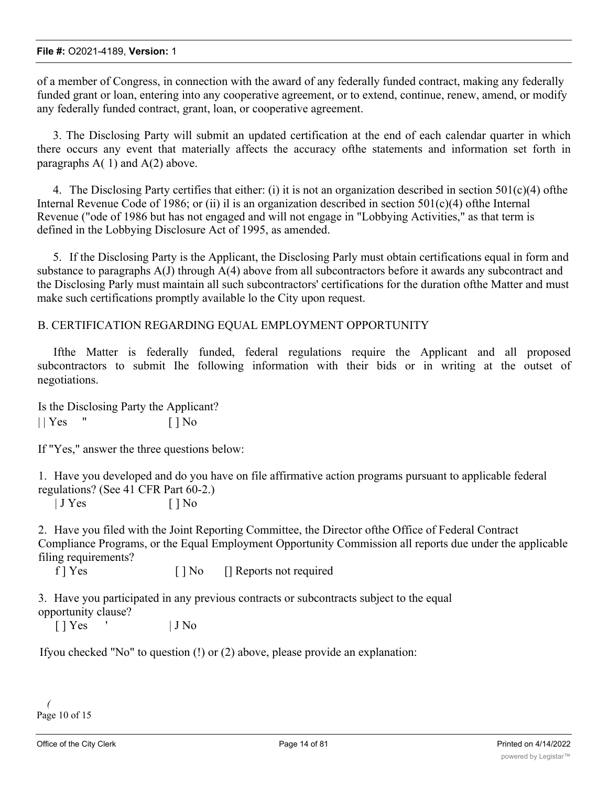of a member of Congress, in connection with the award of any federally funded contract, making any federally funded grant or loan, entering into any cooperative agreement, or to extend, continue, renew, amend, or modify any federally funded contract, grant, loan, or cooperative agreement.

3. The Disclosing Party will submit an updated certification at the end of each calendar quarter in which there occurs any event that materially affects the accuracy ofthe statements and information set forth in paragraphs  $A(1)$  and  $A(2)$  above.

4. The Disclosing Party certifies that either: (i) it is not an organization described in section  $501(c)(4)$  ofthe Internal Revenue Code of 1986; or (ii) il is an organization described in section  $501(c)(4)$  ofthe Internal Revenue ("ode of 1986 but has not engaged and will not engage in "Lobbying Activities," as that term is defined in the Lobbying Disclosure Act of 1995, as amended.

5. If the Disclosing Party is the Applicant, the Disclosing Parly must obtain certifications equal in form and substance to paragraphs A(J) through A(4) above from all subcontractors before it awards any subcontract and the Disclosing Parly must maintain all such subcontractors' certifications for the duration ofthe Matter and must make such certifications promptly available lo the City upon request.

### B. CERTIFICATION REGARDING EQUAL EMPLOYMENT OPPORTUNITY

Ifthe Matter is federally funded, federal regulations require the Applicant and all proposed subcontractors to submit Ihe following information with their bids or in writing at the outset of negotiations.

Is the Disclosing Party the Applicant?  $||$   $\text{Yes}$  "  $||$   $\text{No}$ 

If "Yes," answer the three questions below:

1. Have you developed and do you have on file affirmative action programs pursuant to applicable federal regulations? (See 41 CFR Part 60-2.)

 $|$  J Yes  $|$   $|$  No

2. Have you filed with the Joint Reporting Committee, the Director ofthe Office of Federal Contract Compliance Programs, or the Equal Employment Opportunity Commission all reports due under the applicable filing requirements?

f | Yes [ ] No [ ] Reports not required

3. Have you participated in any previous contracts or subcontracts subject to the equal opportunity clause?

 $[$  | Yes  $\qquad$  | J No

Ifyou checked "No" to question (!) or (2) above, please provide an explanation:

*(* Page 10 of 15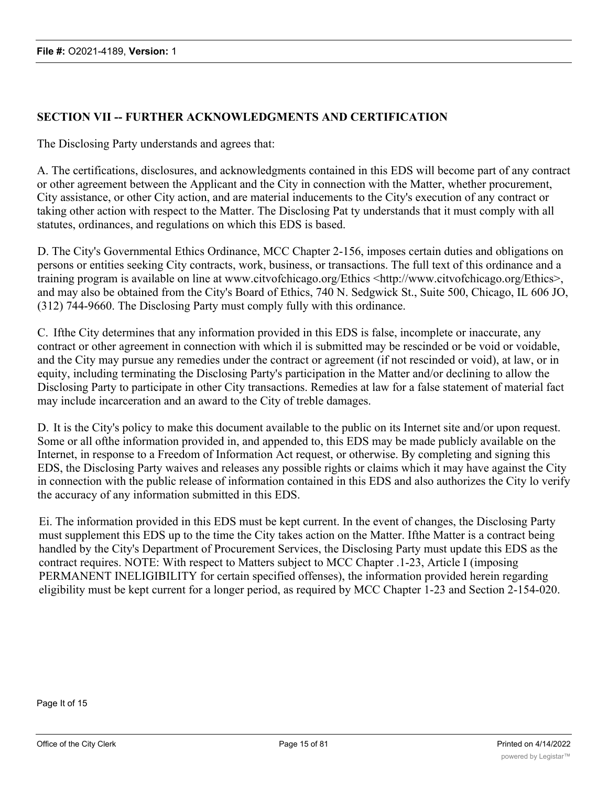### **SECTION VII -- FURTHER ACKNOWLEDGMENTS AND CERTIFICATION**

The Disclosing Party understands and agrees that:

A. The certifications, disclosures, and acknowledgments contained in this EDS will become part of any contract or other agreement between the Applicant and the City in connection with the Matter, whether procurement, City assistance, or other City action, and are material inducements to the City's execution of any contract or taking other action with respect to the Matter. The Disclosing Pat ty understands that it must comply with all statutes, ordinances, and regulations on which this EDS is based.

D. The City's Governmental Ethics Ordinance, MCC Chapter 2-156, imposes certain duties and obligations on persons or entities seeking City contracts, work, business, or transactions. The full text of this ordinance and a training program is available on line at www.citvofchicago.org/Ethics <http://www.citvofchicago.org/Ethics>, and may also be obtained from the City's Board of Ethics, 740 N. Sedgwick St., Suite 500, Chicago, IL 606 JO, (312) 744-9660. The Disclosing Party must comply fully with this ordinance.

C. Ifthe City determines that any information provided in this EDS is false, incomplete or inaccurate, any contract or other agreement in connection with which il is submitted may be rescinded or be void or voidable, and the City may pursue any remedies under the contract or agreement (if not rescinded or void), at law, or in equity, including terminating the Disclosing Party's participation in the Matter and/or declining to allow the Disclosing Party to participate in other City transactions. Remedies at law for a false statement of material fact may include incarceration and an award to the City of treble damages.

D. It is the City's policy to make this document available to the public on its Internet site and/or upon request. Some or all ofthe information provided in, and appended to, this EDS may be made publicly available on the Internet, in response to a Freedom of Information Act request, or otherwise. By completing and signing this EDS, the Disclosing Party waives and releases any possible rights or claims which it may have against the City in connection with the public release of information contained in this EDS and also authorizes the City lo verify the accuracy of any information submitted in this EDS.

Ei. The information provided in this EDS must be kept current. In the event of changes, the Disclosing Party must supplement this EDS up to the time the City takes action on the Matter. Ifthe Matter is a contract being handled by the City's Department of Procurement Services, the Disclosing Party must update this EDS as the contract requires. NOTE: With respect to Matters subject to MCC Chapter .1-23, Article I (imposing PERMANENT INELIGIBILITY for certain specified offenses), the information provided herein regarding eligibility must be kept current for a longer period, as required by MCC Chapter 1-23 and Section 2-154-020.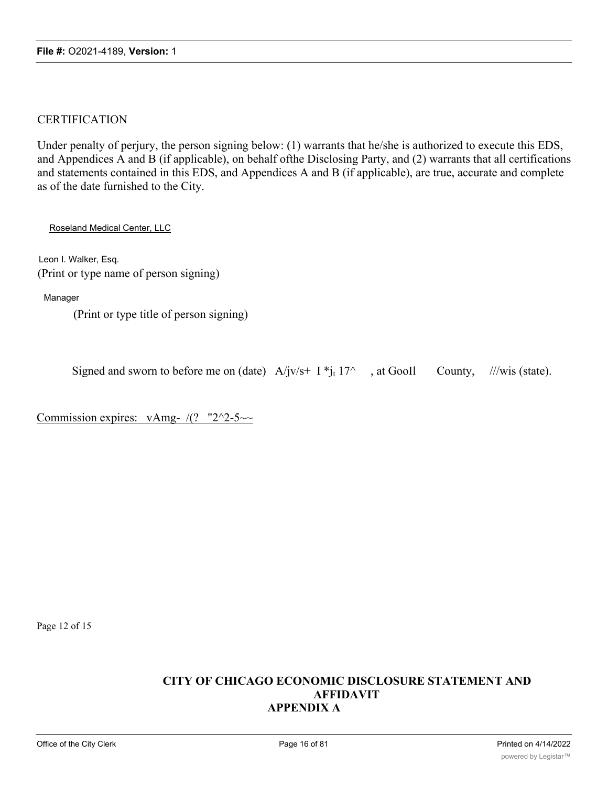### CERTIFICATION

Under penalty of perjury, the person signing below: (1) warrants that he/she is authorized to execute this EDS, and Appendices A and B (if applicable), on behalf ofthe Disclosing Party, and (2) warrants that all certifications and statements contained in this EDS, and Appendices A and B (if applicable), are true, accurate and complete as of the date furnished to the City.

Roseland Medical Center, LLC

Leon I. Walker, Esq. (Print or type name of person signing)

Manager

(Print or type title of person signing)

| Signed and sworn to before me on (date) $A/jv/s+ I *j_t 17^\wedge$ , at GooIl County, ///wis (state). |  |  |  |  |
|-------------------------------------------------------------------------------------------------------|--|--|--|--|
|                                                                                                       |  |  |  |  |

Commission expires: vAmg- $/(?$  "2^2-5~~

Page 12 of 15

### **CITY OF CHICAGO ECONOMIC DISCLOSURE STATEMENT AND AFFIDAVIT APPENDIX A**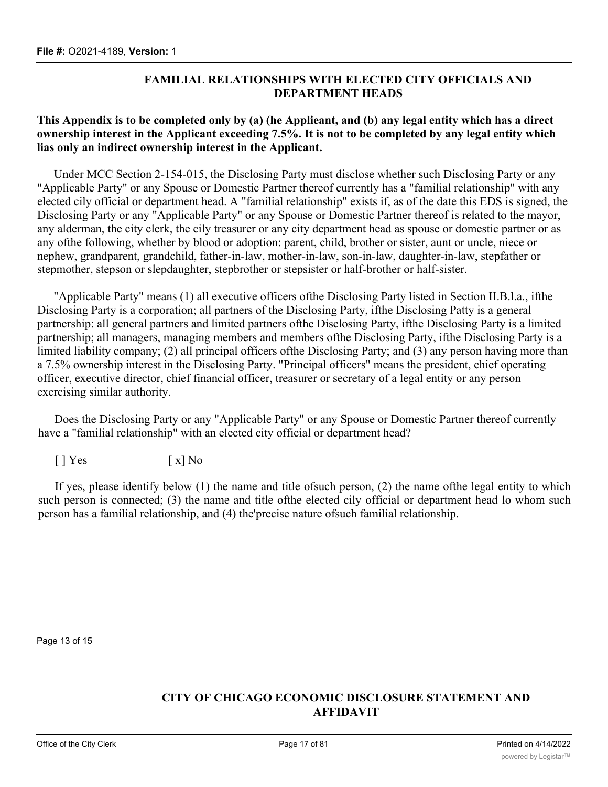# **FAMILIAL RELATIONSHIPS WITH ELECTED CITY OFFICIALS AND DEPARTMENT HEADS**

### **This Appendix is to be completed only by (a) (he Applieant, and (b) any legal entity which has a direct ownership interest in the Applicant exceeding 7.5%. It is not to be completed by any legal entity which lias only an indirect ownership interest in the Applicant.**

Under MCC Section 2-154-015, the Disclosing Party must disclose whether such Disclosing Party or any "Applicable Party" or any Spouse or Domestic Partner thereof currently has a "familial relationship" with any elected cily official or department head. A "familial relationship" exists if, as of the date this EDS is signed, the Disclosing Party or any "Applicable Party" or any Spouse or Domestic Partner thereof is related to the mayor, any alderman, the city clerk, the cily treasurer or any city department head as spouse or domestic partner or as any ofthe following, whether by blood or adoption: parent, child, brother or sister, aunt or uncle, niece or nephew, grandparent, grandchild, father-in-law, mother-in-law, son-in-law, daughter-in-law, stepfather or stepmother, stepson or slepdaughter, stepbrother or stepsister or half-brother or half-sister.

"Applicable Party" means (1) all executive officers ofthe Disclosing Party listed in Section II.B.l.a., ifthe Disclosing Party is a corporation; all partners of the Disclosing Party, ifthe Disclosing Patty is a general partnership: all general partners and limited partners ofthe Disclosing Party, ifthe Disclosing Party is a limited partnership; all managers, managing members and members ofthe Disclosing Party, ifthe Disclosing Party is a limited liability company; (2) all principal officers ofthe Disclosing Party; and (3) any person having more than a 7.5% ownership interest in the Disclosing Party. "Principal officers" means the president, chief operating officer, executive director, chief financial officer, treasurer or secretary of a legal entity or any person exercising similar authority.

Does the Disclosing Party or any "Applicable Party" or any Spouse or Domestic Partner thereof currently have a "familial relationship" with an elected city official or department head?

 $[ ] Yes$   $[ x ] No$ 

If yes, please identify below (1) the name and title ofsuch person, (2) the name ofthe legal entity to which such person is connected; (3) the name and title ofthe elected cily official or department head lo whom such person has a familial relationship, and (4) the'precise nature ofsuch familial relationship.

Page 13 of 15

# **CITY OF CHICAGO ECONOMIC DISCLOSURE STATEMENT AND AFFIDAVIT**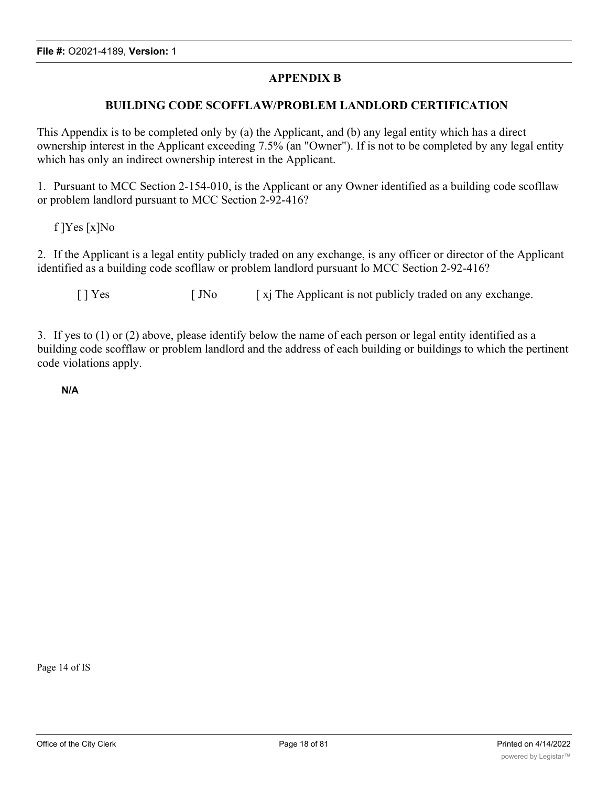### **APPENDIX B**

#### **BUILDING CODE SCOFFLAW/PROBLEM LANDLORD CERTIFICATION**

This Appendix is to be completed only by (a) the Applicant, and (b) any legal entity which has a direct ownership interest in the Applicant exceeding 7.5% (an "Owner"). If is not to be completed by any legal entity which has only an indirect ownership interest in the Applicant.

1. Pursuant to MCC Section 2-154-010, is the Applicant or any Owner identified as a building code scofllaw or problem landlord pursuant to MCC Section 2-92-416?

f ]Yes [x]No

2. If the Applicant is a legal entity publicly traded on any exchange, is any officer or director of the Applicant identified as a building code scofllaw or problem landlord pursuant lo MCC Section 2-92-416?

[ ] Yes [ JNo [ xj The Applicant is not publicly traded on any exchange.

3. If yes to (1) or (2) above, please identify below the name of each person or legal entity identified as a building code scofflaw or problem landlord and the address of each building or buildings to which the pertinent code violations apply.

**N/A**

Page 14 of IS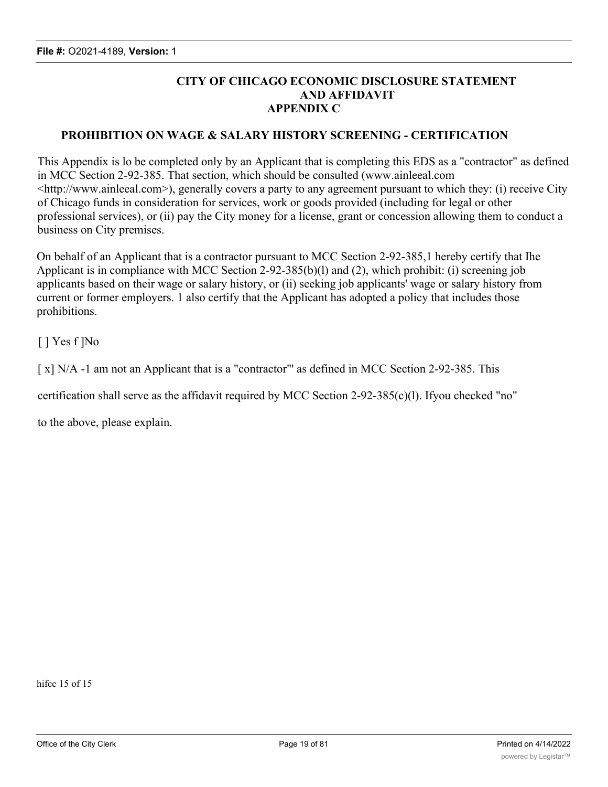### **CITY OF CHICAGO ECONOMIC DISCLOSURE STATEMENT AND AFFIDAVIT APPENDIX C**

#### **PROHIBITION ON WAGE & SALARY HISTORY SCREENING - CERTIFICATION**

This Appendix is lo be completed only by an Applicant that is completing this EDS as a "contractor" as defined in MCC Section 2-92-385. That section, which should be consulted (www.ainleeal.com <http://www.ainleeal.com>), generally covers a party to any agreement pursuant to which they: (i) receive City of Chicago funds in consideration for services, work or goods provided (including for legal or other professional services), or (ii) pay the City money for a license, grant or concession allowing them to conduct a business on City premises.

On behalf of an Applicant that is a contractor pursuant to MCC Section 2-92-385,1 hereby certify that Ihe Applicant is in compliance with MCC Section 2-92-385(b)(l) and (2), which prohibit: (i) screening job applicants based on their wage or salary history, or (ii) seeking job applicants' wage or salary history from current or former employers. 1 also certify that the Applicant has adopted a policy that includes those prohibitions.

[ ] Yes f ]No

[x] N/A -1 am not an Applicant that is a "contractor"' as defined in MCC Section 2-92-385. This

certification shall serve as the affidavit required by MCC Section 2-92-385(c)(l). Ifyou checked "no"

to the above, please explain.

hifcc 15 of 15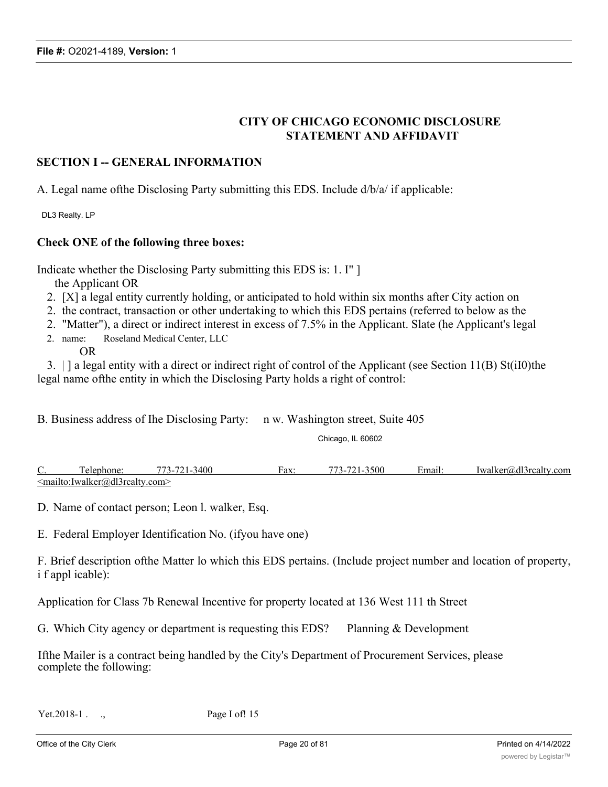### **CITY OF CHICAGO ECONOMIC DISCLOSURE STATEMENT AND AFFIDAVIT**

#### **SECTION I -- GENERAL INFORMATION**

A. Legal name ofthe Disclosing Party submitting this EDS. Include d/b/a/ if applicable:

DL3 Realty. LP

#### **Check ONE of the following three boxes:**

Indicate whether the Disclosing Party submitting this EDS is: 1. I" ] the Applicant OR

- 2. [X] a legal entity currently holding, or anticipated to hold within six months after City action on
- 2. the contract, transaction or other undertaking to which this EDS pertains (referred to below as the
- 2. "Matter"), a direct or indirect interest in excess of 7.5% in the Applicant. Slate (he Applicant's legal
- 2. name: Roseland Medical Center, LLC OR

3. | ] a legal entity with a direct or indirect right of control of the Applicant (see Section 11(B) St(iI0)the legal name ofthe entity in which the Disclosing Party holds a right of control:

B. Business address of Ihe Disclosing Party: n w. Washington street, Suite 405

Chicago, IL 60602

C. Telephone: 773-721-3400 Fax: 773-721-3500 Email: Iwalker@dl3rcalty.com <mailto:Iwalker@dl3rcalty.com>

D. Name of contact person; Leon l. walker, Esq.

E. Federal Employer Identification No. (ifyou have one)

F. Brief description ofthe Matter lo which this EDS pertains. (Include project number and location of property, i f appl icable):

Application for Class 7b Renewal Incentive for property located at 136 West 111 th Street

G. Which City agency or department is requesting this EDS? Planning & Development

Ifthe Mailer is a contract being handled by the City's Department of Procurement Services, please complete the following:

Yet.2018-1 . ., Page I of! 15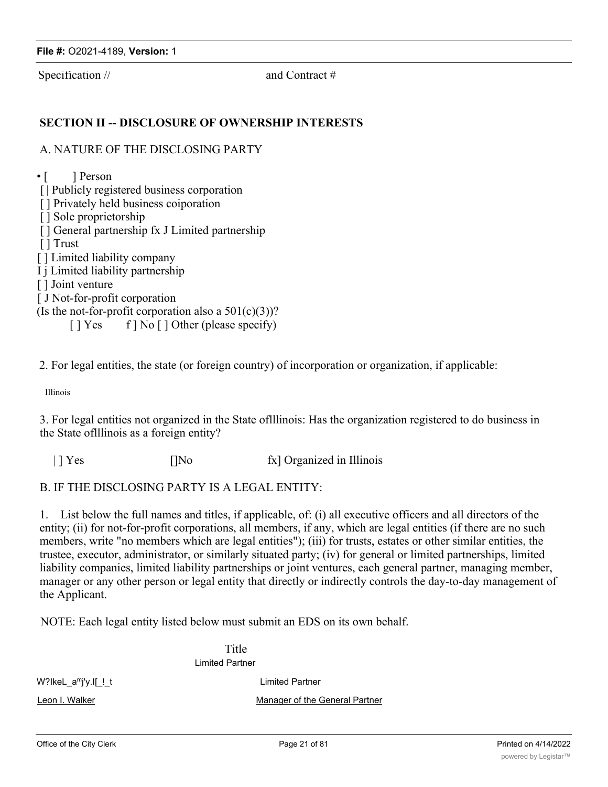Specification // and Contract #

### **SECTION II -- DISCLOSURE OF OWNERSHIP INTERESTS**

#### A. NATURE OF THE DISCLOSING PARTY

 $\cdot$  [ ] Person [ | Publicly registered business corporation [] Privately held business coiporation [ ] Sole proprietorship [ ] General partnership fx J Limited partnership [ ] Trust [ ] Limited liability company I j Limited liability partnership [ ] Joint venture [ J Not-for-profit corporation (Is the not-for-profit corporation also a  $501(c)(3)$ )? [ ] Yes f ] No [ ] Other (please specify)

2. For legal entities, the state (or foreign country) of incorporation or organization, if applicable:

Illinois

3. For legal entities not organized in the State oflllinois: Has the organization registered to do business in the State oflllinois as a foreign entity?

| | Yes []No fx] Organized in Illinois

#### B. IF THE DISCLOSING PARTY IS A LEGAL ENTITY:

1. List below the full names and titles, if applicable, of: (i) all executive officers and all directors of the entity; (ii) for not-for-profit corporations, all members, if any, which are legal entities (if there are no such members, write "no members which are legal entities"); (iii) for trusts, estates or other similar entities, the trustee, executor, administrator, or similarly situated party; (iv) for general or limited partnerships, limited liability companies, limited liability partnerships or joint ventures, each general partner, managing member, manager or any other person or legal entity that directly or indirectly controls the day-to-day management of the Applicant.

NOTE: Each legal entity listed below must submit an EDS on its own behalf.

Title Limited Partner

W?IkeL a<sup>m</sup>j'y.I[ ! t Limited Partner

Leon I. Walker Manager of the General Partner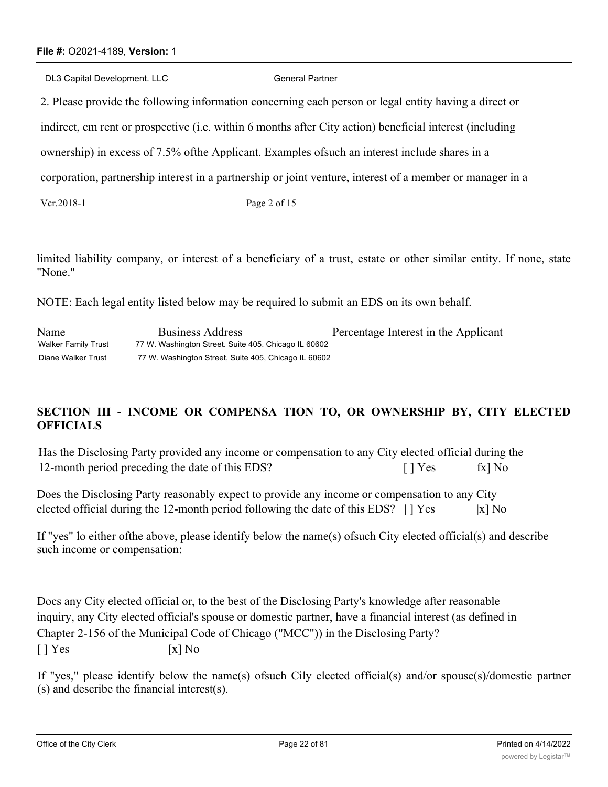### **File #:** O2021-4189, **Version:** 1

DL3 Capital Development. LLC General Partner

2. Please provide the following information concerning each person or legal entity having a direct or

indirect, cm rent or prospective (i.e. within 6 months after City action) beneficial interest (including

ownership) in excess of 7.5% ofthe Applicant. Examples ofsuch an interest include shares in a

corporation, partnership interest in a partnership or joint venture, interest of a member or manager in a

Vcr.2018-1 Page 2 of 15

limited liability company, or interest of a beneficiary of a trust, estate or other similar entity. If none, state "None."

NOTE: Each legal entity listed below may be required lo submit an EDS on its own behalf.

| Name                | Business Address                                     | Percentage Interest in the Applicant |
|---------------------|------------------------------------------------------|--------------------------------------|
| Walker Family Trust | 77 W. Washington Street. Suite 405. Chicago IL 60602 |                                      |
| Diane Walker Trust  | 77 W. Washington Street, Suite 405, Chicago IL 60602 |                                      |

# **SECTION III - INCOME OR COMPENSA TION TO, OR OWNERSHIP BY, CITY ELECTED OFFICIALS**

Has the Disclosing Party provided any income or compensation to any City elected official during the 12-month period preceding the date of this EDS? [ ] Yes fx] No

Does the Disclosing Party reasonably expect to provide any income or compensation to any City elected official during the 12-month period following the date of this EDS?  $| \cdot |$  Yes  $|x|$  No

If "yes" lo either ofthe above, please identify below the name(s) ofsuch City elected official(s) and describe such income or compensation:

Docs any City elected official or, to the best of the Disclosing Party's knowledge after reasonable inquiry, any City elected official's spouse or domestic partner, have a financial interest (as defined in Chapter 2-156 of the Municipal Code of Chicago ("MCC")) in the Disclosing Party?  $\lceil$  | Yes  $\lceil$  | Yes  $\lceil$  | No

If "yes," please identify below the name(s) ofsuch Cily elected official(s) and/or spouse(s)/domestic partner (s) and describe the financial intcrest(s).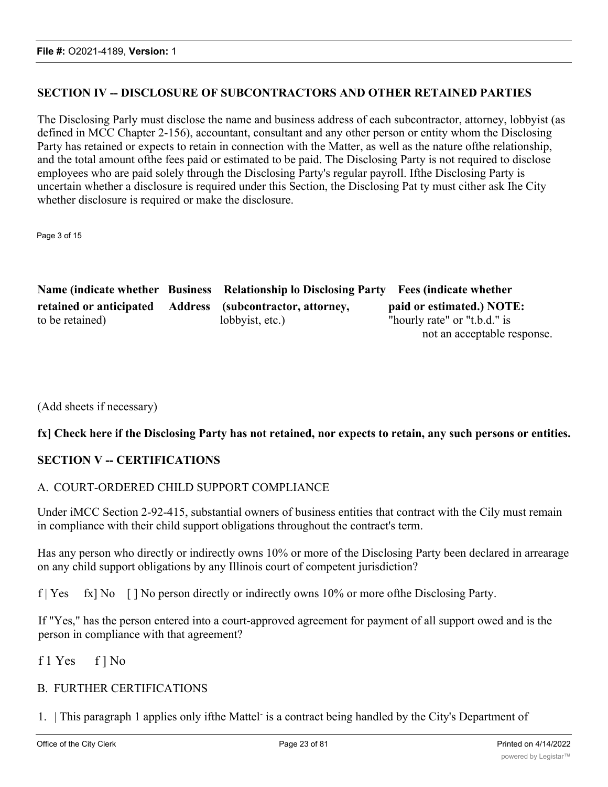### **SECTION IV -- DISCLOSURE OF SUBCONTRACTORS AND OTHER RETAINED PARTIES**

The Disclosing Parly must disclose the name and business address of each subcontractor, attorney, lobbyist (as defined in MCC Chapter 2-156), accountant, consultant and any other person or entity whom the Disclosing Party has retained or expects to retain in connection with the Matter, as well as the nature ofthe relationship, and the total amount ofthe fees paid or estimated to be paid. The Disclosing Party is not required to disclose employees who are paid solely through the Disclosing Party's regular payroll. Ifthe Disclosing Party is uncertain whether a disclosure is required under this Section, the Disclosing Pat ty must cither ask Ihe City whether disclosure is required or make the disclosure.

Page 3 of 15

|                 | Name (indicate whether Business Relationship lo Disclosing Party Fees (indicate whether |                              |
|-----------------|-----------------------------------------------------------------------------------------|------------------------------|
|                 | retained or anticipated Address (subcontractor, attorney,                               | paid or estimated.) NOTE:    |
| to be retained) | lobbyist, etc.)                                                                         | "hourly rate" or "t.b.d." is |
|                 |                                                                                         | not an acceptable response.  |

(Add sheets if necessary)

### fx] Check here if the Disclosing Party has not retained, nor expects to retain, any such persons or entities.

### **SECTION V -- CERTIFICATIONS**

### A. COURT-ORDERED CHILD SUPPORT COMPLIANCE

Under iMCC Section 2-92-415, substantial owners of business entities that contract with the Cily must remain in compliance with their child support obligations throughout the contract's term.

Has any person who directly or indirectly owns 10% or more of the Disclosing Party been declared in arrearage on any child support obligations by any Illinois court of competent jurisdiction?

f | Yes fx] No [ ] No person directly or indirectly owns 10% or more ofthe Disclosing Party.

If "Yes," has the person entered into a court-approved agreement for payment of all support owed and is the person in compliance with that agreement?

f 1 Yes f ] No

### B. FURTHER CERTIFICATIONS

1. This paragraph 1 applies only ifthe Mattel is a contract being handled by the City's Department of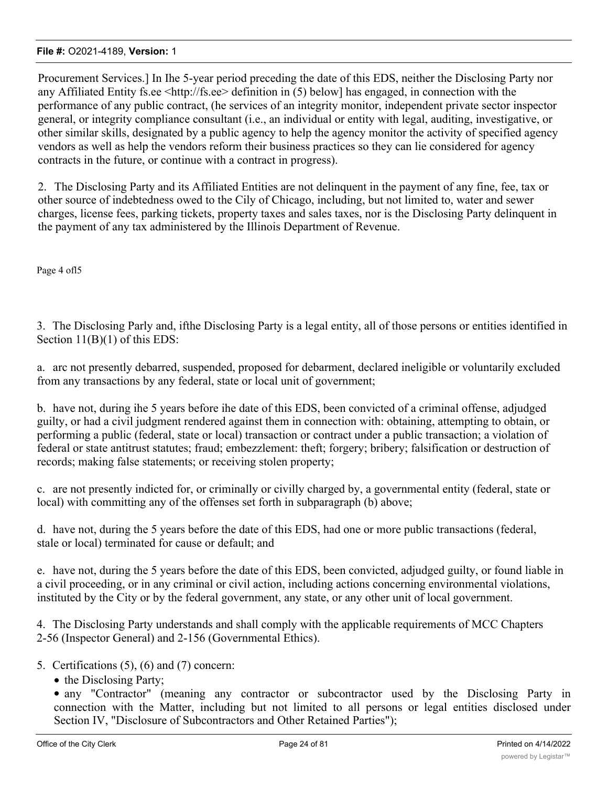Procurement Services.] In Ihe 5-year period preceding the date of this EDS, neither the Disclosing Party nor any Affiliated Entity fs.ee <http://fs.ee> definition in (5) below] has engaged, in connection with the performance of any public contract, (he services of an integrity monitor, independent private sector inspector general, or integrity compliance consultant (i.e., an individual or entity with legal, auditing, investigative, or other similar skills, designated by a public agency to help the agency monitor the activity of specified agency vendors as well as help the vendors reform their business practices so they can lie considered for agency contracts in the future, or continue with a contract in progress).

2. The Disclosing Party and its Affiliated Entities are not delinquent in the payment of any fine, fee, tax or other source of indebtedness owed to the Cily of Chicago, including, but not limited to, water and sewer charges, license fees, parking tickets, property taxes and sales taxes, nor is the Disclosing Party delinquent in the payment of any tax administered by the Illinois Department of Revenue.

Page 4 ofl5

3. The Disclosing Parly and, ifthe Disclosing Party is a legal entity, all of those persons or entities identified in Section  $11(B)(1)$  of this EDS:

a. arc not presently debarred, suspended, proposed for debarment, declared ineligible or voluntarily excluded from any transactions by any federal, state or local unit of government;

b. have not, during ihe 5 years before ihe date of this EDS, been convicted of a criminal offense, adjudged guilty, or had a civil judgment rendered against them in connection with: obtaining, attempting to obtain, or performing a public (federal, state or local) transaction or contract under a public transaction; a violation of federal or state antitrust statutes; fraud; embezzlement: theft; forgery; bribery; falsification or destruction of records; making false statements; or receiving stolen property;

c. are not presently indicted for, or criminally or civilly charged by, a governmental entity (federal, state or local) with committing any of the offenses set forth in subparagraph (b) above;

d. have not, during the 5 years before the date of this EDS, had one or more public transactions (federal, stale or local) terminated for cause or default; and

e. have not, during the 5 years before the date of this EDS, been convicted, adjudged guilty, or found liable in a civil proceeding, or in any criminal or civil action, including actions concerning environmental violations, instituted by the City or by the federal government, any state, or any other unit of local government.

4. The Disclosing Party understands and shall comply with the applicable requirements of MCC Chapters 2-56 (Inspector General) and 2-156 (Governmental Ethics).

- 5. Certifications (5), (6) and (7) concern:
	- the Disclosing Party;

· any "Contractor" (meaning any contractor or subcontractor used by the Disclosing Party in connection with the Matter, including but not limited to all persons or legal entities disclosed under Section IV, "Disclosure of Subcontractors and Other Retained Parties");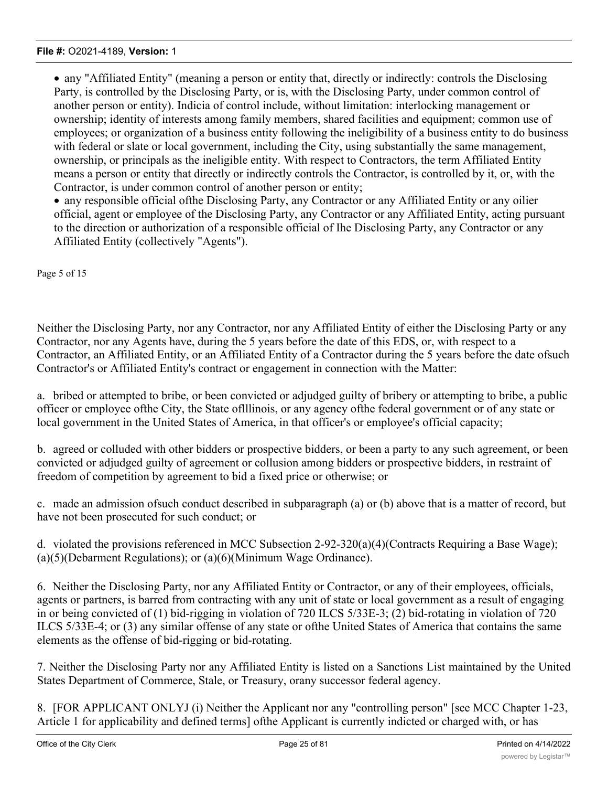· any "Affiliated Entity" (meaning a person or entity that, directly or indirectly: controls the Disclosing Party, is controlled by the Disclosing Party, or is, with the Disclosing Party, under common control of another person or entity). Indicia of control include, without limitation: interlocking management or ownership; identity of interests among family members, shared facilities and equipment; common use of employees; or organization of a business entity following the ineligibility of a business entity to do business with federal or slate or local government, including the City, using substantially the same management, ownership, or principals as the ineligible entity. With respect to Contractors, the term Affiliated Entity means a person or entity that directly or indirectly controls the Contractor, is controlled by it, or, with the Contractor, is under common control of another person or entity;

· any responsible official ofthe Disclosing Party, any Contractor or any Affiliated Entity or any oilier official, agent or employee of the Disclosing Party, any Contractor or any Affiliated Entity, acting pursuant to the direction or authorization of a responsible official of Ihe Disclosing Party, any Contractor or any Affiliated Entity (collectively "Agents").

Page 5 of 15

Neither the Disclosing Party, nor any Contractor, nor any Affiliated Entity of either the Disclosing Party or any Contractor, nor any Agents have, during the 5 years before the date of this EDS, or, with respect to a Contractor, an Affiliated Entity, or an Affiliated Entity of a Contractor during the 5 years before the date ofsuch Contractor's or Affiliated Entity's contract or engagement in connection with the Matter:

a. bribed or attempted to bribe, or been convicted or adjudged guilty of bribery or attempting to bribe, a public officer or employee ofthe City, the State oflllinois, or any agency ofthe federal government or of any state or local government in the United States of America, in that officer's or employee's official capacity;

b. agreed or colluded with other bidders or prospective bidders, or been a party to any such agreement, or been convicted or adjudged guilty of agreement or collusion among bidders or prospective bidders, in restraint of freedom of competition by agreement to bid a fixed price or otherwise; or

c. made an admission ofsuch conduct described in subparagraph (a) or (b) above that is a matter of record, but have not been prosecuted for such conduct; or

d. violated the provisions referenced in MCC Subsection 2-92-320(a)(4)(Contracts Requiring a Base Wage); (a)(5)(Debarment Regulations); or (a)(6)(Minimum Wage Ordinance).

6. Neither the Disclosing Party, nor any Affiliated Entity or Contractor, or any of their employees, officials, agents or partners, is barred from contracting with any unit of state or local government as a result of engaging in or being convicted of (1) bid-rigging in violation of 720 ILCS 5/33E-3; (2) bid-rotating in violation of 720 ILCS 5/33E-4; or (3) any similar offense of any state or ofthe United States of America that contains the same elements as the offense of bid-rigging or bid-rotating.

7. Neither the Disclosing Party nor any Affiliated Entity is listed on a Sanctions List maintained by the United States Department of Commerce, Stale, or Treasury, orany successor federal agency.

8. [FOR APPLICANT ONLYJ (i) Neither the Applicant nor any "controlling person" [see MCC Chapter 1-23, Article 1 for applicability and defined terms] ofthe Applicant is currently indicted or charged with, or has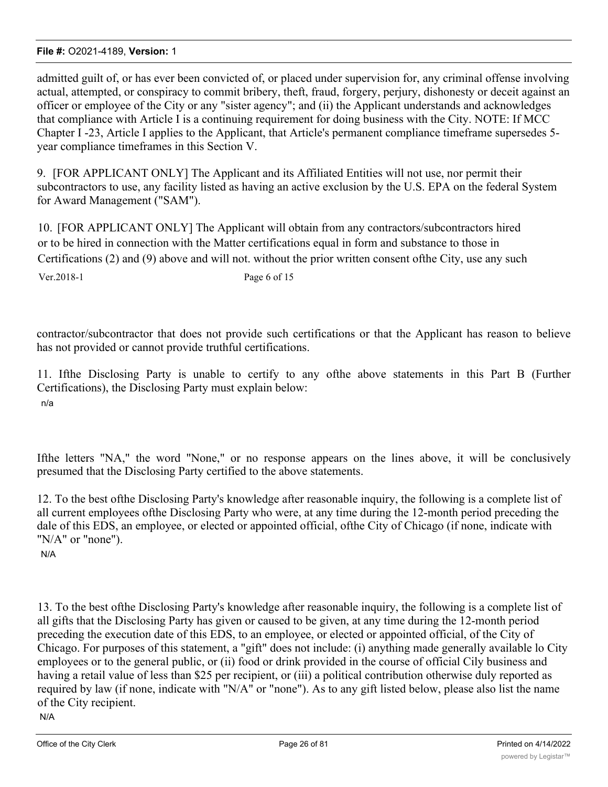admitted guilt of, or has ever been convicted of, or placed under supervision for, any criminal offense involving actual, attempted, or conspiracy to commit bribery, theft, fraud, forgery, perjury, dishonesty or deceit against an officer or employee of the City or any "sister agency"; and (ii) the Applicant understands and acknowledges that compliance with Article I is a continuing requirement for doing business with the City. NOTE: If MCC Chapter I -23, Article I applies to the Applicant, that Article's permanent compliance timeframe supersedes 5 year compliance timeframes in this Section V.

9. [FOR APPLICANT ONLY] The Applicant and its Affiliated Entities will not use, nor permit their subcontractors to use, any facility listed as having an active exclusion by the U.S. EPA on the federal System for Award Management ("SAM").

10. [FOR APPLICANT ONLY] The Applicant will obtain from any contractors/subcontractors hired or to be hired in connection with the Matter certifications equal in form and substance to those in Certifications (2) and (9) above and will not. without the prior written consent ofthe City, use any such

Ver.2018-1 Page 6 of 15

contractor/subcontractor that does not provide such certifications or that the Applicant has reason to believe has not provided or cannot provide truthful certifications.

11. Ifthe Disclosing Party is unable to certify to any ofthe above statements in this Part B (Further Certifications), the Disclosing Party must explain below: n/a

Ifthe letters "NA," the word "None," or no response appears on the lines above, it will be conclusively presumed that the Disclosing Party certified to the above statements.

12. To the best ofthe Disclosing Party's knowledge after reasonable inquiry, the following is a complete list of all current employees ofthe Disclosing Party who were, at any time during the 12-month period preceding the dale of this EDS, an employee, or elected or appointed official, ofthe City of Chicago (if none, indicate with "N/A" or "none").

N/A

13. To the best ofthe Disclosing Party's knowledge after reasonable inquiry, the following is a complete list of all gifts that the Disclosing Party has given or caused to be given, at any time during the 12-month period preceding the execution date of this EDS, to an employee, or elected or appointed official, of the City of Chicago. For purposes of this statement, a "gift" does not include: (i) anything made generally available lo City employees or to the general public, or (ii) food or drink provided in the course of official Cily business and having a retail value of less than \$25 per recipient, or (iii) a political contribution otherwise duly reported as required by law (if none, indicate with "N/A" or "none"). As to any gift listed below, please also list the name of the City recipient.

N/A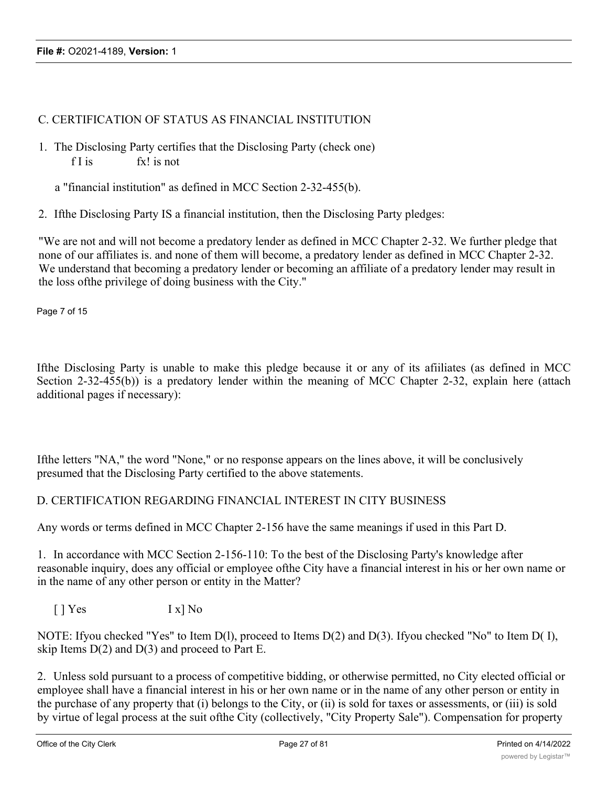### C. CERTIFICATION OF STATUS AS FINANCIAL INSTITUTION

1. The Disclosing Party certifies that the Disclosing Party (check one) f I is fx! is not

a "financial institution" as defined in MCC Section 2-32-455(b).

2. Ifthe Disclosing Party IS a financial institution, then the Disclosing Party pledges:

"We are not and will not become a predatory lender as defined in MCC Chapter 2-32. We further pledge that none of our affiliates is. and none of them will become, a predatory lender as defined in MCC Chapter 2-32. We understand that becoming a predatory lender or becoming an affiliate of a predatory lender may result in the loss ofthe privilege of doing business with the City."

Page 7 of 15

Ifthe Disclosing Party is unable to make this pledge because it or any of its afiiliates (as defined in MCC Section 2-32-455(b)) is a predatory lender within the meaning of MCC Chapter 2-32, explain here (attach additional pages if necessary):

Ifthe letters "NA," the word "None," or no response appears on the lines above, it will be conclusively presumed that the Disclosing Party certified to the above statements.

### D. CERTIFICATION REGARDING FINANCIAL INTEREST IN CITY BUSINESS

Any words or terms defined in MCC Chapter 2-156 have the same meanings if used in this Part D.

1. In accordance with MCC Section 2-156-110: To the best of the Disclosing Party's knowledge after reasonable inquiry, does any official or employee ofthe City have a financial interest in his or her own name or in the name of any other person or entity in the Matter?

[ ] Yes I x] No

NOTE: Ifyou checked "Yes" to Item D(l), proceed to Items D(2) and D(3). Ifyou checked "No" to Item D( I), skip Items  $D(2)$  and  $D(3)$  and proceed to Part E.

2. Unless sold pursuant to a process of competitive bidding, or otherwise permitted, no City elected official or employee shall have a financial interest in his or her own name or in the name of any other person or entity in the purchase of any property that (i) belongs to the City, or (ii) is sold for taxes or assessments, or (iii) is sold by virtue of legal process at the suit ofthe City (collectively, "City Property Sale"). Compensation for property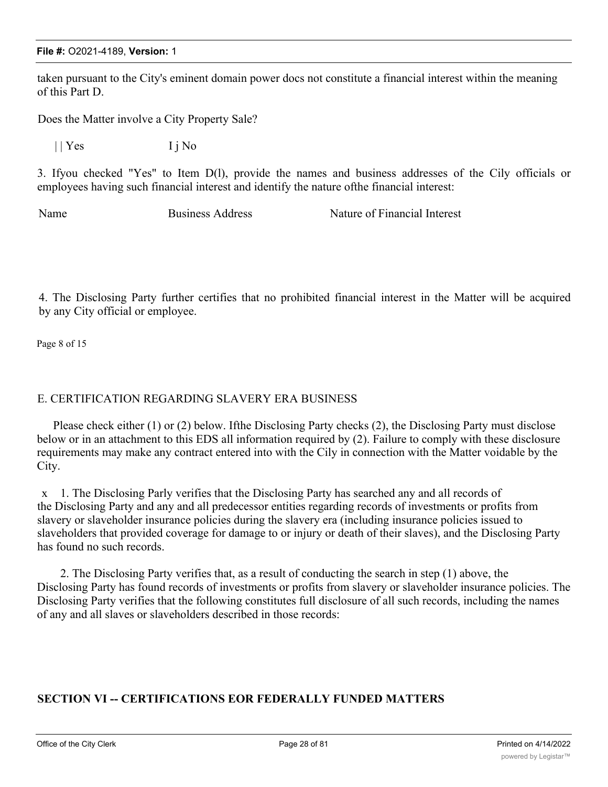taken pursuant to the City's eminent domain power docs not constitute a financial interest within the meaning of this Part D.

Does the Matter involve a City Property Sale?

 $||$  Yes  $I$  j No

3. Ifyou checked "Yes" to Item D(l), provide the names and business addresses of the Cily officials or employees having such financial interest and identify the nature ofthe financial interest:

Name Business Address Nature of Financial Interest

4. The Disclosing Party further certifies that no prohibited financial interest in the Matter will be acquired by any City official or employee.

Page 8 of 15

### E. CERTIFICATION REGARDING SLAVERY ERA BUSINESS

Please check either (1) or (2) below. Ifthe Disclosing Party checks (2), the Disclosing Party must disclose below or in an attachment to this EDS all information required by (2). Failure to comply with these disclosure requirements may make any contract entered into with the Cily in connection with the Matter voidable by the City.

x 1. The Disclosing Parly verifies that the Disclosing Party has searched any and all records of the Disclosing Party and any and all predecessor entities regarding records of investments or profits from slavery or slaveholder insurance policies during the slavery era (including insurance policies issued to slaveholders that provided coverage for damage to or injury or death of their slaves), and the Disclosing Party has found no such records.

2. The Disclosing Party verifies that, as a result of conducting the search in step (1) above, the Disclosing Party has found records of investments or profits from slavery or slaveholder insurance policies. The Disclosing Party verifies that the following constitutes full disclosure of all such records, including the names of any and all slaves or slaveholders described in those records:

### **SECTION VI -- CERTIFICATIONS EOR FEDERALLY FUNDED MATTERS**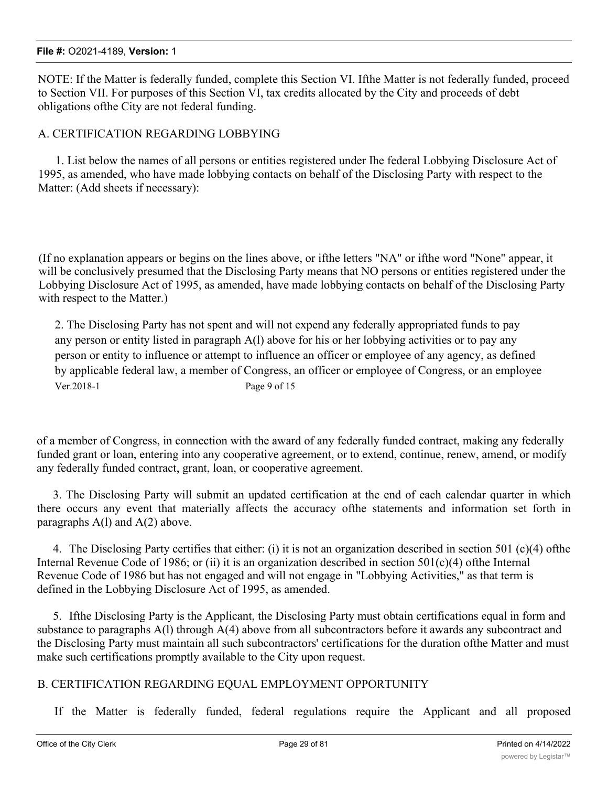#### **File #:** O2021-4189, **Version:** 1

NOTE: If the Matter is federally funded, complete this Section VI. Ifthe Matter is not federally funded, proceed to Section VII. For purposes of this Section VI, tax credits allocated by the City and proceeds of debt obligations ofthe City are not federal funding.

### A. CERTIFICATION REGARDING LOBBYING

1. List below the names of all persons or entities registered under Ihe federal Lobbying Disclosure Act of 1995, as amended, who have made lobbying contacts on behalf of the Disclosing Party with respect to the Matter: (Add sheets if necessary):

(If no explanation appears or begins on the lines above, or ifthe letters "NA" or ifthe word "None" appear, it will be conclusively presumed that the Disclosing Party means that NO persons or entities registered under the Lobbying Disclosure Act of 1995, as amended, have made lobbying contacts on behalf of the Disclosing Party with respect to the Matter.)

2. The Disclosing Party has not spent and will not expend any federally appropriated funds to pay any person or entity listed in paragraph A(l) above for his or her lobbying activities or to pay any person or entity to influence or attempt to influence an officer or employee of any agency, as defined by applicable federal law, a member of Congress, an officer or employee of Congress, or an employee Ver.2018-1 Page 9 of 15

of a member of Congress, in connection with the award of any federally funded contract, making any federally funded grant or loan, entering into any cooperative agreement, or to extend, continue, renew, amend, or modify any federally funded contract, grant, loan, or cooperative agreement.

3. The Disclosing Party will submit an updated certification at the end of each calendar quarter in which there occurs any event that materially affects the accuracy ofthe statements and information set forth in paragraphs  $A(1)$  and  $A(2)$  above.

4. The Disclosing Party certifies that either: (i) it is not an organization described in section 501 (c)(4) ofthe Internal Revenue Code of 1986; or (ii) it is an organization described in section  $501(c)(4)$  ofthe Internal Revenue Code of 1986 but has not engaged and will not engage in "Lobbying Activities," as that term is defined in the Lobbying Disclosure Act of 1995, as amended.

5. Ifthe Disclosing Party is the Applicant, the Disclosing Party must obtain certifications equal in form and substance to paragraphs A(l) through A(4) above from all subcontractors before it awards any subcontract and the Disclosing Party must maintain all such subcontractors' certifications for the duration ofthe Matter and must make such certifications promptly available to the City upon request.

### B. CERTIFICATION REGARDING EQUAL EMPLOYMENT OPPORTUNITY

If the Matter is federally funded, federal regulations require the Applicant and all proposed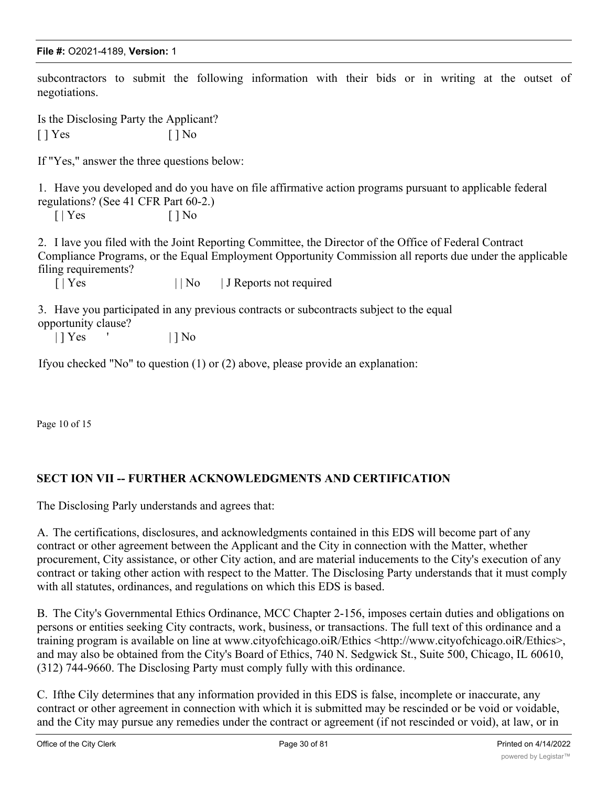#### **File #:** O2021-4189, **Version:** 1

subcontractors to submit the following information with their bids or in writing at the outset of negotiations.

Is the Disclosing Party the Applicant?  $[ ]$  Yes  $[ ]$  No

If "Yes," answer the three questions below:

1. Have you developed and do you have on file affirmative action programs pursuant to applicable federal regulations? (See 41 CFR Part 60-2.)

 $[ | Yes \t\t | ] No$ 

2. I lave you filed with the Joint Reporting Committee, the Director of the Office of Federal Contract Compliance Programs, or the Equal Employment Opportunity Commission all reports due under the applicable filing requirements?

[ | Yes | | No | J Reports not required

3. Have you participated in any previous contracts or subcontracts subject to the equal opportunity clause?

| | **Yes** ' | | **No** 

Ifyou checked "No" to question (1) or (2) above, please provide an explanation:

Page 10 of 15

### **SECT ION VII -- FURTHER ACKNOWLEDGMENTS AND CERTIFICATION**

The Disclosing Parly understands and agrees that:

A. The certifications, disclosures, and acknowledgments contained in this EDS will become part of any contract or other agreement between the Applicant and the City in connection with the Matter, whether procurement, City assistance, or other City action, and are material inducements to the City's execution of any contract or taking other action with respect to the Matter. The Disclosing Party understands that it must comply with all statutes, ordinances, and regulations on which this EDS is based.

B. The City's Governmental Ethics Ordinance, MCC Chapter 2-156, imposes certain duties and obligations on persons or entities seeking City contracts, work, business, or transactions. The full text of this ordinance and a training program is available on line at www.cityofchicago.oiR/Ethics <http://www.cityofchicago.oiR/Ethics>, and may also be obtained from the City's Board of Ethics, 740 N. Sedgwick St., Suite 500, Chicago, IL 60610, (312) 744-9660. The Disclosing Party must comply fully with this ordinance.

C. Ifthe Cily determines that any information provided in this EDS is false, incomplete or inaccurate, any contract or other agreement in connection with which it is submitted may be rescinded or be void or voidable, and the City may pursue any remedies under the contract or agreement (if not rescinded or void), at law, or in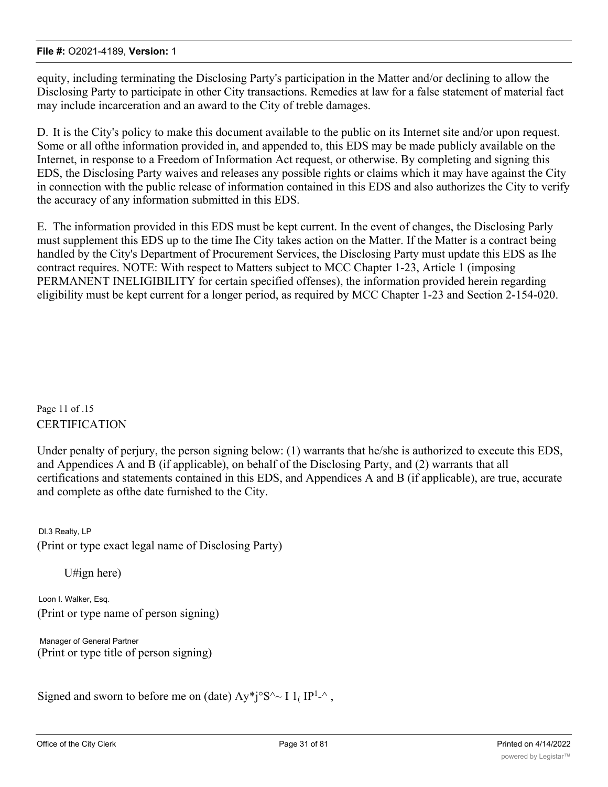equity, including terminating the Disclosing Party's participation in the Matter and/or declining to allow the Disclosing Party to participate in other City transactions. Remedies at law for a false statement of material fact may include incarceration and an award to the City of treble damages.

D. It is the City's policy to make this document available to the public on its Internet site and/or upon request. Some or all ofthe information provided in, and appended to, this EDS may be made publicly available on the Internet, in response to a Freedom of Information Act request, or otherwise. By completing and signing this EDS, the Disclosing Party waives and releases any possible rights or claims which it may have against the City in connection with the public release of information contained in this EDS and also authorizes the City to verify the accuracy of any information submitted in this EDS.

E. The information provided in this EDS must be kept current. In the event of changes, the Disclosing Parly must supplement this EDS up to the time Ihe City takes action on the Matter. If the Matter is a contract being handled by the City's Department of Procurement Services, the Disclosing Party must update this EDS as Ihe contract requires. NOTE: With respect to Matters subject to MCC Chapter 1-23, Article 1 (imposing PERMANENT INELIGIBILITY for certain specified offenses), the information provided herein regarding eligibility must be kept current for a longer period, as required by MCC Chapter 1-23 and Section 2-154-020.

Page 11 of .15 CERTIFICATION

Under penalty of perjury, the person signing below: (1) warrants that he/she is authorized to execute this EDS, and Appendices A and B (if applicable), on behalf of the Disclosing Party, and (2) warrants that all certifications and statements contained in this EDS, and Appendices A and B (if applicable), are true, accurate and complete as ofthe date furnished to the City.

Dl.3 Realty, LP (Print or type exact legal name of Disclosing Party)

U#ign here)

Loon I. Walker, Esq. (Print or type name of person signing)

Manager of General Partner (Print or type title of person signing)

Signed and sworn to before me on (date)  $Ay^*j^0S^2 \sim I 1_I IP^{1-\alpha}$ ,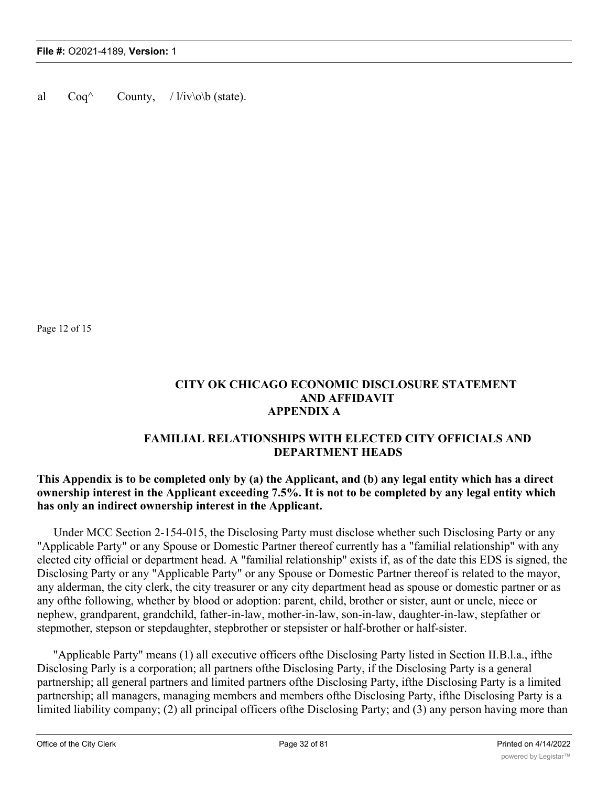al  $Coq^{\wedge}$  County,  $/ \frac{1}{iv\infty}$  (state).

Page 12 of 15

### **CITY OK CHICAGO ECONOMIC DISCLOSURE STATEMENT AND AFFIDAVIT APPENDIX A**

### **FAMILIAL RELATIONSHIPS WITH ELECTED CITY OFFICIALS AND DEPARTMENT HEADS**

### **This Appendix is to be completed only by (a) the Applicant, and (b) any legal entity which has a direct ownership interest in the Applicant exceeding 7.5%. It is not to be completed by any legal entity which has only an indirect ownership interest in the Applicant.**

Under MCC Section 2-154-015, the Disclosing Party must disclose whether such Disclosing Party or any "Applicable Party" or any Spouse or Domestic Partner thereof currently has a "familial relationship" with any elected city official or department head. A "familial relationship" exists if, as of the date this EDS is signed, the Disclosing Party or any "Applicable Party" or any Spouse or Domestic Partner thereof is related to the mayor, any alderman, the city clerk, the city treasurer or any city department head as spouse or domestic partner or as any ofthe following, whether by blood or adoption: parent, child, brother or sister, aunt or uncle, niece or nephew, grandparent, grandchild, father-in-law, mother-in-law, son-in-law, daughter-in-law, stepfather or stepmother, stepson or stepdaughter, stepbrother or stepsister or half-brother or half-sister.

"Applicable Party" means (1) all executive officers ofthe Disclosing Party listed in Section II.B.l.a., ifthe Disclosing Parly is a corporation; all partners ofthe Disclosing Party, if the Disclosing Party is a general partnership; all general partners and limited partners ofthe Disclosing Party, ifthe Disclosing Party is a limited partnership; all managers, managing members and members ofthe Disclosing Party, ifthe Disclosing Party is a limited liability company; (2) all principal officers of the Disclosing Party; and (3) any person having more than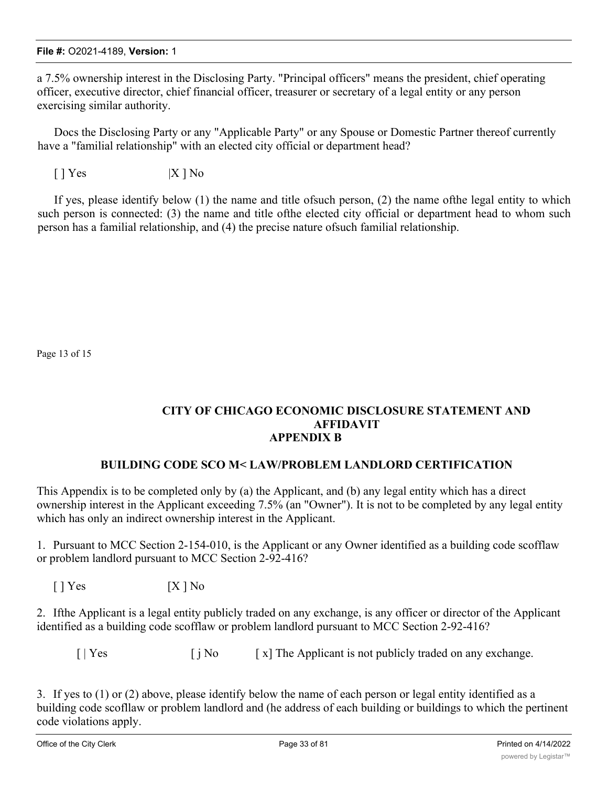a 7.5% ownership interest in the Disclosing Party. "Principal officers" means the president, chief operating officer, executive director, chief financial officer, treasurer or secretary of a legal entity or any person exercising similar authority.

Docs the Disclosing Party or any "Applicable Party" or any Spouse or Domestic Partner thereof currently have a "familial relationship" with an elected city official or department head?

 $[ ] Yes$   $|X | No$ 

If yes, please identify below (1) the name and title ofsuch person, (2) the name ofthe legal entity to which such person is connected: (3) the name and title ofthe elected city official or department head to whom such person has a familial relationship, and (4) the precise nature ofsuch familial relationship.

Page 13 of 15

### **CITY OF CHICAGO ECONOMIC DISCLOSURE STATEMENT AND AFFIDAVIT APPENDIX B**

### **BUILDING CODE SCO M< LAW/PROBLEM LANDLORD CERTIFICATION**

This Appendix is to be completed only by (a) the Applicant, and (b) any legal entity which has a direct ownership interest in the Applicant exceeding 7.5% (an "Owner"). It is not to be completed by any legal entity which has only an indirect ownership interest in the Applicant.

1. Pursuant to MCC Section 2-154-010, is the Applicant or any Owner identified as a building code scofflaw or problem landlord pursuant to MCC Section 2-92-416?

 $[ ]$  Yes  $[ X ]$  No

2. Ifthe Applicant is a legal entity publicly traded on any exchange, is any officer or director of the Applicant identified as a building code scofflaw or problem landlord pursuant to MCC Section 2-92-416?

 $\begin{bmatrix} | \ \end{bmatrix}$  Yes  $\begin{bmatrix} j \end{bmatrix}$  No  $\begin{bmatrix} x \\ \end{bmatrix}$  The Applicant is not publicly traded on any exchange.

3. If yes to (1) or (2) above, please identify below the name of each person or legal entity identified as a building code scofllaw or problem landlord and (he address of each building or buildings to which the pertinent code violations apply.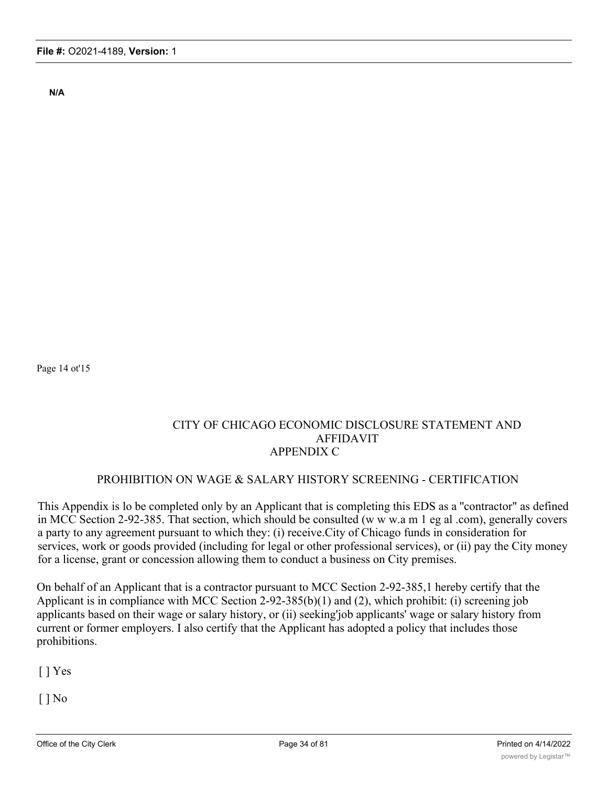**N/A**

Page 14 ot'15

### CITY OF CHICAGO ECONOMIC DISCLOSURE STATEMENT AND AFFIDAVIT APPENDIX C

### PROHIBITION ON WAGE & SALARY HISTORY SCREENING - CERTIFICATION

This Appendix is lo be completed only by an Applicant that is completing this EDS as a ''contractor" as defined in MCC Section 2-92-385. That section, which should be consulted (w w w.a m 1 eg al .com), generally covers a party to any agreement pursuant to which they: (i) receive.City of Chicago funds in consideration for services, work or goods provided (including for legal or other professional services), or (ii) pay the City money for a license, grant or concession allowing them to conduct a business on City premises.

On behalf of an Applicant that is a contractor pursuant to MCC Section 2-92-385,1 hereby certify that the Applicant is in compliance with MCC Section 2-92-385(b)(1) and (2), which prohibit: (i) screening job applicants based on their wage or salary history, or (ii) seeking'job applicants' wage or salary history from current or former employers. I also certify that the Applicant has adopted a policy that includes those prohibitions.

 $\lceil$  | Yes

 $[ ]$  No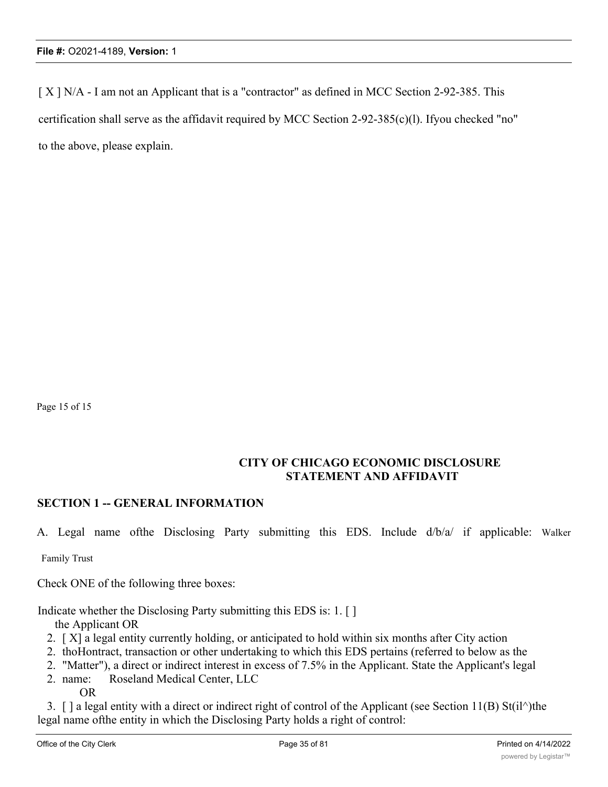[ X ] N/A - I am not an Applicant that is a "contractor" as defined in MCC Section 2-92-385. This certification shall serve as the affidavit required by MCC Section 2-92-385(c)(l). Ifyou checked "no" to the above, please explain.

Page 15 of 15

### **CITY OF CHICAGO ECONOMIC DISCLOSURE STATEMENT AND AFFIDAVIT**

### **SECTION 1 -- GENERAL INFORMATION**

A. Legal name ofthe Disclosing Party submitting this EDS. Include d/b/a/ if applicable: Walker

Family Trust

Check ONE of the following three boxes:

Indicate whether the Disclosing Party submitting this EDS is: 1. [ ]

the Applicant OR

- 2. [ X] a legal entity currently holding, or anticipated to hold within six months after City action
- 2. thoHontract, transaction or other undertaking to which this EDS pertains (referred to below as the
- 2. "Matter"), a direct or indirect interest in excess of 7.5% in the Applicant. State the Applicant's legal
- 2. name: Roseland Medical Center, LLC OR

3. [ ] a legal entity with a direct or indirect right of control of the Applicant (see Section 11(B) St(il^)the legal name ofthe entity in which the Disclosing Party holds a right of control: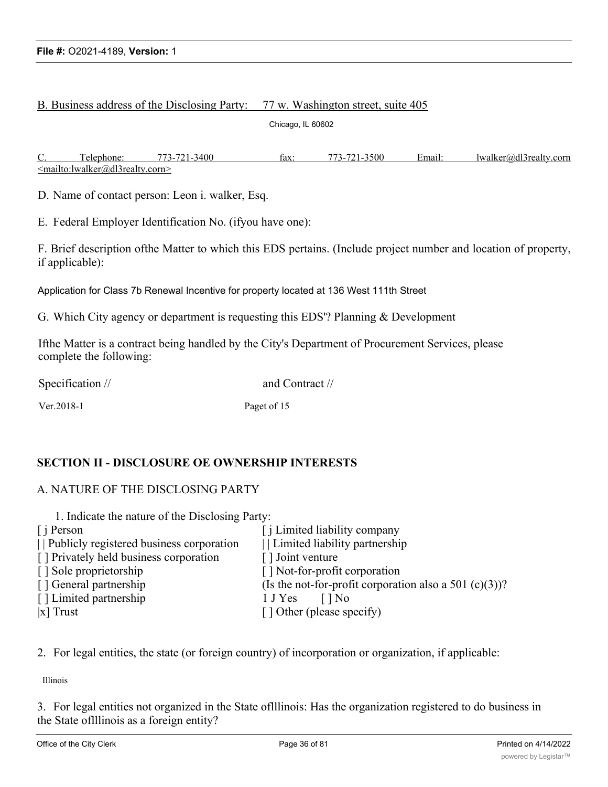#### B. Business address of the Disclosing Party: 77 w. Washington street, suite 405

Chicago, IL 60602

C. Telephone: 773-721-3400 fax: 773-721-3500 Email: lwalker@dl3realty.corn <mailto:lwalker@dl3realty.corn>

D. Name of contact person: Leon i. walker, Esq.

E. Federal Employer Identification No. (ifyou have one):

F. Brief description ofthe Matter to which this EDS pertains. (Include project number and location of property, if applicable):

Application for Class 7b Renewal Incentive for property located at 136 West 111th Street

G. Which City agency or department is requesting this EDS'? Planning & Development

Ifthe Matter is a contract being handled by the City's Department of Procurement Services, please complete the following:

Specification // and Contract //

Ver. 2018-1 Paget of 15

### **SECTION II - DISCLOSURE OE OWNERSHIP INTERESTS**

#### A. NATURE OF THE DISCLOSING PARTY

| 1. Indicate the nature of the Disclosing Party: |                                                        |
|-------------------------------------------------|--------------------------------------------------------|
| $\int$ i Person                                 | [ <i>i</i> Limited liability company                   |
| Publicly registered business corporation        | Limited liability partnership                          |
| [] Privately held business corporation          | [] Joint venture                                       |
| [] Sole proprietorship                          | [] Not-for-profit corporation                          |
| [] General partnership                          | (Is the not-for-profit corporation also a 501 (c)(3))? |
| [] Limited partnership                          | 1 J Yes<br>11No                                        |
| $ x $ Trust                                     | [] Other (please specify)                              |

2. For legal entities, the state (or foreign country) of incorporation or organization, if applicable:

Illinois

3. For legal entities not organized in the State oflllinois: Has the organization registered to do business in the State oflllinois as a foreign entity?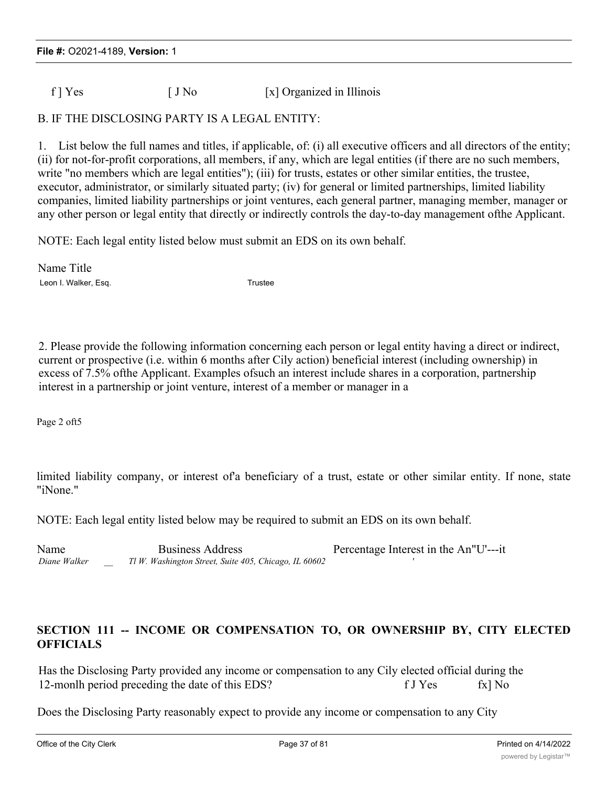$f$  ] Yes  $[J N<sub>0</sub>$  [x] Organized in Illinois

## B. IF THE DISCLOSING PARTY IS A LEGAL ENTITY:

1. List below the full names and titles, if applicable, of: (i) all executive officers and all directors of the entity; (ii) for not-for-profit corporations, all members, if any, which are legal entities (if there are no such members, write "no members which are legal entities"); (iii) for trusts, estates or other similar entities, the trustee, executor, administrator, or similarly situated party; (iv) for general or limited partnerships, limited liability companies, limited liability partnerships or joint ventures, each general partner, managing member, manager or any other person or legal entity that directly or indirectly controls the day-to-day management ofthe Applicant.

NOTE: Each legal entity listed below must submit an EDS on its own behalf.

Name Title Leon I. Walker, Esq. Trustee

2. Please provide the following information concerning each person or legal entity having a direct or indirect, current or prospective (i.e. within 6 months after Cily action) beneficial interest (including ownership) in excess of 7.5% ofthe Applicant. Examples ofsuch an interest include shares in a corporation, partnership interest in a partnership or joint venture, interest of a member or manager in a

Page 2 oft5

limited liability company, or interest of a beneficiary of a trust, estate or other similar entity. If none, state "iNone."

NOTE: Each legal entity listed below may be required to submit an EDS on its own behalf.

Name Business Address **Percentage Interest in the An** I<sup>I</sup>U'---it *Diane Walker \_\_ Tl W. Washington Street, Suite 405, Chicago, IL 60602 '*

## **SECTION 111 -- INCOME OR COMPENSATION TO, OR OWNERSHIP BY, CITY ELECTED OFFICIALS**

Has the Disclosing Party provided any income or compensation to any Cily elected official during the 12-monlh period preceding the date of this EDS? f J Yes fx No

Does the Disclosing Party reasonably expect to provide any income or compensation to any City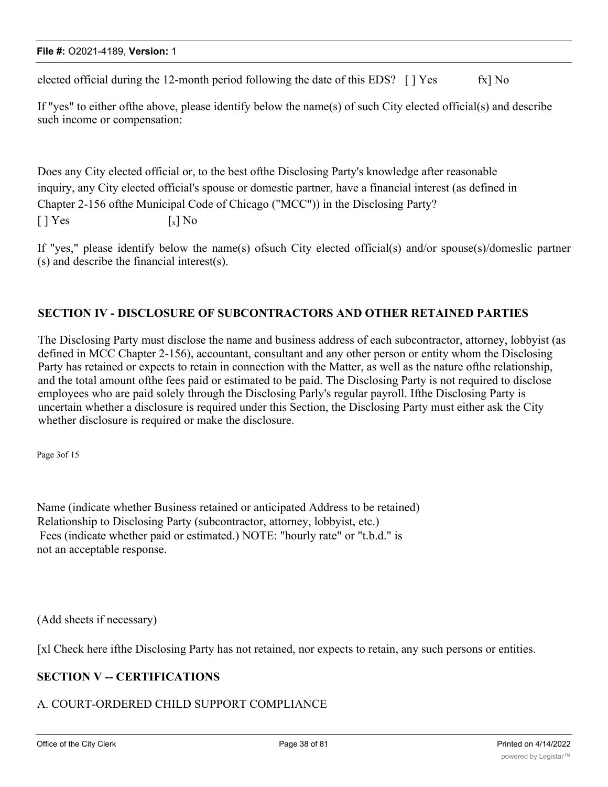elected official during the 12-month period following the date of this EDS?  $\lceil \cdot \rceil$  Yes fx  $\lceil \cdot \rceil$  No

If "yes" to either ofthe above, please identify below the name(s) of such City elected official(s) and describe such income or compensation:

Does any City elected official or, to the best ofthe Disclosing Party's knowledge after reasonable inquiry, any City elected official's spouse or domestic partner, have a financial interest (as defined in Chapter 2-156 ofthe Municipal Code of Chicago ("MCC")) in the Disclosing Party?  $\lceil \cdot \rceil$  Yes  $\lceil x \rceil$  No

If "yes," please identify below the name(s) ofsuch City elected official(s) and/or spouse(s)/domeslic partner (s) and describe the financial interest(s).

## **SECTION IV - DISCLOSURE OF SUBCONTRACTORS AND OTHER RETAINED PARTIES**

The Disclosing Party must disclose the name and business address of each subcontractor, attorney, lobbyist (as defined in MCC Chapter 2-156), accountant, consultant and any other person or entity whom the Disclosing Party has retained or expects to retain in connection with the Matter, as well as the nature ofthe relationship, and the total amount ofthe fees paid or estimated to be paid. The Disclosing Party is not required to disclose employees who are paid solely through the Disclosing Parly's regular payroll. Ifthe Disclosing Party is uncertain whether a disclosure is required under this Section, the Disclosing Party must either ask the City whether disclosure is required or make the disclosure.

Page 3of 15

Name (indicate whether Business retained or anticipated Address to be retained) Relationship to Disclosing Party (subcontractor, attorney, lobbyist, etc.) Fees (indicate whether paid or estimated.) NOTE: "hourly rate" or "t.b.d." is not an acceptable response.

(Add sheets if necessary)

[xl Check here ifthe Disclosing Party has not retained, nor expects to retain, any such persons or entities.

# **SECTION V -- CERTIFICATIONS**

## A. COURT-ORDERED CHILD SUPPORT COMPLIANCE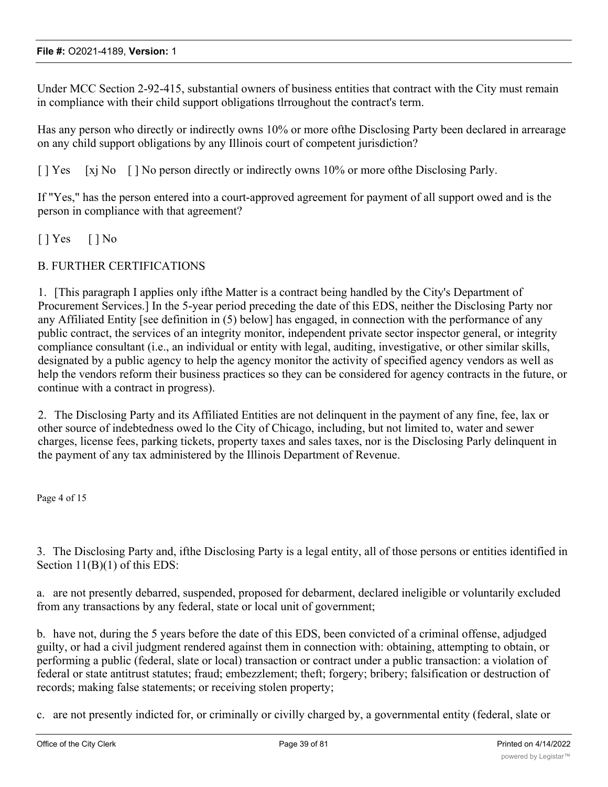Under MCC Section 2-92-415, substantial owners of business entities that contract with the City must remain in compliance with their child support obligations tlrroughout the contract's term.

Has any person who directly or indirectly owns 10% or more ofthe Disclosing Party been declared in arrearage on any child support obligations by any Illinois court of competent jurisdiction?

[ ] Yes [xj No [ ] No person directly or indirectly owns 10% or more ofthe Disclosing Parly.

If "Yes," has the person entered into a court-approved agreement for payment of all support owed and is the person in compliance with that agreement?

 $[ ]$   $Yes$   $[ ]$   $No$ 

## B. FURTHER CERTIFICATIONS

1. [This paragraph I applies only ifthe Matter is a contract being handled by the City's Department of Procurement Services.] In the 5-year period preceding the date of this EDS, neither the Disclosing Party nor any Affiliated Entity [see definition in (5) below] has engaged, in connection with the performance of any public contract, the services of an integrity monitor, independent private sector inspector general, or integrity compliance consultant (i.e., an individual or entity with legal, auditing, investigative, or other similar skills, designated by a public agency to help the agency monitor the activity of specified agency vendors as well as help the vendors reform their business practices so they can be considered for agency contracts in the future, or continue with a contract in progress).

2. The Disclosing Party and its Affiliated Entities are not delinquent in the payment of any fine, fee, lax or other source of indebtedness owed lo the City of Chicago, including, but not limited to, water and sewer charges, license fees, parking tickets, property taxes and sales taxes, nor is the Disclosing Parly delinquent in the payment of any tax administered by the Illinois Department of Revenue.

Page 4 of 15

3. The Disclosing Party and, ifthe Disclosing Party is a legal entity, all of those persons or entities identified in Section 11(B)(1) of this EDS:

a. are not presently debarred, suspended, proposed for debarment, declared ineligible or voluntarily excluded from any transactions by any federal, state or local unit of government;

b. have not, during the 5 years before the date of this EDS, been convicted of a criminal offense, adjudged guilty, or had a civil judgment rendered against them in connection with: obtaining, attempting to obtain, or performing a public (federal, slate or local) transaction or contract under a public transaction: a violation of federal or state antitrust statutes; fraud; embezzlement; theft; forgery; bribery; falsification or destruction of records; making false statements; or receiving stolen property;

c. are not presently indicted for, or criminally or civilly charged by, a governmental entity (federal, slate or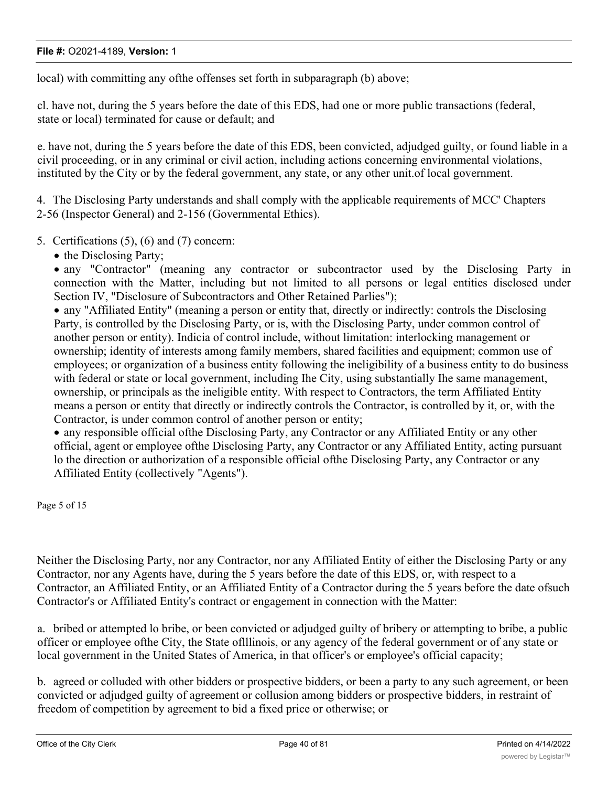local) with committing any ofthe offenses set forth in subparagraph (b) above;

cl. have not, during the 5 years before the date of this EDS, had one or more public transactions (federal, state or local) terminated for cause or default; and

e. have not, during the 5 years before the date of this EDS, been convicted, adjudged guilty, or found liable in a civil proceeding, or in any criminal or civil action, including actions concerning environmental violations, instituted by the City or by the federal government, any state, or any other unit.of local government.

4. The Disclosing Party understands and shall comply with the applicable requirements of MCC' Chapters 2-56 (Inspector General) and 2-156 (Governmental Ethics).

- 5. Certifications (5), (6) and (7) concern:
	- the Disclosing Party;

· any "Contractor" (meaning any contractor or subcontractor used by the Disclosing Party in connection with the Matter, including but not limited to all persons or legal entities disclosed under Section IV, "Disclosure of Subcontractors and Other Retained Parlies");

· any "Affiliated Entity" (meaning a person or entity that, directly or indirectly: controls the Disclosing Party, is controlled by the Disclosing Party, or is, with the Disclosing Party, under common control of another person or entity). Indicia of control include, without limitation: interlocking management or ownership; identity of interests among family members, shared facilities and equipment; common use of employees; or organization of a business entity following the ineligibility of a business entity to do business with federal or state or local government, including Ihe City, using substantially Ihe same management, ownership, or principals as the ineligible entity. With respect to Contractors, the term Affiliated Entity means a person or entity that directly or indirectly controls the Contractor, is controlled by it, or, with the Contractor, is under common control of another person or entity;

· any responsible official ofthe Disclosing Party, any Contractor or any Affiliated Entity or any other official, agent or employee ofthe Disclosing Party, any Contractor or any Affiliated Entity, acting pursuant lo the direction or authorization of a responsible official ofthe Disclosing Party, any Contractor or any Affiliated Entity (collectively "Agents").

Page 5 of 15

Neither the Disclosing Party, nor any Contractor, nor any Affiliated Entity of either the Disclosing Party or any Contractor, nor any Agents have, during the 5 years before the date of this EDS, or, with respect to a Contractor, an Affiliated Entity, or an Affiliated Entity of a Contractor during the 5 years before the date ofsuch Contractor's or Affiliated Entity's contract or engagement in connection with the Matter:

a. bribed or attempted lo bribe, or been convicted or adjudged guilty of bribery or attempting to bribe, a public officer or employee ofthe City, the State oflllinois, or any agency of the federal government or of any state or local government in the United States of America, in that officer's or employee's official capacity;

b. agreed or colluded with other bidders or prospective bidders, or been a party to any such agreement, or been convicted or adjudged guilty of agreement or collusion among bidders or prospective bidders, in restraint of freedom of competition by agreement to bid a fixed price or otherwise; or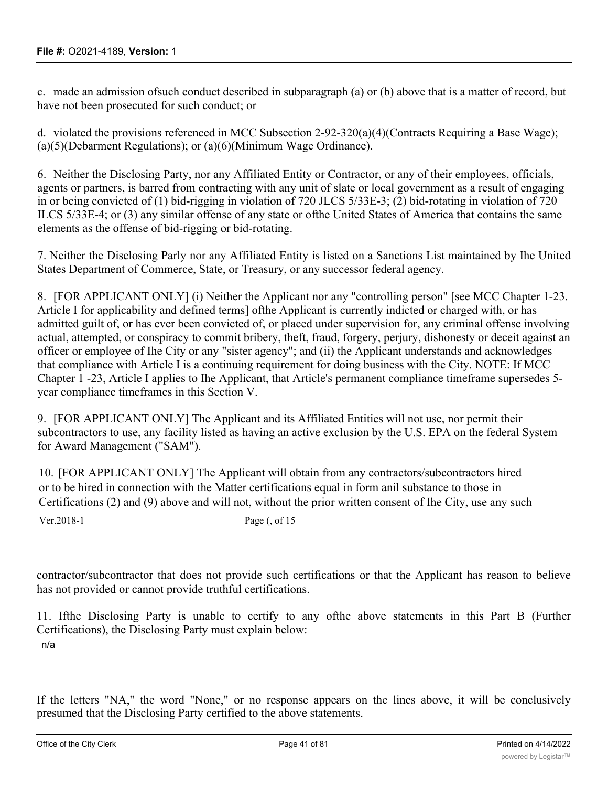c. made an admission ofsuch conduct described in subparagraph (a) or (b) above that is a matter of record, but have not been prosecuted for such conduct; or

d. violated the provisions referenced in MCC Subsection 2-92-320(a)(4)(Contracts Requiring a Base Wage); (a)(5)(Debarment Regulations); or (a)(6)(Minimum Wage Ordinance).

6. Neither the Disclosing Party, nor any Affiliated Entity or Contractor, or any of their employees, officials, agents or partners, is barred from contracting with any unit of slate or local government as a result of engaging in or being convicted of (1) bid-rigging in violation of 720 JLCS 5/33E-3; (2) bid-rotating in violation of 720 ILCS 5/33E-4; or (3) any similar offense of any state or ofthe United States of America that contains the same elements as the offense of bid-rigging or bid-rotating.

7. Neither the Disclosing Parly nor any Affiliated Entity is listed on a Sanctions List maintained by Ihe United States Department of Commerce, State, or Treasury, or any successor federal agency.

8. [FOR APPLICANT ONLY] (i) Neither the Applicant nor any "controlling person" [see MCC Chapter 1-23. Article I for applicability and defined terms] ofthe Applicant is currently indicted or charged with, or has admitted guilt of, or has ever been convicted of, or placed under supervision for, any criminal offense involving actual, attempted, or conspiracy to commit bribery, theft, fraud, forgery, perjury, dishonesty or deceit against an officer or employee of Ihe City or any "sister agency"; and (ii) the Applicant understands and acknowledges that compliance with Article I is a continuing requirement for doing business with the City. NOTE: If MCC Chapter 1 -23, Article I applies to Ihe Applicant, that Article's permanent compliance timeframe supersedes 5 ycar compliance timeframes in this Section V.

9. [FOR APPLICANT ONLY] The Applicant and its Affiliated Entities will not use, nor permit their subcontractors to use, any facility listed as having an active exclusion by the U.S. EPA on the federal System for Award Management ("SAM").

10. [FOR APPLICANT ONLY] The Applicant will obtain from any contractors/subcontractors hired or to be hired in connection with the Matter certifications equal in form anil substance to those in Certifications (2) and (9) above and will not, without the prior written consent of Ihe City, use any such

Ver.2018-1 Page (, of 15

contractor/subcontractor that does not provide such certifications or that the Applicant has reason to believe has not provided or cannot provide truthful certifications.

11. Ifthe Disclosing Party is unable to certify to any ofthe above statements in this Part B (Further Certifications), the Disclosing Party must explain below: n/a

If the letters "NA," the word "None," or no response appears on the lines above, it will be conclusively presumed that the Disclosing Party certified to the above statements.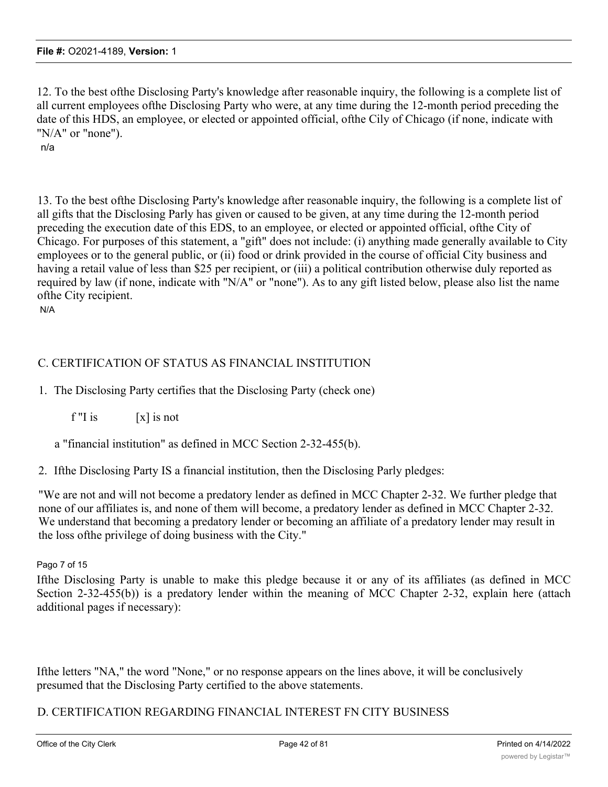12. To the best ofthe Disclosing Party's knowledge after reasonable inquiry, the following is a complete list of all current employees ofthe Disclosing Party who were, at any time during the 12-month period preceding the date of this HDS, an employee, or elected or appointed official, ofthe Cily of Chicago (if none, indicate with "N/A" or "none").

n/a

13. To the best ofthe Disclosing Party's knowledge after reasonable inquiry, the following is a complete list of all gifts that the Disclosing Parly has given or caused to be given, at any time during the 12-month period preceding the execution date of this EDS, to an employee, or elected or appointed official, ofthe City of Chicago. For purposes of this statement, a "gift" does not include: (i) anything made generally available to City employees or to the general public, or (ii) food or drink provided in the course of official City business and having a retail value of less than \$25 per recipient, or (iii) a political contribution otherwise duly reported as required by law (if none, indicate with "N/A" or "none"). As to any gift listed below, please also list the name ofthe City recipient. N/A

# C. CERTIFICATION OF STATUS AS FINANCIAL INSTITUTION

1. The Disclosing Party certifies that the Disclosing Party (check one)

 $f''$ I is  $[x]$  is not

a "financial institution" as defined in MCC Section 2-32-455(b).

2. Ifthe Disclosing Party IS a financial institution, then the Disclosing Parly pledges:

"We are not and will not become a predatory lender as defined in MCC Chapter 2-32. We further pledge that none of our affiliates is, and none of them will become, a predatory lender as defined in MCC Chapter 2-32. We understand that becoming a predatory lender or becoming an affiliate of a predatory lender may result in the loss ofthe privilege of doing business with the City."

#### Pago 7 of 15

Ifthe Disclosing Party is unable to make this pledge because it or any of its affiliates (as defined in MCC Section 2-32-455(b)) is a predatory lender within the meaning of MCC Chapter 2-32, explain here (attach additional pages if necessary):

Ifthe letters "NA," the word "None," or no response appears on the lines above, it will be conclusively presumed that the Disclosing Party certified to the above statements.

## D. CERTIFICATION REGARDING FINANCIAL INTEREST FN CITY BUSINESS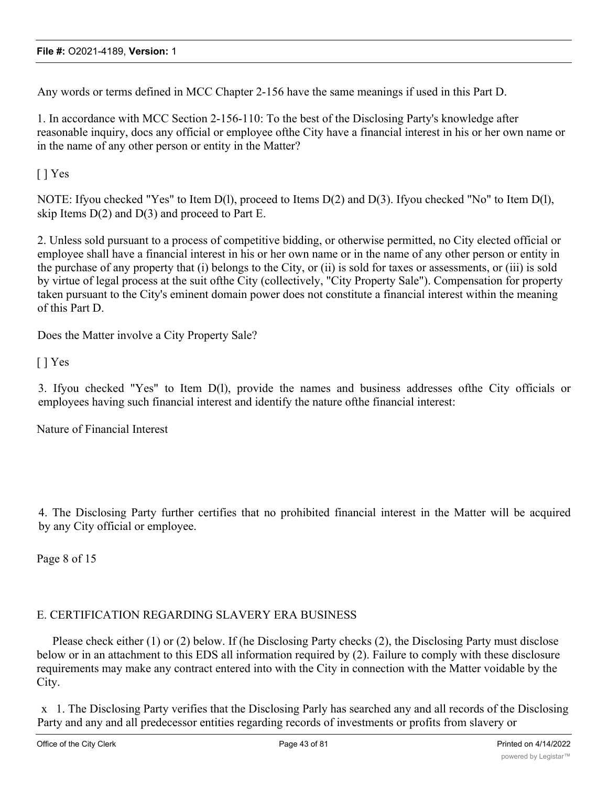Any words or terms defined in MCC Chapter 2-156 have the same meanings if used in this Part D.

1. In accordance with MCC Section 2-156-110: To the best of the Disclosing Party's knowledge after reasonable inquiry, docs any official or employee ofthe City have a financial interest in his or her own name or in the name of any other person or entity in the Matter?

[ ] Yes

NOTE: Ifyou checked "Yes" to Item D(l), proceed to Items D(2) and D(3). Ifyou checked "No" to Item D(l), skip Items  $D(2)$  and  $D(3)$  and proceed to Part E.

2. Unless sold pursuant to a process of competitive bidding, or otherwise permitted, no City elected official or employee shall have a financial interest in his or her own name or in the name of any other person or entity in the purchase of any property that (i) belongs to the City, or (ii) is sold for taxes or assessments, or (iii) is sold by virtue of legal process at the suit ofthe City (collectively, "City Property Sale"). Compensation for property taken pursuant to the City's eminent domain power does not constitute a financial interest within the meaning of this Part D.

Does the Matter involve a City Property Sale?

[ ] Yes

3. Ifyou checked "Yes" to Item D(l), provide the names and business addresses ofthe City officials or employees having such financial interest and identify the nature ofthe financial interest:

Nature of Financial Interest

4. The Disclosing Party further certifies that no prohibited financial interest in the Matter will be acquired by any City official or employee.

Page 8 of 15

# E. CERTIFICATION REGARDING SLAVERY ERA BUSINESS

Please check either (1) or (2) below. If (he Disclosing Party checks (2), the Disclosing Party must disclose below or in an attachment to this EDS all information required by (2). Failure to comply with these disclosure requirements may make any contract entered into with the City in connection with the Matter voidable by the City.

x 1. The Disclosing Party verifies that the Disclosing Parly has searched any and all records of the Disclosing Party and any and all predecessor entities regarding records of investments or profits from slavery or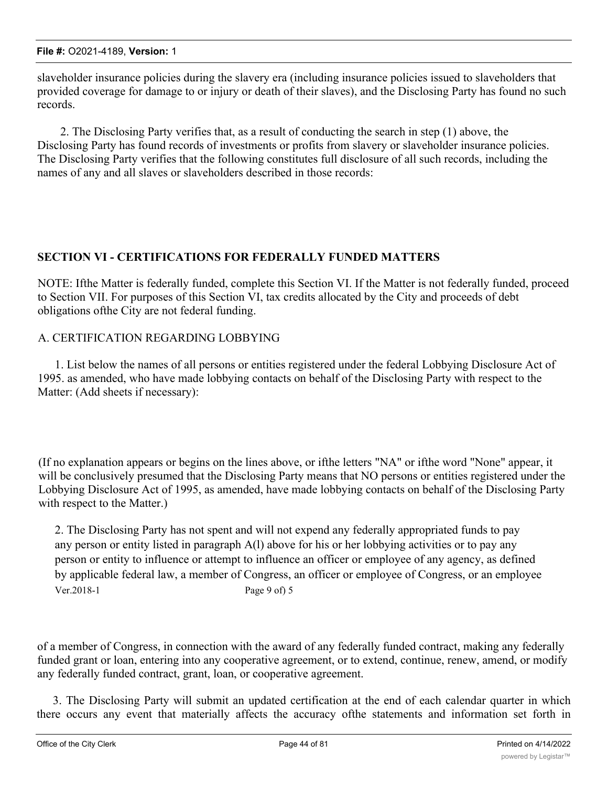slaveholder insurance policies during the slavery era (including insurance policies issued to slaveholders that provided coverage for damage to or injury or death of their slaves), and the Disclosing Party has found no such records.

2. The Disclosing Party verifies that, as a result of conducting the search in step (1) above, the Disclosing Party has found records of investments or profits from slavery or slaveholder insurance policies. The Disclosing Party verifies that the following constitutes full disclosure of all such records, including the names of any and all slaves or slaveholders described in those records:

# **SECTION VI - CERTIFICATIONS FOR FEDERALLY FUNDED MATTERS**

NOTE: Ifthe Matter is federally funded, complete this Section VI. If the Matter is not federally funded, proceed to Section VII. For purposes of this Section VI, tax credits allocated by the City and proceeds of debt obligations ofthe City are not federal funding.

# A. CERTIFICATION REGARDING LOBBYING

1. List below the names of all persons or entities registered under the federal Lobbying Disclosure Act of 1995. as amended, who have made lobbying contacts on behalf of the Disclosing Party with respect to the Matter: (Add sheets if necessary):

(If no explanation appears or begins on the lines above, or ifthe letters "NA" or ifthe word "None" appear, it will be conclusively presumed that the Disclosing Party means that NO persons or entities registered under the Lobbying Disclosure Act of 1995, as amended, have made lobbying contacts on behalf of the Disclosing Party with respect to the Matter.)

2. The Disclosing Party has not spent and will not expend any federally appropriated funds to pay any person or entity listed in paragraph A(l) above for his or her lobbying activities or to pay any person or entity to influence or attempt to influence an officer or employee of any agency, as defined by applicable federal law, a member of Congress, an officer or employee of Congress, or an employee Ver.2018-1 Page 9 of) 5

of a member of Congress, in connection with the award of any federally funded contract, making any federally funded grant or loan, entering into any cooperative agreement, or to extend, continue, renew, amend, or modify any federally funded contract, grant, loan, or cooperative agreement.

3. The Disclosing Party will submit an updated certification at the end of each calendar quarter in which there occurs any event that materially affects the accuracy ofthe statements and information set forth in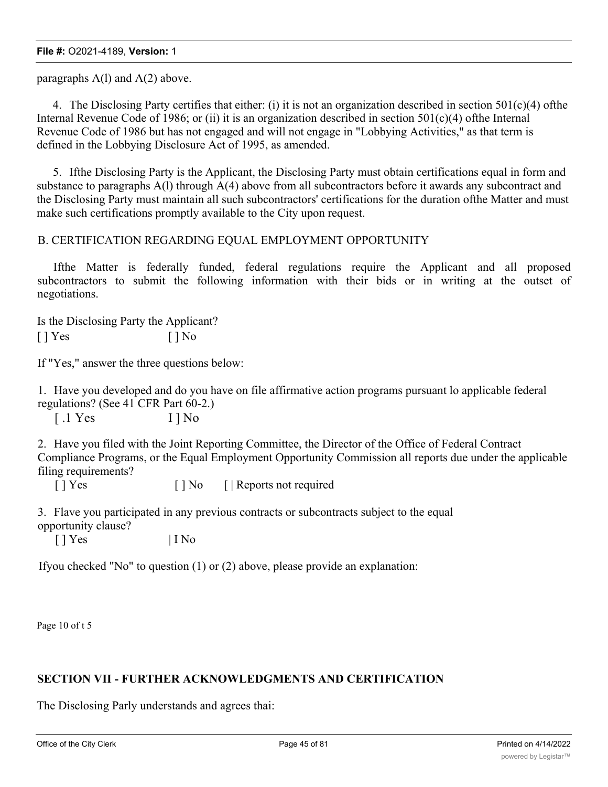paragraphs A(l) and A(2) above.

4. The Disclosing Party certifies that either: (i) it is not an organization described in section  $501(c)(4)$  ofthe Internal Revenue Code of 1986; or (ii) it is an organization described in section  $501(c)(4)$  ofthe Internal Revenue Code of 1986 but has not engaged and will not engage in "Lobbying Activities," as that term is defined in the Lobbying Disclosure Act of 1995, as amended.

5. Ifthe Disclosing Party is the Applicant, the Disclosing Party must obtain certifications equal in form and substance to paragraphs A(l) through A(4) above from all subcontractors before it awards any subcontract and the Disclosing Party must maintain all such subcontractors' certifications for the duration ofthe Matter and must make such certifications promptly available to the City upon request.

## B. CERTIFICATION REGARDING EQUAL EMPLOYMENT OPPORTUNITY

Ifthe Matter is federally funded, federal regulations require the Applicant and all proposed subcontractors to submit the following information with their bids or in writing at the outset of negotiations.

Is the Disclosing Party the Applicant?  $[ ]$  Yes  $[ ]$  No

If "Yes," answer the three questions below:

1. Have you developed and do you have on file affirmative action programs pursuant lo applicable federal regulations? (See 41 CFR Part 60-2.)

[.1 Yes I ] No

2. Have you filed with the Joint Reporting Committee, the Director of the Office of Federal Contract Compliance Programs, or the Equal Employment Opportunity Commission all reports due under the applicable filing requirements?

[ ] Yes [ ] No [ | Reports not required

3. Flave you participated in any previous contracts or subcontracts subject to the equal opportunity clause?

 $\lceil \cdot \rceil$  Yes  $\lceil \cdot \rceil$  I No

Ifyou checked "No" to question (1) or (2) above, please provide an explanation:

Page 10 of t 5

# **SECTION VII - FURTHER ACKNOWLEDGMENTS AND CERTIFICATION**

The Disclosing Parly understands and agrees thai: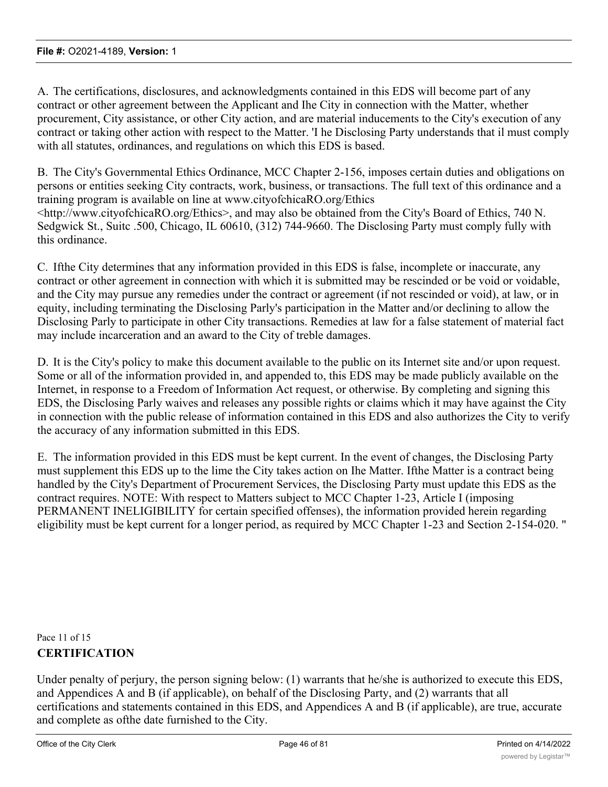A. The certifications, disclosures, and acknowledgments contained in this EDS will become part of any contract or other agreement between the Applicant and Ihe City in connection with the Matter, whether procurement, City assistance, or other City action, and are material inducements to the City's execution of any contract or taking other action with respect to the Matter. 'I he Disclosing Party understands that il must comply with all statutes, ordinances, and regulations on which this EDS is based.

B. The City's Governmental Ethics Ordinance, MCC Chapter 2-156, imposes certain duties and obligations on persons or entities seeking City contracts, work, business, or transactions. The full text of this ordinance and a training program is available on line at www.cityofchicaRO.org/Ethics <http://www.cityofchicaRO.org/Ethics>, and may also be obtained from the City's Board of Ethics, 740 N. Sedgwick St., Suitc .500, Chicago, IL 60610, (312) 744-9660. The Disclosing Party must comply fully with this ordinance.

C. Ifthe City determines that any information provided in this EDS is false, incomplete or inaccurate, any contract or other agreement in connection with which it is submitted may be rescinded or be void or voidable, and the City may pursue any remedies under the contract or agreement (if not rescinded or void), at law, or in equity, including terminating the Disclosing Parly's participation in the Matter and/or declining to allow the Disclosing Parly to participate in other City transactions. Remedies at law for a false statement of material fact may include incarceration and an award to the City of treble damages.

D. It is the City's policy to make this document available to the public on its Internet site and/or upon request. Some or all of the information provided in, and appended to, this EDS may be made publicly available on the Internet, in response to a Freedom of Information Act request, or otherwise. By completing and signing this EDS, the Disclosing Parly waives and releases any possible rights or claims which it may have against the City in connection with the public release of information contained in this EDS and also authorizes the City to verify the accuracy of any information submitted in this EDS.

E. The information provided in this EDS must be kept current. In the event of changes, the Disclosing Party must supplement this EDS up to the lime the City takes action on Ihe Matter. Ifthe Matter is a contract being handled by the City's Department of Procurement Services, the Disclosing Party must update this EDS as the contract requires. NOTE: With respect to Matters subject to MCC Chapter 1-23, Article I (imposing PERMANENT INELIGIBILITY for certain specified offenses), the information provided herein regarding eligibility must be kept current for a longer period, as required by MCC Chapter 1-23 and Section 2-154-020. "

Pace 11 of 15 **CERTIFICATION**

Under penalty of perjury, the person signing below: (1) warrants that he/she is authorized to execute this EDS, and Appendices A and B (if applicable), on behalf of the Disclosing Party, and (2) warrants that all certifications and statements contained in this EDS, and Appendices A and B (if applicable), are true, accurate and complete as ofthe date furnished to the City.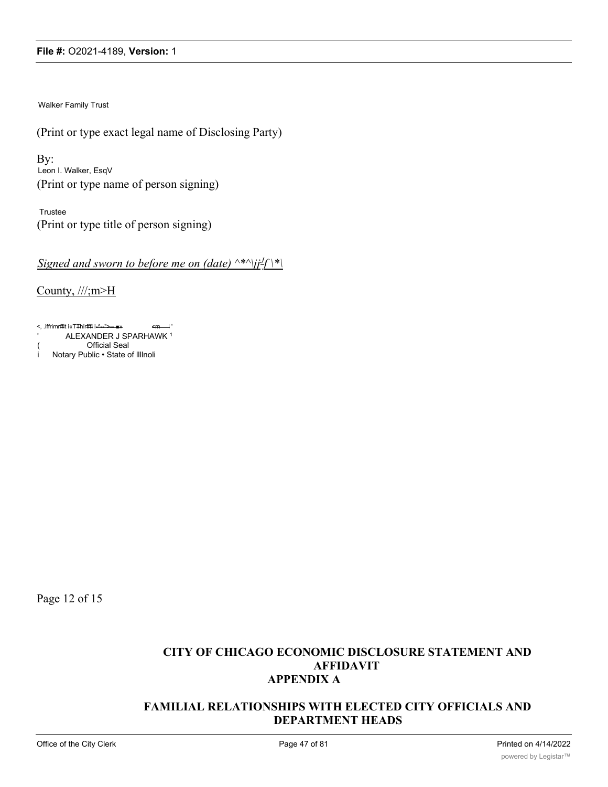Walker Family Trust

(Print or type exact legal name of Disclosing Party)

By: Leon I. Walker, EsqV (Print or type name of person signing)

Trustee (Print or type title of person signing)

*Signed and sworn to before me on (date) ^\*^\jjJ f \\*\*

County, ///;m>H

<, .iffrimrfflt i«TThirfffi i-^--">-- ■» <m i ' 'ALEXANDER J SPARHAWK<sup>1</sup>

(**Chritial Seal**<br>i Notary Public • State o Notary Public • State of IllInoli

Page 12 of 15

## **CITY OF CHICAGO ECONOMIC DISCLOSURE STATEMENT AND AFFIDAVIT APPENDIX A**

## **FAMILIAL RELATIONSHIPS WITH ELECTED CITY OFFICIALS AND DEPARTMENT HEADS**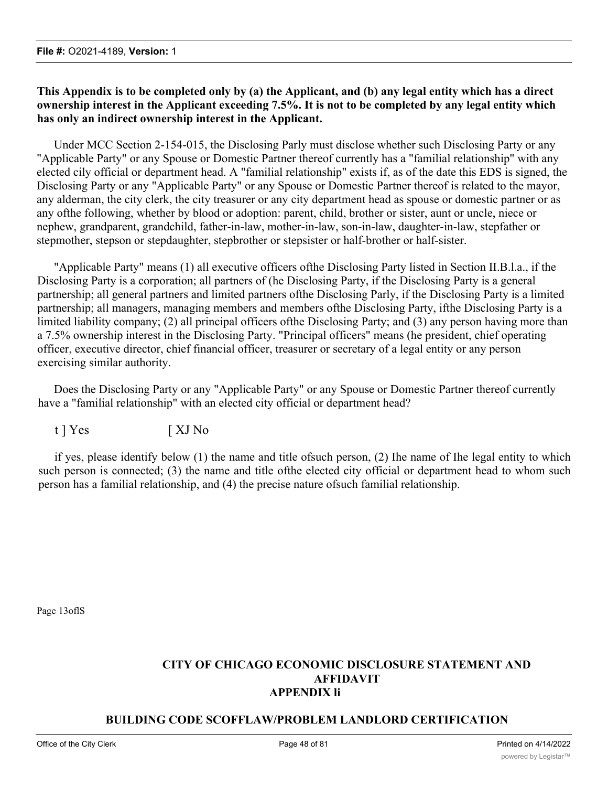## **This Appendix is to be completed only by (a) the Applicant, and (b) any legal entity which has a direct ownership interest in the Applicant exceeding 7.5%. It is not to be completed by any legal entity which has only an indirect ownership interest in the Applicant.**

Under MCC Section 2-154-015, the Disclosing Parly must disclose whether such Disclosing Party or any "Applicable Party" or any Spouse or Domestic Partner thereof currently has a "familial relationship" with any elected cily official or department head. A "familial relationship" exists if, as of the date this EDS is signed, the Disclosing Party or any "Applicable Party" or any Spouse or Domestic Partner thereof is related to the mayor, any alderman, the city clerk, the city treasurer or any city department head as spouse or domestic partner or as any ofthe following, whether by blood or adoption: parent, child, brother or sister, aunt or uncle, niece or nephew, grandparent, grandchild, father-in-law, mother-in-law, son-in-law, daughter-in-law, stepfather or stepmother, stepson or stepdaughter, stepbrother or stepsister or half-brother or half-sister.

"Applicable Party" means (1) all executive officers ofthe Disclosing Party listed in Section II.B.l.a., if the Disclosing Party is a corporation; all partners of (he Disclosing Party, if the Disclosing Party is a general partnership; all general partners and limited partners ofthe Disclosing Parly, if the Disclosing Party is a limited partnership; all managers, managing members and members ofthe Disclosing Party, ifthe Disclosing Party is a limited liability company; (2) all principal officers ofthe Disclosing Party; and (3) any person having more than a 7.5% ownership interest in the Disclosing Party. "Principal officers" means (he president, chief operating officer, executive director, chief financial officer, treasurer or secretary of a legal entity or any person exercising similar authority.

Does the Disclosing Party or any "Applicable Party" or any Spouse or Domestic Partner thereof currently have a "familial relationship" with an elected city official or department head?

t ] Yes [ XJ No

if yes, please identify below (1) the name and title ofsuch person, (2) Ihe name of Ihe legal entity to which such person is connected; (3) the name and title ofthe elected city official or department head to whom such person has a familial relationship, and (4) the precise nature ofsuch familial relationship.

Page 13oflS

## **CITY OF CHICAGO ECONOMIC DISCLOSURE STATEMENT AND AFFIDAVIT APPENDIX li**

## **BUILDING CODE SCOFFLAW/PROBLEM LANDLORD CERTIFICATION**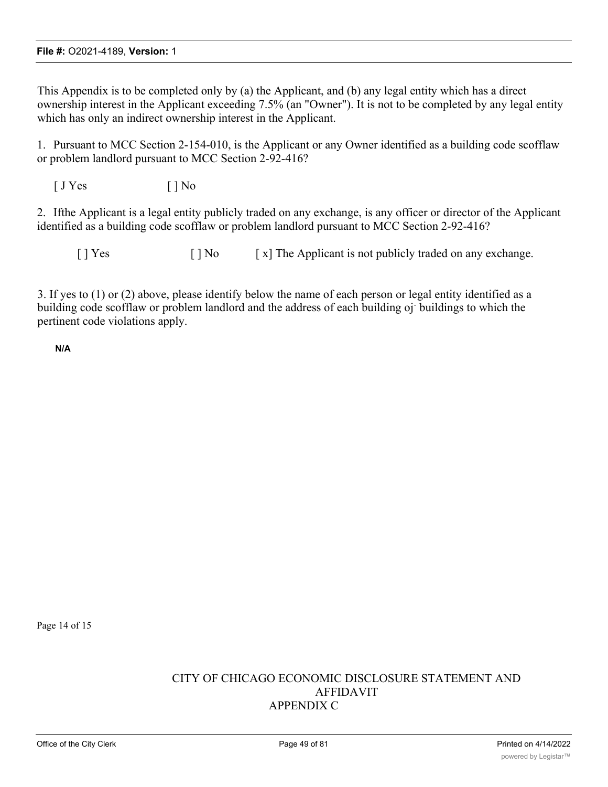This Appendix is to be completed only by (a) the Applicant, and (b) any legal entity which has a direct ownership interest in the Applicant exceeding 7.5% (an "Owner"). It is not to be completed by any legal entity which has only an indirect ownership interest in the Applicant.

1. Pursuant to MCC Section 2-154-010, is the Applicant or any Owner identified as a building code scofflaw or problem landlord pursuant to MCC Section 2-92-416?

 $[JYes$   $[ ]No$ 

2. Ifthe Applicant is a legal entity publicly traded on any exchange, is any officer or director of the Applicant identified as a building code scofflaw or problem landlord pursuant to MCC Section 2-92-416?

 $[ ]$  Yes  $[ ]$  No  $[ x ]$  The Applicant is not publicly traded on any exchange.

3. If yes to (1) or (2) above, please identify below the name of each person or legal entity identified as a building code scofflaw or problem landlord and the address of each building oj- buildings to which the pertinent code violations apply.

**N/A**

Page 14 of 15

## CITY OF CHICAGO ECONOMIC DISCLOSURE STATEMENT AND AFFIDAVIT APPENDIX C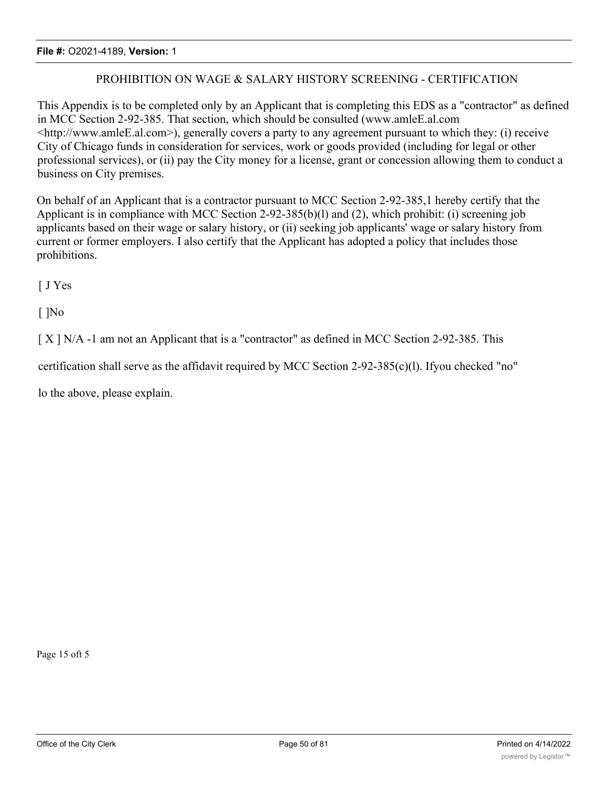## PROHIBITION ON WAGE & SALARY HISTORY SCREENING - CERTIFICATION

This Appendix is to be completed only by an Applicant that is completing this EDS as a "contractor" as defined in MCC Section 2-92-385. That section, which should be consulted (www.amleE.al.com <http://www.amleE.al.com>), generally covers a party to any agreement pursuant to which they: (i) receive City of Chicago funds in consideration for services, work or goods provided (including for legal or other professional services), or (ii) pay the City money for a license, grant or concession allowing them to conduct a business on City premises.

On behalf of an Applicant that is a contractor pursuant to MCC Section 2-92-385,1 hereby certify that the Applicant is in compliance with MCC Section 2-92-385(b)(l) and (2), which prohibit: (i) screening job applicants based on their wage or salary history, or (ii) seeking job applicants' wage or salary history from current or former employers. I also certify that the Applicant has adopted a policy that includes those prohibitions.

[ J Yes

[ ]No

[ X ] N/A -1 am not an Applicant that is a "contractor" as defined in MCC Section 2-92-385. This

certification shall serve as the affidavit required by MCC Section 2-92-385(c)(l). Ifyou checked "no"

lo the above, please explain.

Page 15 oft 5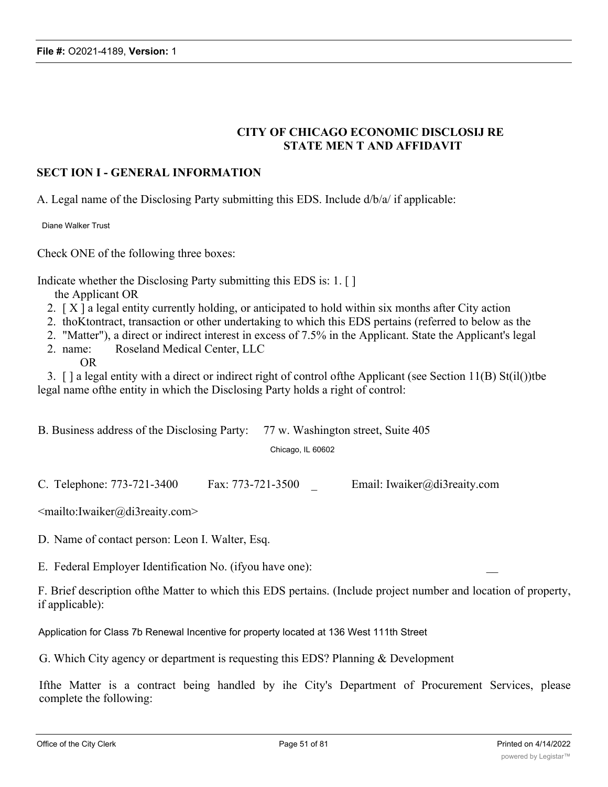# **CITY OF CHICAGO ECONOMIC DISCLOSIJ RE STATE MEN T AND AFFIDAVIT**

## **SECT ION I - GENERAL INFORMATION**

A. Legal name of the Disclosing Party submitting this EDS. Include d/b/a/ if applicable:

Diane Walker Trust

Check ONE of the following three boxes:

Indicate whether the Disclosing Party submitting this EDS is: 1. [ ]

the Applicant OR

- 2. [ X ] a legal entity currently holding, or anticipated to hold within six months after City action
- 2. thoKtontract, transaction or other undertaking to which this EDS pertains (referred to below as the
- 2. "Matter"), a direct or indirect interest in excess of 7.5% in the Applicant. State the Applicant's legal
- 2. name: Roseland Medical Center, LLC
	- OR

3. [ ] a legal entity with a direct or indirect right of control ofthe Applicant (see Section 11(B) St(il())tbe legal name ofthe entity in which the Disclosing Party holds a right of control:

| B. Business address of the Disclosing Party: 77 w. Washington street, Suite 405 |                   |  |
|---------------------------------------------------------------------------------|-------------------|--|
|                                                                                 | Chicago. IL 60602 |  |

C. Telephone: 773-721-3400 Fax: 773-721-3500 \_ Email: Iwaiker@di3reaity.com

<mailto:Iwaiker@di3reaity.com>

D. Name of contact person: Leon I. Walter, Esq.

E. Federal Employer Identification No. (if you have one):

F. Brief description ofthe Matter to which this EDS pertains. (Include project number and location of property, if applicable):

Application for Class 7b Renewal Incentive for property located at 136 West 111th Street

G. Which City agency or department is requesting this EDS? Planning & Development

Ifthe Matter is a contract being handled by ihe City's Department of Procurement Services, please complete the following: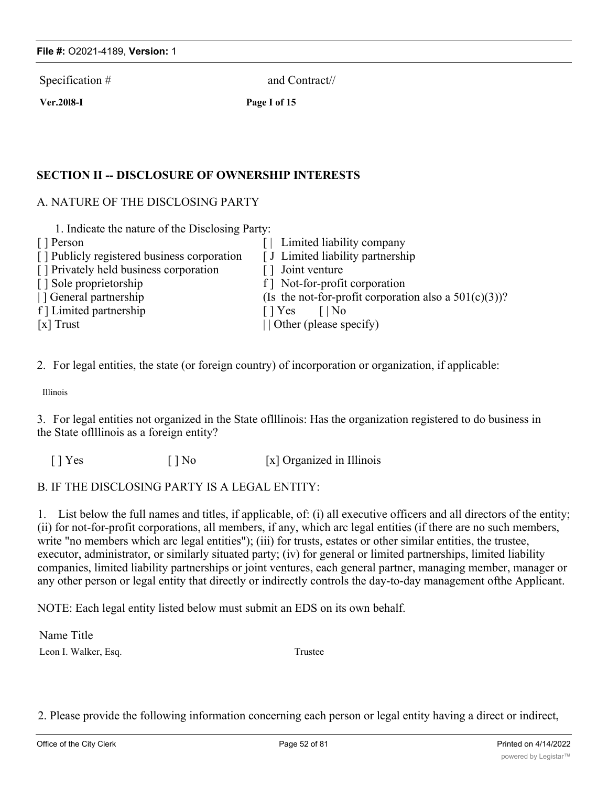Specification # and Contract//

**Ver.20l8-I Page I of 15**

## **SECTION II -- DISCLOSURE OF OWNERSHIP INTERESTS**

## A. NATURE OF THE DISCLOSING PARTY

| 1. Indicate the nature of the Disclosing Party: |                                                          |
|-------------------------------------------------|----------------------------------------------------------|
| [ ] Person                                      | Limited liability company                                |
| [] Publicly registered business corporation     | [ J Limited liability partnership                        |
| [] Privately held business corporation          | [] Joint venture                                         |
| [] Sole proprietorship                          | f Mot-for-profit corporation                             |
| General partnership                             | (Is the not-for-profit corporation also a $501(c)(3)$ )? |
| f   Limited partnership                         | $\lceil  \text{No} \rceil$<br>$\lceil \cdot \rceil$ Yes  |
| $[x]$ Trust                                     | $\vert$ Other (please specify)                           |

2. For legal entities, the state (or foreign country) of incorporation or organization, if applicable:

Illinois

3. For legal entities not organized in the State oflllinois: Has the organization registered to do business in the State oflllinois as a foreign entity?

[ ] Yes [ ] No [x] Organized in Illinois

## B. IF THE DISCLOSING PARTY IS A LEGAL ENTITY:

1. List below the full names and titles, if applicable, of: (i) all executive officers and all directors of the entity; (ii) for not-for-profit corporations, all members, if any, which arc legal entities (if there are no such members, write "no members which arc legal entities"); (iii) for trusts, estates or other similar entities, the trustee, executor, administrator, or similarly situated party; (iv) for general or limited partnerships, limited liability companies, limited liability partnerships or joint ventures, each general partner, managing member, manager or any other person or legal entity that directly or indirectly controls the day-to-day management ofthe Applicant.

NOTE: Each legal entity listed below must submit an EDS on its own behalf.

Name Title Leon I. Walker, Esq. Trustee

2. Please provide the following information concerning each person or legal entity having a direct or indirect,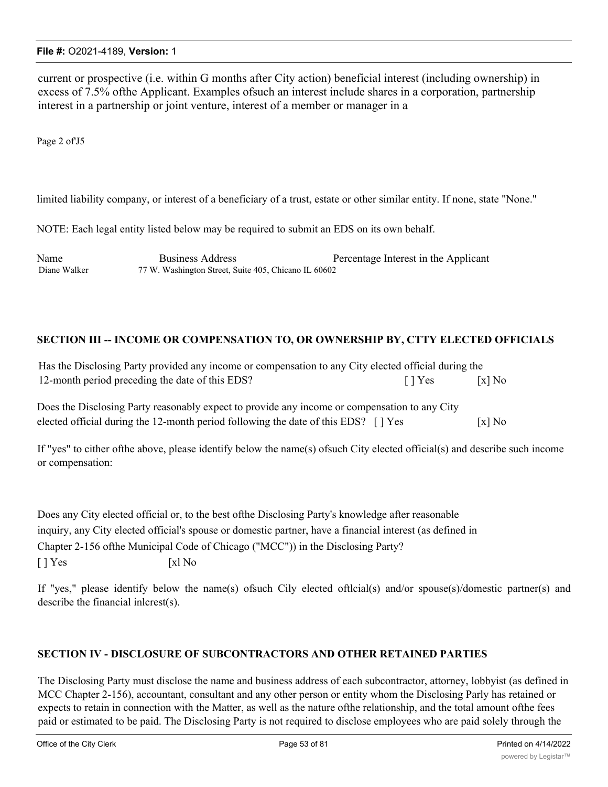current or prospective (i.e. within G months after City action) beneficial interest (including ownership) in excess of 7.5% ofthe Applicant. Examples ofsuch an interest include shares in a corporation, partnership interest in a partnership or joint venture, interest of a member or manager in a

Page 2 of'J5

limited liability company, or interest of a beneficiary of a trust, estate or other similar entity. If none, state "None."

NOTE: Each legal entity listed below may be required to submit an EDS on its own behalf.

Name Business Address Percentage Interest in the Applicant Diane Walker 77 W. Washington Street, Suite 405, Chicano IL 60602

## **SECTION III -- INCOME OR COMPENSATION TO, OR OWNERSHIP BY, CTTY ELECTED OFFICIALS**

| Has the Disclosing Party provided any income or compensation to any City elected official during the |                           |          |
|------------------------------------------------------------------------------------------------------|---------------------------|----------|
| 12-month period preceding the date of this EDS?                                                      | $\lceil \cdot \rceil$ Yes | $[x]$ No |

Does the Disclosing Party reasonably expect to provide any income or compensation to any City elected official during the 12-month period following the date of this EDS? [ ] Yes [x] No

If "yes" to cither ofthe above, please identify below the name(s) ofsuch City elected official(s) and describe such income or compensation:

Does any City elected official or, to the best ofthe Disclosing Party's knowledge after reasonable inquiry, any City elected official's spouse or domestic partner, have a financial interest (as defined in Chapter 2-156 ofthe Municipal Code of Chicago ("MCC")) in the Disclosing Party?  $[ ]$  Yes  $[x]$  No

If "yes," please identify below the name(s) ofsuch Cily elected oftlcial(s) and/or spouse(s)/domestic partner(s) and describe the financial inlcrest(s).

#### **SECTION IV - DISCLOSURE OF SUBCONTRACTORS AND OTHER RETAINED PARTIES**

The Disclosing Party must disclose the name and business address of each subcontractor, attorney, lobbyist (as defined in MCC Chapter 2-156), accountant, consultant and any other person or entity whom the Disclosing Parly has retained or expects to retain in connection with the Matter, as well as the nature ofthe relationship, and the total amount ofthe fees paid or estimated to be paid. The Disclosing Party is not required to disclose employees who are paid solely through the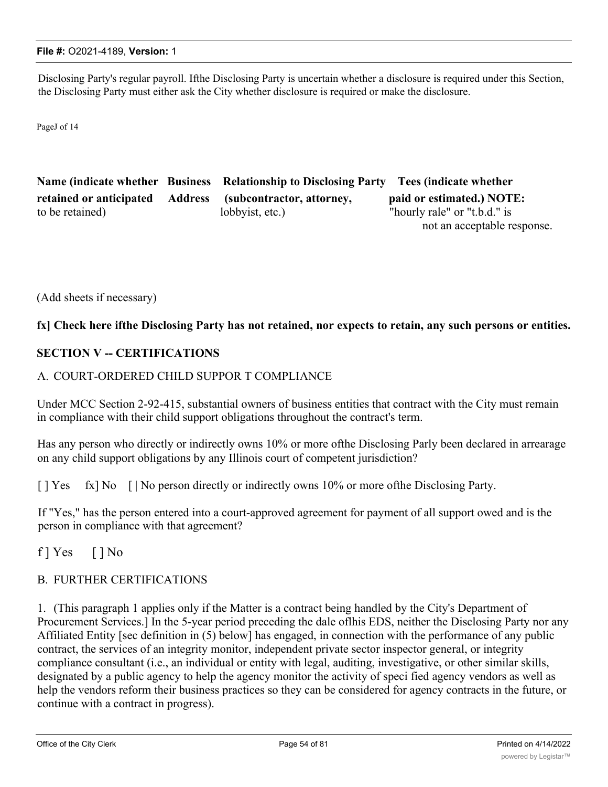Disclosing Party's regular payroll. Ifthe Disclosing Party is uncertain whether a disclosure is required under this Section, the Disclosing Party must either ask the City whether disclosure is required or make the disclosure.

PageJ of 14

|                         | Name (indicate whether Business Relationship to Disclosing Party Tees (indicate whether |                              |
|-------------------------|-----------------------------------------------------------------------------------------|------------------------------|
| retained or anticipated | Address (subcontractor, attorney,                                                       | paid or estimated.) NOTE:    |
| to be retained)         | lobbyist, etc.)                                                                         | "hourly rale" or "t.b.d." is |
|                         |                                                                                         | not an acceptable response.  |

(Add sheets if necessary)

#### fx] Check here ifthe Disclosing Party has not retained, nor expects to retain, any such persons or entities.

## **SECTION V -- CERTIFICATIONS**

#### A. COURT-ORDERED CHILD SUPPOR T COMPLIANCE

Under MCC Section 2-92-415, substantial owners of business entities that contract with the City must remain in compliance with their child support obligations throughout the contract's term.

Has any person who directly or indirectly owns 10% or more ofthe Disclosing Parly been declared in arrearage on any child support obligations by any Illinois court of competent jurisdiction?

[ ] Yes fx] No [ | No person directly or indirectly owns 10% or more of the Disclosing Party.

If "Yes," has the person entered into a court-approved agreement for payment of all support owed and is the person in compliance with that agreement?

f  $] Yes$  [  $] No$ 

## B. FURTHER CERTIFICATIONS

1. (This paragraph 1 applies only if the Matter is a contract being handled by the City's Department of Procurement Services.] In the 5-year period preceding the dale oflhis EDS, neither the Disclosing Party nor any Affiliated Entity [sec definition in (5) below] has engaged, in connection with the performance of any public contract, the services of an integrity monitor, independent private sector inspector general, or integrity compliance consultant (i.e., an individual or entity with legal, auditing, investigative, or other similar skills, designated by a public agency to help the agency monitor the activity of speci fied agency vendors as well as help the vendors reform their business practices so they can be considered for agency contracts in the future, or continue with a contract in progress).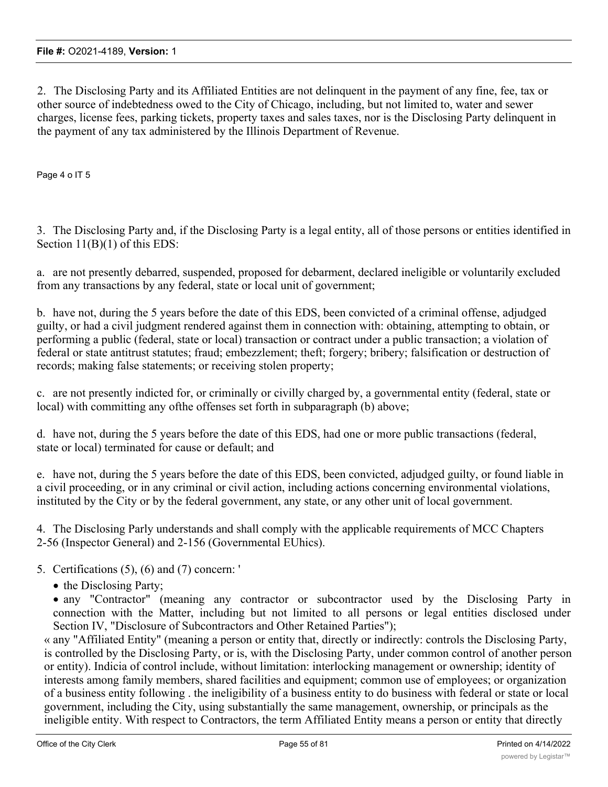2. The Disclosing Party and its Affiliated Entities are not delinquent in the payment of any fine, fee, tax or other source of indebtedness owed to the City of Chicago, including, but not limited to, water and sewer charges, license fees, parking tickets, property taxes and sales taxes, nor is the Disclosing Party delinquent in the payment of any tax administered by the Illinois Department of Revenue.

Page 4 o IT 5

3. The Disclosing Party and, if the Disclosing Party is a legal entity, all of those persons or entities identified in Section 11(B)(1) of this EDS:

a. are not presently debarred, suspended, proposed for debarment, declared ineligible or voluntarily excluded from any transactions by any federal, state or local unit of government;

b. have not, during the 5 years before the date of this EDS, been convicted of a criminal offense, adjudged guilty, or had a civil judgment rendered against them in connection with: obtaining, attempting to obtain, or performing a public (federal, state or local) transaction or contract under a public transaction; a violation of federal or state antitrust statutes; fraud; embezzlement; theft; forgery; bribery; falsification or destruction of records; making false statements; or receiving stolen property;

c. are not presently indicted for, or criminally or civilly charged by, a governmental entity (federal, state or local) with committing any ofthe offenses set forth in subparagraph (b) above;

d. have not, during the 5 years before the date of this EDS, had one or more public transactions (federal, state or local) terminated for cause or default; and

e. have not, during the 5 years before the date of this EDS, been convicted, adjudged guilty, or found liable in a civil proceeding, or in any criminal or civil action, including actions concerning environmental violations, instituted by the City or by the federal government, any state, or any other unit of local government.

4. The Disclosing Parly understands and shall comply with the applicable requirements of MCC Chapters 2-56 (Inspector General) and 2-156 (Governmental EUhics).

- 5. Certifications (5), (6) and (7) concern: '
	- the Disclosing Party;

· any "Contractor" (meaning any contractor or subcontractor used by the Disclosing Party in connection with the Matter, including but not limited to all persons or legal entities disclosed under Section IV, "Disclosure of Subcontractors and Other Retained Parties");

« any "Affiliated Entity" (meaning a person or entity that, directly or indirectly: controls the Disclosing Party, is controlled by the Disclosing Party, or is, with the Disclosing Party, under common control of another person or entity). Indicia of control include, without limitation: interlocking management or ownership; identity of interests among family members, shared facilities and equipment; common use of employees; or organization of a business entity following . the ineligibility of a business entity to do business with federal or state or local government, including the City, using substantially the same management, ownership, or principals as the ineligible entity. With respect to Contractors, the term Affiliated Entity means a person or entity that directly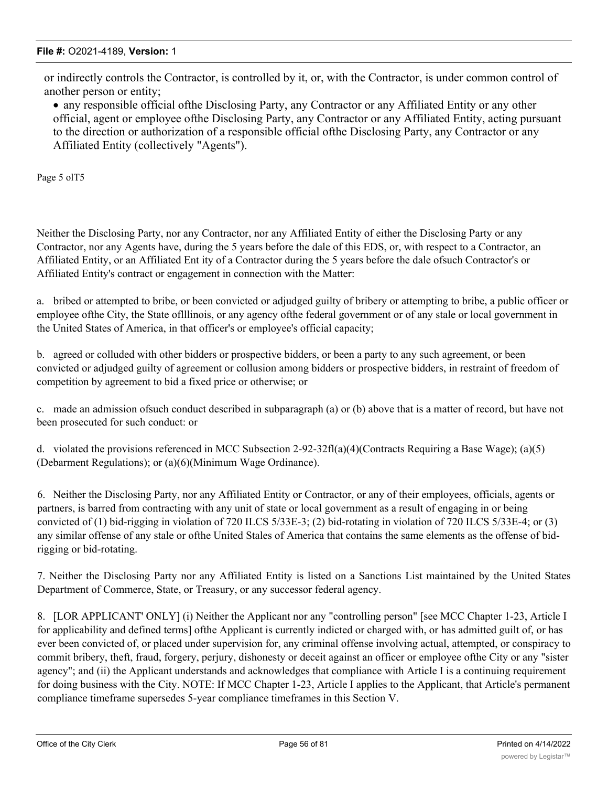or indirectly controls the Contractor, is controlled by it, or, with the Contractor, is under common control of another person or entity;

· any responsible official ofthe Disclosing Party, any Contractor or any Affiliated Entity or any other official, agent or employee ofthe Disclosing Party, any Contractor or any Affiliated Entity, acting pursuant to the direction or authorization of a responsible official ofthe Disclosing Party, any Contractor or any Affiliated Entity (collectively "Agents").

Page 5 olT5

Neither the Disclosing Party, nor any Contractor, nor any Affiliated Entity of either the Disclosing Party or any Contractor, nor any Agents have, during the 5 years before the dale of this EDS, or, with respect to a Contractor, an Affiliated Entity, or an Affiliated Ent ity of a Contractor during the 5 years before the dale ofsuch Contractor's or Affiliated Entity's contract or engagement in connection with the Matter:

a. bribed or attempted to bribe, or been convicted or adjudged guilty of bribery or attempting to bribe, a public officer or employee ofthe City, the State oflllinois, or any agency ofthe federal government or of any stale or local government in the United States of America, in that officer's or employee's official capacity;

b. agreed or colluded with other bidders or prospective bidders, or been a party to any such agreement, or been convicted or adjudged guilty of agreement or collusion among bidders or prospective bidders, in restraint of freedom of competition by agreement to bid a fixed price or otherwise; or

c. made an admission ofsuch conduct described in subparagraph (a) or (b) above that is a matter of record, but have not been prosecuted for such conduct: or

d. violated the provisions referenced in MCC Subsection 2-92-32fl(a)(4)(Contracts Requiring a Base Wage); (a)(5) (Debarment Regulations); or (a)(6)(Minimum Wage Ordinance).

6. Neither the Disclosing Party, nor any Affiliated Entity or Contractor, or any of their employees, officials, agents or partners, is barred from contracting with any unit of state or local government as a result of engaging in or being convicted of (1) bid-rigging in violation of 720 ILCS 5/33E-3; (2) bid-rotating in violation of 720 ILCS 5/33E-4; or (3) any similar offense of any stale or ofthe United Stales of America that contains the same elements as the offense of bidrigging or bid-rotating.

7. Neither the Disclosing Party nor any Affiliated Entity is listed on a Sanctions List maintained by the United States Department of Commerce, State, or Treasury, or any successor federal agency.

8. [LOR APPLICANT' ONLY] (i) Neither the Applicant nor any "controlling person" [see MCC Chapter 1-23, Article I for applicability and defined terms] ofthe Applicant is currently indicted or charged with, or has admitted guilt of, or has ever been convicted of, or placed under supervision for, any criminal offense involving actual, attempted, or conspiracy to commit bribery, theft, fraud, forgery, perjury, dishonesty or deceit against an officer or employee ofthe City or any "sister agency"; and (ii) the Applicant understands and acknowledges that compliance with Article I is a continuing requirement for doing business with the City. NOTE: If MCC Chapter 1-23, Article I applies to the Applicant, that Article's permanent compliance timeframe supersedes 5-year compliance timeframes in this Section V.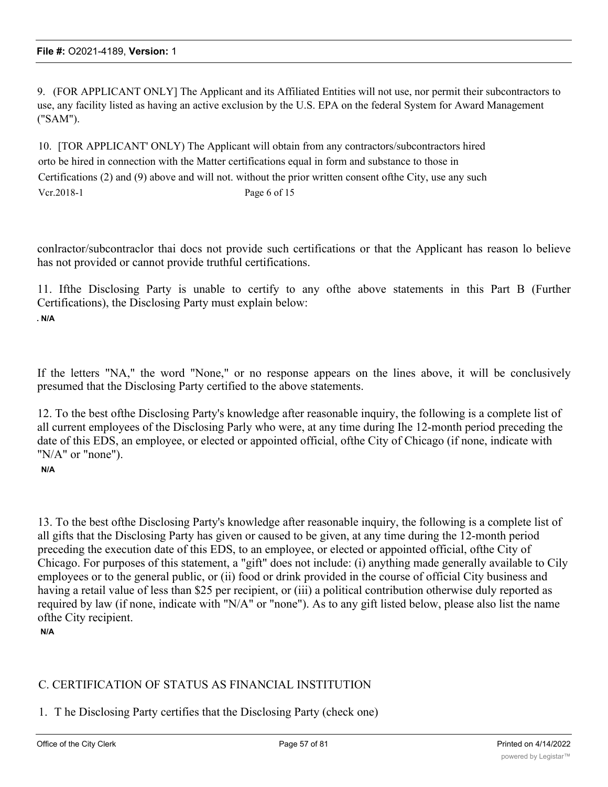9. (FOR APPLICANT ONLY] The Applicant and its Affiliated Entities will not use, nor permit their subcontractors to use, any facility listed as having an active exclusion by the U.S. EPA on the federal System for Award Management ("SAM").

10. [TOR APPLICANT' ONLY) The Applicant will obtain from any contractors/subcontractors hired orto be hired in connection with the Matter certifications equal in form and substance to those in Certifications (2) and (9) above and will not. without the prior written consent ofthe City, use any such Vcr.2018-1 Page 6 of 15

conlractor/subcontraclor thai docs not provide such certifications or that the Applicant has reason lo believe has not provided or cannot provide truthful certifications.

11. Ifthe Disclosing Party is unable to certify to any ofthe above statements in this Part B (Further Certifications), the Disclosing Party must explain below: **. N/A**

If the letters "NA," the word "None," or no response appears on the lines above, it will be conclusively presumed that the Disclosing Party certified to the above statements.

12. To the best ofthe Disclosing Party's knowledge after reasonable inquiry, the following is a complete list of all current employees of the Disclosing Parly who were, at any time during Ihe 12-month period preceding the date of this EDS, an employee, or elected or appointed official, ofthe City of Chicago (if none, indicate with "N/A" or "none").

**N/A**

13. To the best ofthe Disclosing Party's knowledge after reasonable inquiry, the following is a complete list of all gifts that the Disclosing Party has given or caused to be given, at any time during the 12-month period preceding the execution date of this EDS, to an employee, or elected or appointed official, ofthe City of Chicago. For purposes of this statement, a "gift" does not include: (i) anything made generally available to Cily employees or to the general public, or (ii) food or drink provided in the course of official City business and having a retail value of less than \$25 per recipient, or (iii) a political contribution otherwise duly reported as required by law (if none, indicate with "N/A" or "none"). As to any gift listed below, please also list the name ofthe City recipient.

**N/A**

## C. CERTIFICATION OF STATUS AS FINANCIAL INSTITUTION

1. T he Disclosing Party certifies that the Disclosing Party (check one)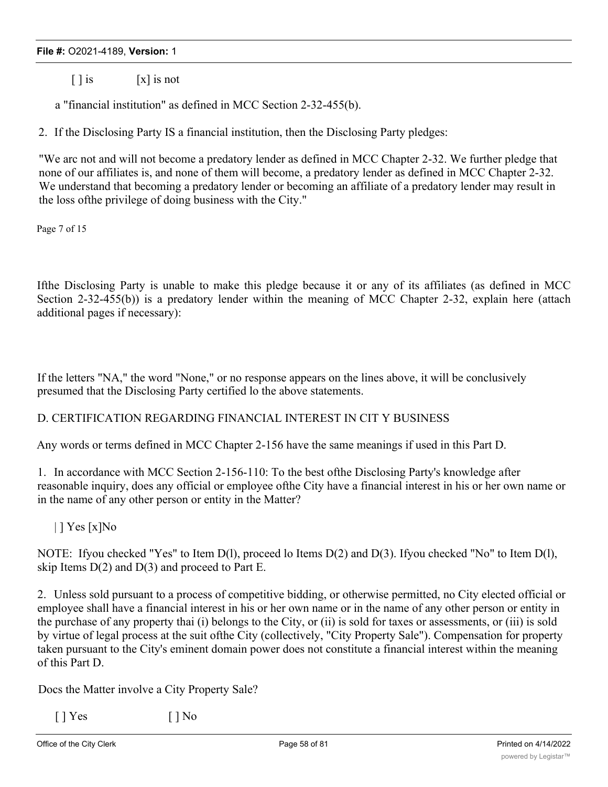$\lceil \cdot \rceil$  is  $\lceil x \rceil$  is not

a "financial institution" as defined in MCC Section 2-32-455(b).

2. If the Disclosing Party IS a financial institution, then the Disclosing Party pledges:

"We arc not and will not become a predatory lender as defined in MCC Chapter 2-32. We further pledge that none of our affiliates is, and none of them will become, a predatory lender as defined in MCC Chapter 2-32. We understand that becoming a predatory lender or becoming an affiliate of a predatory lender may result in the loss ofthe privilege of doing business with the City."

Page 7 of 15

Ifthe Disclosing Party is unable to make this pledge because it or any of its affiliates (as defined in MCC Section 2-32-455(b)) is a predatory lender within the meaning of MCC Chapter 2-32, explain here (attach additional pages if necessary):

If the letters "NA," the word "None," or no response appears on the lines above, it will be conclusively presumed that the Disclosing Party certified lo the above statements.

## D. CERTIFICATION REGARDING FINANCIAL INTEREST IN CIT Y BUSINESS

Any words or terms defined in MCC Chapter 2-156 have the same meanings if used in this Part D.

1. In accordance with MCC Section 2-156-110: To the best ofthe Disclosing Party's knowledge after reasonable inquiry, does any official or employee ofthe City have a financial interest in his or her own name or in the name of any other person or entity in the Matter?

 $|$  ] Yes [x]No

NOTE: Ifyou checked "Yes" to Item D(l), proceed lo Items D(2) and D(3). Ifyou checked "No" to Item D(l), skip Items  $D(2)$  and  $D(3)$  and proceed to Part E.

2. Unless sold pursuant to a process of competitive bidding, or otherwise permitted, no City elected official or employee shall have a financial interest in his or her own name or in the name of any other person or entity in the purchase of any property thai (i) belongs to the City, or (ii) is sold for taxes or assessments, or (iii) is sold by virtue of legal process at the suit ofthe City (collectively, "City Property Sale"). Compensation for property taken pursuant to the City's eminent domain power does not constitute a financial interest within the meaning of this Part D.

Docs the Matter involve a City Property Sale?

 $[$  | Yes  $[$  | No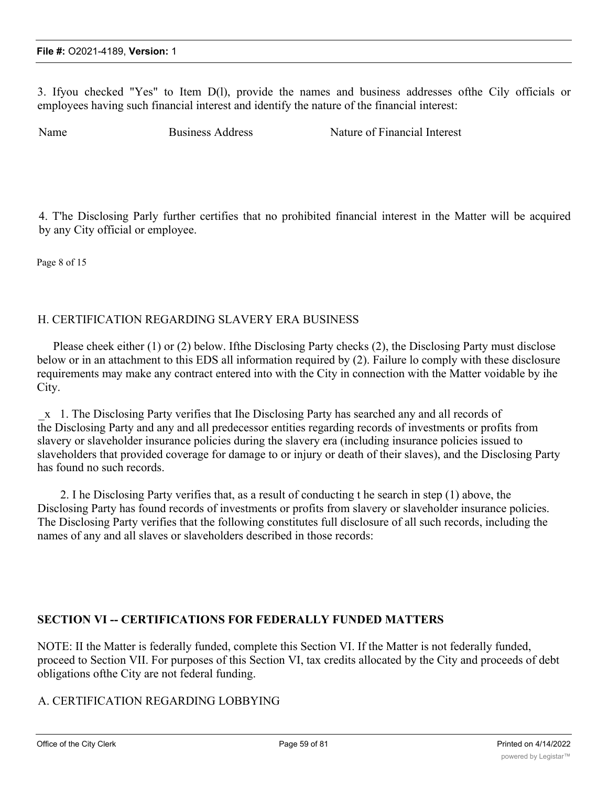3. Ifyou checked "Yes" to Item D(l), provide the names and business addresses ofthe Cily officials or employees having such financial interest and identify the nature of the financial interest:

Name Business Address Nature of Financial Interest

4. T'he Disclosing Parly further certifies that no prohibited financial interest in the Matter will be acquired by any City official or employee.

Page 8 of 15

## H. CERTIFICATION REGARDING SLAVERY ERA BUSINESS

Please cheek either (1) or (2) below. Ifthe Disclosing Party checks (2), the Disclosing Party must disclose below or in an attachment to this EDS all information required by (2). Failure lo comply with these disclosure requirements may make any contract entered into with the City in connection with the Matter voidable by ihe City.

\_x 1. The Disclosing Party verifies that Ihe Disclosing Party has searched any and all records of the Disclosing Party and any and all predecessor entities regarding records of investments or profits from slavery or slaveholder insurance policies during the slavery era (including insurance policies issued to slaveholders that provided coverage for damage to or injury or death of their slaves), and the Disclosing Party has found no such records.

2. I he Disclosing Party verifies that, as a result of conducting t he search in step (1) above, the Disclosing Party has found records of investments or profits from slavery or slaveholder insurance policies. The Disclosing Party verifies that the following constitutes full disclosure of all such records, including the names of any and all slaves or slaveholders described in those records:

## **SECTION VI -- CERTIFICATIONS FOR FEDERALLY FUNDED MATTERS**

NOTE: II the Matter is federally funded, complete this Section VI. If the Matter is not federally funded, proceed to Section VII. For purposes of this Section VI, tax credits allocated by the City and proceeds of debt obligations ofthe City are not federal funding.

## A. CERTIFICATION REGARDING LOBBYING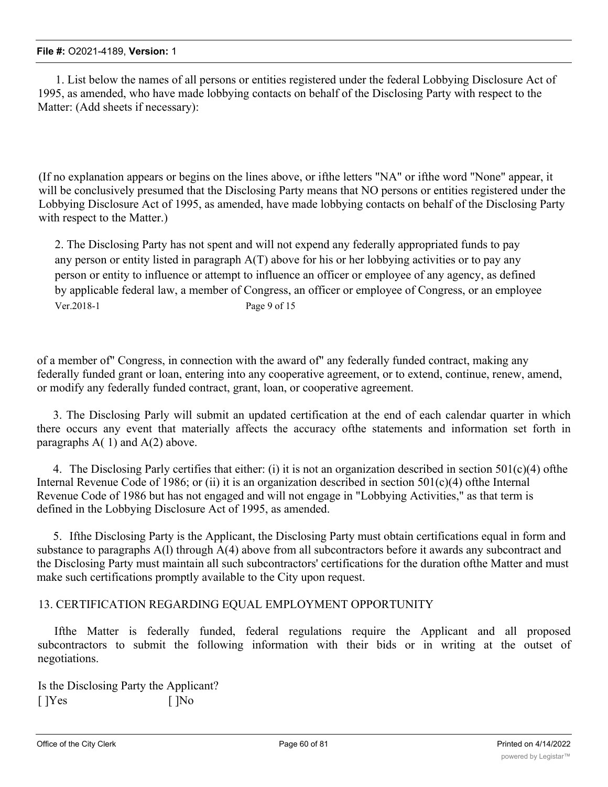1. List below the names of all persons or entities registered under the federal Lobbying Disclosure Act of 1995, as amended, who have made lobbying contacts on behalf of the Disclosing Party with respect to the Matter: (Add sheets if necessary):

(If no explanation appears or begins on the lines above, or ifthe letters "NA" or ifthe word "None" appear, it will be conclusively presumed that the Disclosing Party means that NO persons or entities registered under the Lobbying Disclosure Act of 1995, as amended, have made lobbying contacts on behalf of the Disclosing Party with respect to the Matter.)

2. The Disclosing Party has not spent and will not expend any federally appropriated funds to pay any person or entity listed in paragraph A(T) above for his or her lobbying activities or to pay any person or entity to influence or attempt to influence an officer or employee of any agency, as defined by applicable federal law, a member of Congress, an officer or employee of Congress, or an employee Ver.2018-1 Page 9 of 15

of a member of" Congress, in connection with the award of" any federally funded contract, making any federally funded grant or loan, entering into any cooperative agreement, or to extend, continue, renew, amend, or modify any federally funded contract, grant, loan, or cooperative agreement.

3. The Disclosing Parly will submit an updated certification at the end of each calendar quarter in which there occurs any event that materially affects the accuracy ofthe statements and information set forth in paragraphs  $A(1)$  and  $A(2)$  above.

4. The Disclosing Parly certifies that either: (i) it is not an organization described in section  $501(c)(4)$  ofthe Internal Revenue Code of 1986; or (ii) it is an organization described in section 501(c)(4) ofthe Internal Revenue Code of 1986 but has not engaged and will not engage in "Lobbying Activities," as that term is defined in the Lobbying Disclosure Act of 1995, as amended.

5. Ifthe Disclosing Party is the Applicant, the Disclosing Party must obtain certifications equal in form and substance to paragraphs A(l) through A(4) above from all subcontractors before it awards any subcontract and the Disclosing Party must maintain all such subcontractors' certifications for the duration ofthe Matter and must make such certifications promptly available to the City upon request.

## 13. CERTIFICATION REGARDING EQUAL EMPLOYMENT OPPORTUNITY

Ifthe Matter is federally funded, federal regulations require the Applicant and all proposed subcontractors to submit the following information with their bids or in writing at the outset of negotiations.

Is the Disclosing Party the Applicant?  $[$   $]$ Yes  $[$   $]$ No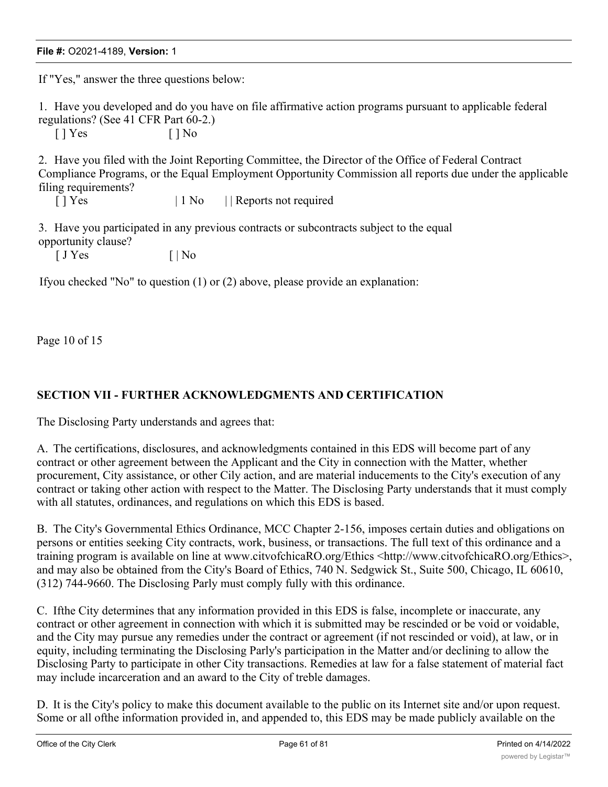If "Yes," answer the three questions below:

1. Have you developed and do you have on file affirmative action programs pursuant to applicable federal regulations? (See 41 CFR Part 60-2.)

 $[ ]$  Yes  $[ ]$  No

2. Have you filed with the Joint Reporting Committee, the Director of the Office of Federal Contract Compliance Programs, or the Equal Employment Opportunity Commission all reports due under the applicable filing requirements?

[ ] Yes  $| 1 No |$  Reports not required

3. Have you participated in any previous contracts or subcontracts subject to the equal opportunity clause?

 $\begin{bmatrix} J \space \end{bmatrix}$  Yes  $\begin{bmatrix} | \space \end{bmatrix}$ 

Ifyou checked "No" to question (1) or (2) above, please provide an explanation:

Page 10 of 15

## **SECTION VII - FURTHER ACKNOWLEDGMENTS AND CERTIFICATION**

The Disclosing Party understands and agrees that:

A. The certifications, disclosures, and acknowledgments contained in this EDS will become part of any contract or other agreement between the Applicant and the City in connection with the Matter, whether procurement, City assistance, or other Cily action, and are material inducements to the City's execution of any contract or taking other action with respect to the Matter. The Disclosing Party understands that it must comply with all statutes, ordinances, and regulations on which this EDS is based.

B. The City's Governmental Ethics Ordinance, MCC Chapter 2-156, imposes certain duties and obligations on persons or entities seeking City contracts, work, business, or transactions. The full text of this ordinance and a training program is available on line at www.citvofchicaRO.org/Ethics <http://www.citvofchicaRO.org/Ethics>, and may also be obtained from the City's Board of Ethics, 740 N. Sedgwick St., Suite 500, Chicago, IL 60610, (312) 744-9660. The Disclosing Parly must comply fully with this ordinance.

C. Ifthe City determines that any information provided in this EDS is false, incomplete or inaccurate, any contract or other agreement in connection with which it is submitted may be rescinded or be void or voidable, and the City may pursue any remedies under the contract or agreement (if not rescinded or void), at law, or in equity, including terminating the Disclosing Parly's participation in the Matter and/or declining to allow the Disclosing Party to participate in other City transactions. Remedies at law for a false statement of material fact may include incarceration and an award to the City of treble damages.

D. It is the City's policy to make this document available to the public on its Internet site and/or upon request. Some or all ofthe information provided in, and appended to, this EDS may be made publicly available on the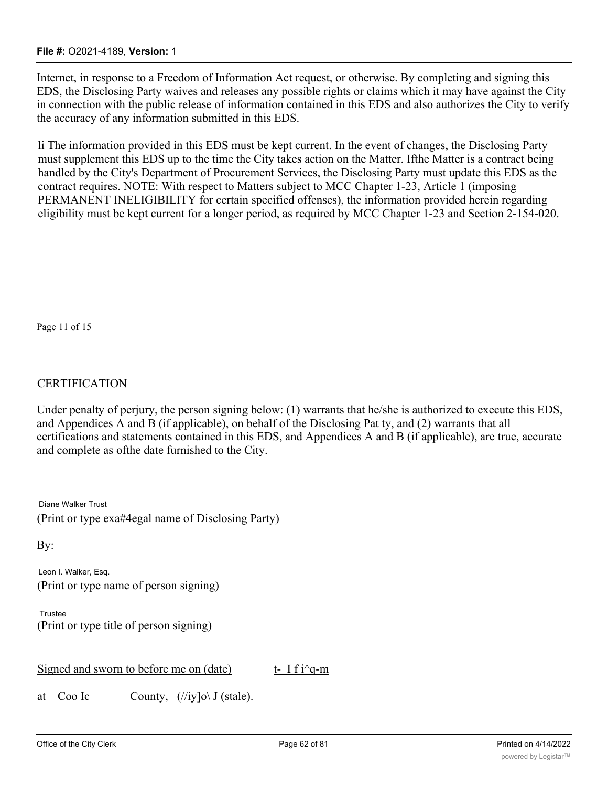Internet, in response to a Freedom of Information Act request, or otherwise. By completing and signing this EDS, the Disclosing Party waives and releases any possible rights or claims which it may have against the City in connection with the public release of information contained in this EDS and also authorizes the City to verify the accuracy of any information submitted in this EDS.

li The information provided in this EDS must be kept current. In the event of changes, the Disclosing Party must supplement this EDS up to the time the City takes action on the Matter. Ifthe Matter is a contract being handled by the City's Department of Procurement Services, the Disclosing Party must update this EDS as the contract requires. NOTE: With respect to Matters subject to MCC Chapter 1-23, Article 1 (imposing PERMANENT INELIGIBILITY for certain specified offenses), the information provided herein regarding eligibility must be kept current for a longer period, as required by MCC Chapter 1-23 and Section 2-154-020.

Page 11 of 15

# **CERTIFICATION**

Under penalty of perjury, the person signing below: (1) warrants that he/she is authorized to execute this EDS, and Appendices A and B (if applicable), on behalf of the Disclosing Pat ty, and (2) warrants that all certifications and statements contained in this EDS, and Appendices A and B (if applicable), are true, accurate and complete as ofthe date furnished to the City.

Diane Walker Trust (Print or type exa#4egal name of Disclosing Party)

By:

Leon I. Walker, Esq. (Print or type name of person signing)

Trustee (Print or type title of person signing)

Signed and sworn to before me on (date) t- I f i^q-m

at Coo Ic County,  $(\frac{1}{\text{iv}}) \circ \text{v}$  (stale).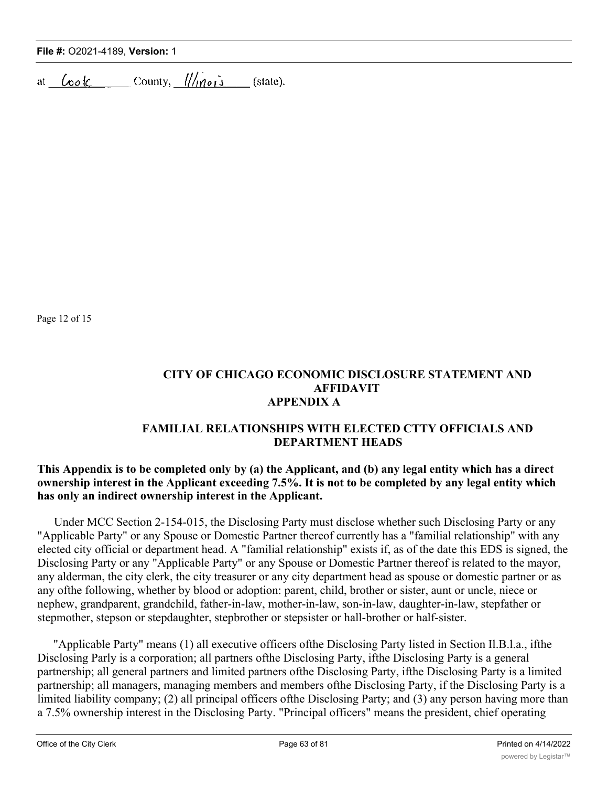|  | File #: 02021-4189, Version: 1 |  |  |
|--|--------------------------------|--|--|
|--|--------------------------------|--|--|

at  $\angle$  bok county,  $\frac{1}{\ln o}$  (state).

Page 12 of 15

## **CITY OF CHICAGO ECONOMIC DISCLOSURE STATEMENT AND AFFIDAVIT APPENDIX A**

## **FAMILIAL RELATIONSHIPS WITH ELECTED CTTY OFFICIALS AND DEPARTMENT HEADS**

# **This Appendix is to be completed only by (a) the Applicant, and (b) any legal entity which has a direct ownership interest in the Applicant exceeding 7.5%. It is not to be completed by any legal entity which has only an indirect ownership interest in the Applicant.**

Under MCC Section 2-154-015, the Disclosing Party must disclose whether such Disclosing Party or any "Applicable Party" or any Spouse or Domestic Partner thereof currently has a "familial relationship" with any elected city official or department head. A "familial relationship" exists if, as of the date this EDS is signed, the Disclosing Party or any "Applicable Party" or any Spouse or Domestic Partner thereof is related to the mayor, any alderman, the city clerk, the city treasurer or any city department head as spouse or domestic partner or as any ofthe following, whether by blood or adoption: parent, child, brother or sister, aunt or uncle, niece or nephew, grandparent, grandchild, father-in-law, mother-in-law, son-in-law, daughter-in-law, stepfather or stepmother, stepson or stepdaughter, stepbrother or stepsister or hall-brother or half-sister.

"Applicable Party" means (1) all executive officers ofthe Disclosing Party listed in Section Il.B.l.a., ifthe Disclosing Parly is a corporation; all partners ofthe Disclosing Party, ifthe Disclosing Party is a general partnership; all general partners and limited partners ofthe Disclosing Party, ifthe Disclosing Party is a limited partnership; all managers, managing members and members ofthe Disclosing Party, if the Disclosing Party is a limited liability company; (2) all principal officers ofthe Disclosing Party; and (3) any person having more than a 7.5% ownership interest in the Disclosing Party. "Principal officers" means the president, chief operating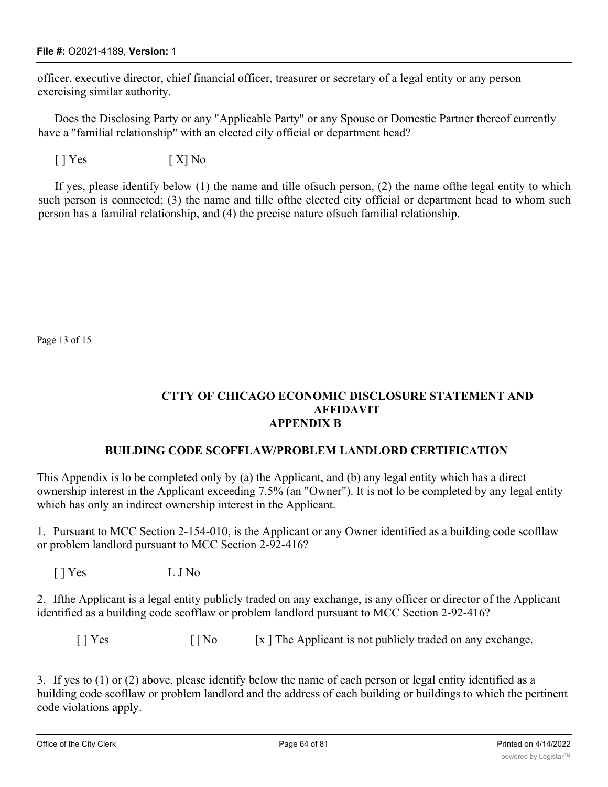officer, executive director, chief financial officer, treasurer or secretary of a legal entity or any person exercising similar authority.

Does the Disclosing Party or any "Applicable Party" or any Spouse or Domestic Partner thereof currently have a "familial relationship" with an elected cily official or department head?

 $[ ] Yes$   $[ X ] No$ 

If yes, please identify below (1) the name and tille ofsuch person, (2) the name ofthe legal entity to which such person is connected; (3) the name and tille ofthe elected city official or department head to whom such person has a familial relationship, and (4) the precise nature ofsuch familial relationship.

Page 13 of 15

## **CTTY OF CHICAGO ECONOMIC DISCLOSURE STATEMENT AND AFFIDAVIT APPENDIX B**

## **BUILDING CODE SCOFFLAW/PROBLEM LANDLORD CERTIFICATION**

This Appendix is lo be completed only by (a) the Applicant, and (b) any legal entity which has a direct ownership interest in the Applicant exceeding 7.5% (an "Owner"). It is not lo be completed by any legal entity which has only an indirect ownership interest in the Applicant.

1. Pursuant to MCC Section 2-154-010, is the Applicant or any Owner identified as a building code scofllaw or problem landlord pursuant to MCC Section 2-92-416?

[ ] Yes L J No

2. Ifthe Applicant is a legal entity publicly traded on any exchange, is any officer or director of the Applicant identified as a building code scofflaw or problem landlord pursuant to MCC Section 2-92-416?

 $[ |$  Yes  $[ |$  No  $[ x ]$  The Applicant is not publicly traded on any exchange.

3. If yes to (1) or (2) above, please identify below the name of each person or legal entity identified as a building code scofllaw or problem landlord and the address of each building or buildings to which the pertinent code violations apply.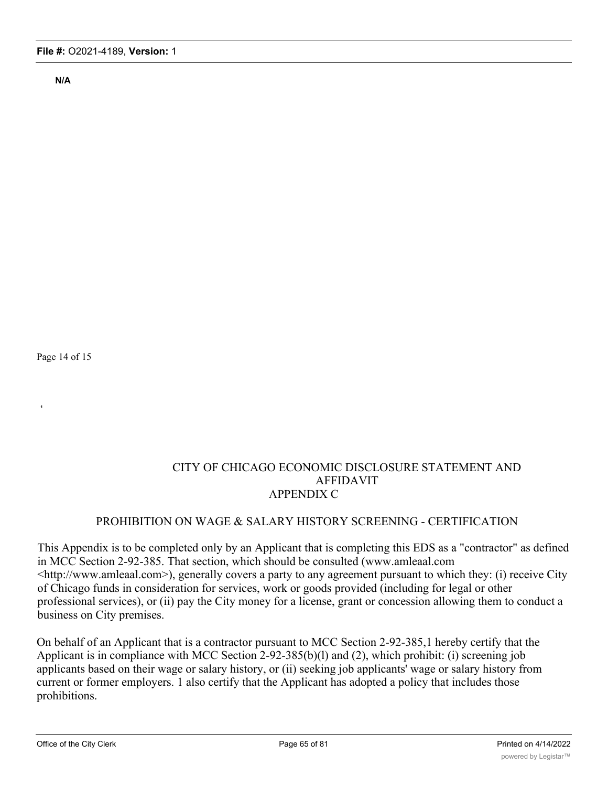**N/A**

Page 14 of 15

**1**

## CITY OF CHICAGO ECONOMIC DISCLOSURE STATEMENT AND AFFIDAVIT APPENDIX C

# PROHIBITION ON WAGE & SALARY HISTORY SCREENING - CERTIFICATION

This Appendix is to be completed only by an Applicant that is completing this EDS as a "contractor" as defined in MCC Section 2-92-385. That section, which should be consulted (www.amleaal.com <http://www.amleaal.com>), generally covers a party to any agreement pursuant to which they: (i) receive City of Chicago funds in consideration for services, work or goods provided (including for legal or other professional services), or (ii) pay the City money for a license, grant or concession allowing them to conduct a business on City premises.

On behalf of an Applicant that is a contractor pursuant to MCC Section 2-92-385,1 hereby certify that the Applicant is in compliance with MCC Section 2-92-385(b)(l) and (2), which prohibit: (i) screening job applicants based on their wage or salary history, or (ii) seeking job applicants' wage or salary history from current or former employers. 1 also certify that the Applicant has adopted a policy that includes those prohibitions.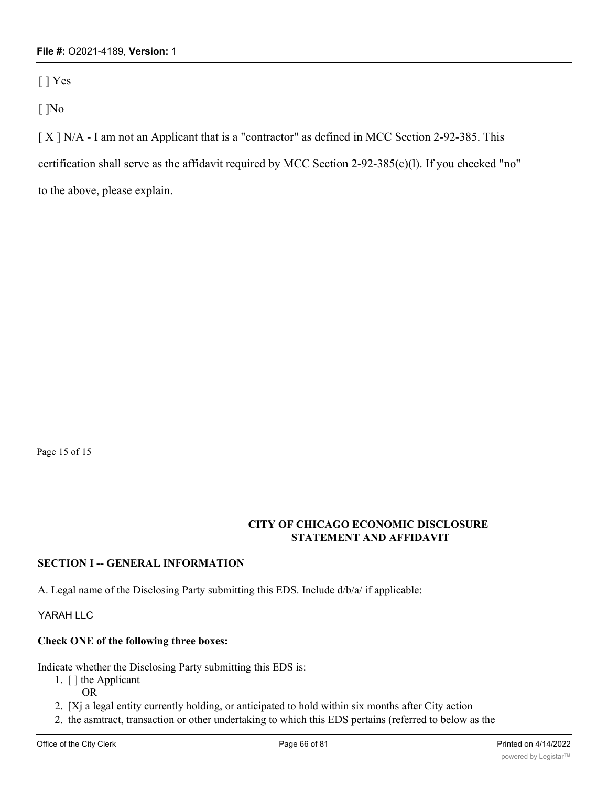[ ] Yes

[ ]No

[ X ] N/A - I am not an Applicant that is a "contractor" as defined in MCC Section 2-92-385. This certification shall serve as the affidavit required by MCC Section 2-92-385(c)(l). If you checked "no" to the above, please explain.

Page 15 of 15

## **CITY OF CHICAGO ECONOMIC DISCLOSURE STATEMENT AND AFFIDAVIT**

## **SECTION I -- GENERAL INFORMATION**

A. Legal name of the Disclosing Party submitting this EDS. Include d/b/a/ if applicable:

YARAH LLC

## **Check ONE of the following three boxes:**

Indicate whether the Disclosing Party submitting this EDS is:

- 1. [ ] the Applicant
	- OR

2. [Xj a legal entity currently holding, or anticipated to hold within six months after City action

2. the asmtract, transaction or other undertaking to which this EDS pertains (referred to below as the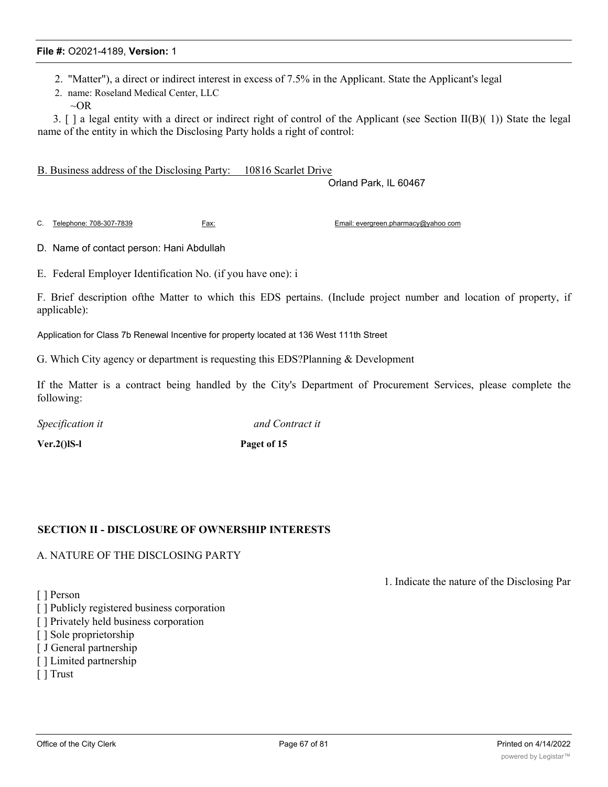- 2. "Matter"), a direct or indirect interest in excess of 7.5% in the Applicant. State the Applicant's legal
- 2. name: Roseland Medical Center, LLC
- $\sim$ OR

3. [ ] a legal entity with a direct or indirect right of control of the Applicant (see Section II(B)( 1)) State the legal name of the entity in which the Disclosing Party holds a right of control:

B. Business address of the Disclosing Party: 10816 Scarlet Drive

Orland Park, IL 60467

C. Telephone: 708-307-7839 Fax: Email: evergreen.pharmacy@yahoo com

D. Name of contact person: Hani Abdullah

E. Federal Employer Identification No. (if you have one): i

F. Brief description ofthe Matter to which this EDS pertains. (Include project number and location of property, if applicable):

Application for Class 7b Renewal Incentive for property located at 136 West 111th Street

G. Which City agency or department is requesting this EDS?Planning & Development

If the Matter is a contract being handled by the City's Department of Procurement Services, please complete the following:

*Specification it and Contract it*

**Ver.2()lS-l Paget of 15**

## **SECTION II - DISCLOSURE OF OWNERSHIP INTERESTS**

#### A. NATURE OF THE DISCLOSING PARTY

[ ] Person

- [] Publicly registered business corporation
- [ ] Privately held business corporation
- [ ] Sole proprietorship
- [ J General partnership
- [ ] Limited partnership
- [ ] Trust

1. Indicate the nature of the Disclosing Par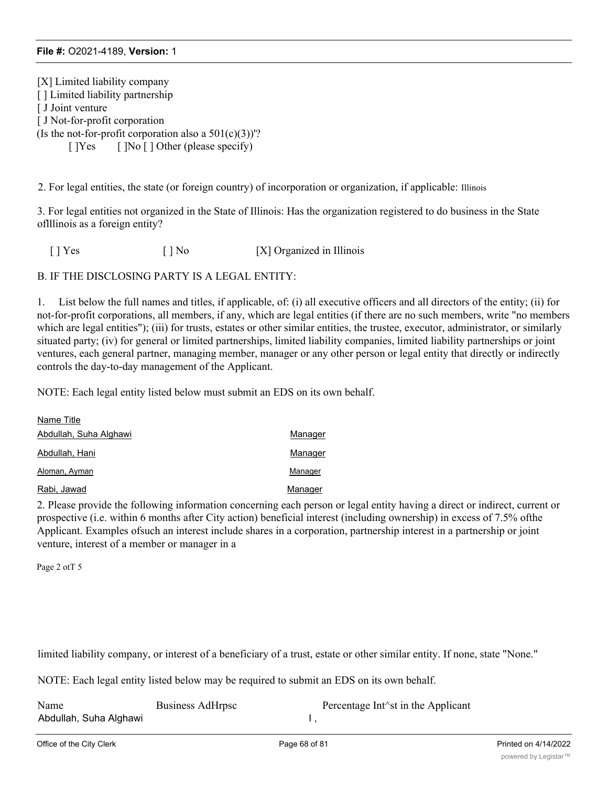[X] Limited liability company [] Limited liability partnership [ J Joint venture [ J Not-for-profit corporation (Is the not-for-profit corporation also a  $501(c)(3)$ )'?  $[$  ]Yes  $[$  ]No  $[$  ] Other (please specify)

2. For legal entities, the state (or foreign country) of incorporation or organization, if applicable: Illinois

3. For legal entities not organized in the State of Illinois: Has the organization registered to do business in the State oflllinois as a foreign entity?

[ ] Yes [ ] No [X] Organized in Illinois

B. IF THE DISCLOSING PARTY IS A LEGAL ENTITY:

1. List below the full names and titles, if applicable, of: (i) all executive officers and all directors of the entity; (ii) for not-for-profit corporations, all members, if any, which are legal entities (if there are no such members, write "no members which are legal entities"); (iii) for trusts, estates or other similar entities, the trustee, executor, administrator, or similarly situated party; (iv) for general or limited partnerships, limited liability companies, limited liability partnerships or joint ventures, each general partner, managing member, manager or any other person or legal entity that directly or indirectly controls the day-to-day management of the Applicant.

NOTE: Each legal entity listed below must submit an EDS on its own behalf.

| Name Title             |         |
|------------------------|---------|
| Abdullah, Suha Alghawi | Manager |
| Abdullah, Hani         | Manager |
| Aloman, Ayman          | Manager |
| Rabi, Jawad            | Manager |

2. Please provide the following information concerning each person or legal entity having a direct or indirect, current or prospective (i.e. within 6 months after City action) beneficial interest (including ownership) in excess of 7.5% ofthe Applicant. Examples ofsuch an interest include shares in a corporation, partnership interest in a partnership or joint venture, interest of a member or manager in a

Page 2 otT 5

limited liability company, or interest of a beneficiary of a trust, estate or other similar entity. If none, state "None."

NOTE: Each legal entity listed below may be required to submit an EDS on its own behalf.

| Name                   | Business AdHrpsc | Percentage Int <sup><math>\land</math></sup> st in the Applicant |
|------------------------|------------------|------------------------------------------------------------------|
| Abdullah, Suha Alghawi |                  |                                                                  |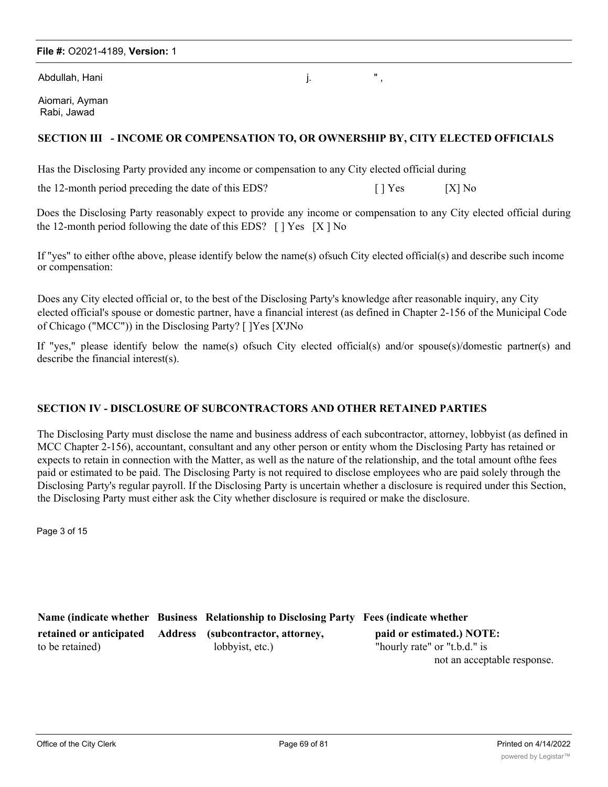Abdullah, Hani in a shekarar 1999, shekarar 1999, shekarar 1999, shekarar 1999, shekarar 1999, shekarar 1999,

Aiomari, Ayman Rabi, Jawad

#### **SECTION III - INCOME OR COMPENSATION TO, OR OWNERSHIP BY, CITY ELECTED OFFICIALS**

Has the Disclosing Party provided any income or compensation to any City elected official during

the 12-month period preceding the date of this EDS? [ ] Yes [X] No

Does the Disclosing Party reasonably expect to provide any income or compensation to any City elected official during the 12-month period following the date of this EDS?  $\lceil$  | Yes  $\lceil$  | X | No

If "yes" to either ofthe above, please identify below the name(s) ofsuch City elected official(s) and describe such income or compensation:

Does any City elected official or, to the best of the Disclosing Party's knowledge after reasonable inquiry, any City elected official's spouse or domestic partner, have a financial interest (as defined in Chapter 2-156 of the Municipal Code of Chicago ("MCC")) in the Disclosing Party? [ ]Yes [X'JNo

If "yes," please identify below the name(s) ofsuch City elected official(s) and/or spouse(s)/domestic partner(s) and describe the financial interest(s).

#### **SECTION IV - DISCLOSURE OF SUBCONTRACTORS AND OTHER RETAINED PARTIES**

The Disclosing Party must disclose the name and business address of each subcontractor, attorney, lobbyist (as defined in MCC Chapter 2-156), accountant, consultant and any other person or entity whom the Disclosing Party has retained or expects to retain in connection with the Matter, as well as the nature of the relationship, and the total amount ofthe fees paid or estimated to be paid. The Disclosing Party is not required to disclose employees who are paid solely through the Disclosing Party's regular payroll. If the Disclosing Party is uncertain whether a disclosure is required under this Section, the Disclosing Party must either ask the City whether disclosure is required or make the disclosure.

Page 3 of 15

|                 | Name (indicate whether Business Relationship to Disclosing Party Fees (indicate whether |                              |
|-----------------|-----------------------------------------------------------------------------------------|------------------------------|
|                 | retained or anticipated Address (subcontractor, attorney,                               | paid or estimated.) NOTE:    |
| to be retained) | lobbyist, etc.)                                                                         | "hourly rate" or "t.b.d." is |
|                 |                                                                                         | not an acceptable response.  |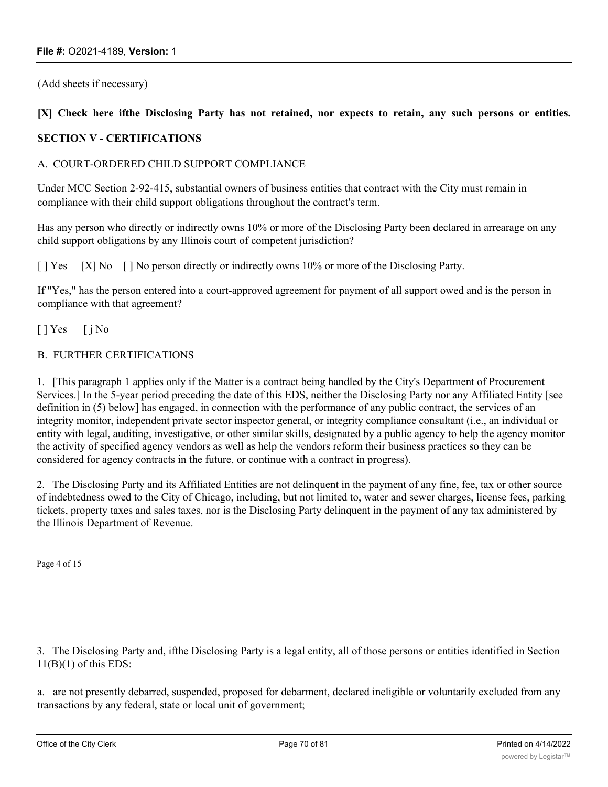(Add sheets if necessary)

#### [X] Check here ifthe Disclosing Party has not retained, nor expects to retain, any such persons or entities.

#### **SECTION V - CERTIFICATIONS**

#### A. COURT-ORDERED CHILD SUPPORT COMPLIANCE

Under MCC Section 2-92-415, substantial owners of business entities that contract with the City must remain in compliance with their child support obligations throughout the contract's term.

Has any person who directly or indirectly owns 10% or more of the Disclosing Party been declared in arrearage on any child support obligations by any Illinois court of competent jurisdiction?

[ ] Yes [X] No [ ] No person directly or indirectly owns 10% or more of the Disclosing Party.

If "Yes," has the person entered into a court-approved agreement for payment of all support owed and is the person in compliance with that agreement?

 $[ ]$  Yes  $[ ]$  No

#### B. FURTHER CERTIFICATIONS

1. [This paragraph 1 applies only if the Matter is a contract being handled by the City's Department of Procurement Services.] In the 5-year period preceding the date of this EDS, neither the Disclosing Party nor any Affiliated Entity [see definition in (5) below] has engaged, in connection with the performance of any public contract, the services of an integrity monitor, independent private sector inspector general, or integrity compliance consultant (i.e., an individual or entity with legal, auditing, investigative, or other similar skills, designated by a public agency to help the agency monitor the activity of specified agency vendors as well as help the vendors reform their business practices so they can be considered for agency contracts in the future, or continue with a contract in progress).

2. The Disclosing Party and its Affiliated Entities are not delinquent in the payment of any fine, fee, tax or other source of indebtedness owed to the City of Chicago, including, but not limited to, water and sewer charges, license fees, parking tickets, property taxes and sales taxes, nor is the Disclosing Party delinquent in the payment of any tax administered by the Illinois Department of Revenue.

Page 4 of 15

3. The Disclosing Party and, ifthe Disclosing Party is a legal entity, all of those persons or entities identified in Section  $11(B)(1)$  of this EDS:

a. are not presently debarred, suspended, proposed for debarment, declared ineligible or voluntarily excluded from any transactions by any federal, state or local unit of government;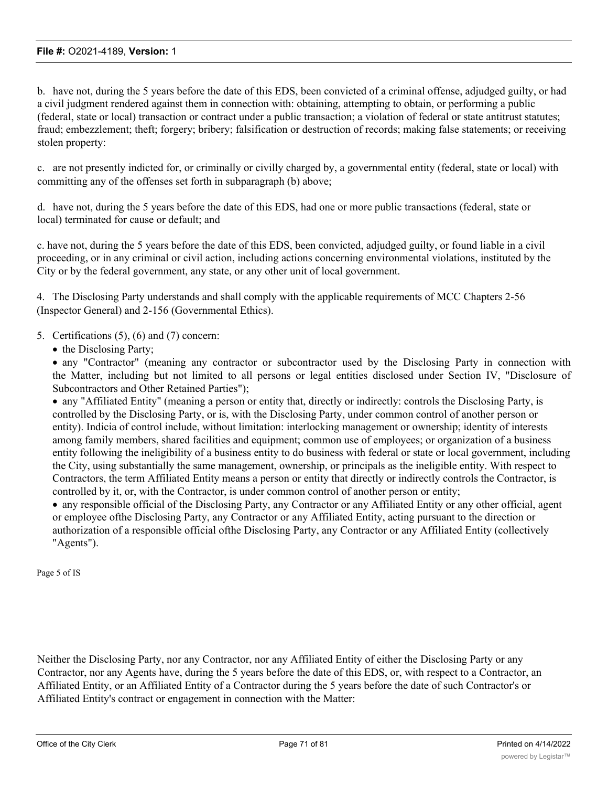b. have not, during the 5 years before the date of this EDS, been convicted of a criminal offense, adjudged guilty, or had a civil judgment rendered against them in connection with: obtaining, attempting to obtain, or performing a public (federal, state or local) transaction or contract under a public transaction; a violation of federal or state antitrust statutes; fraud; embezzlement; theft; forgery; bribery; falsification or destruction of records; making false statements; or receiving stolen property:

c. are not presently indicted for, or criminally or civilly charged by, a governmental entity (federal, state or local) with committing any of the offenses set forth in subparagraph (b) above;

d. have not, during the 5 years before the date of this EDS, had one or more public transactions (federal, state or local) terminated for cause or default; and

c. have not, during the 5 years before the date of this EDS, been convicted, adjudged guilty, or found liable in a civil proceeding, or in any criminal or civil action, including actions concerning environmental violations, instituted by the City or by the federal government, any state, or any other unit of local government.

4. The Disclosing Party understands and shall comply with the applicable requirements of MCC Chapters 2-56 (Inspector General) and 2-156 (Governmental Ethics).

#### 5. Certifications (5), (6) and (7) concern:

• the Disclosing Party;

· any "Contractor" (meaning any contractor or subcontractor used by the Disclosing Party in connection with the Matter, including but not limited to all persons or legal entities disclosed under Section IV, "Disclosure of Subcontractors and Other Retained Parties");

· any "Affiliated Entity" (meaning a person or entity that, directly or indirectly: controls the Disclosing Party, is controlled by the Disclosing Party, or is, with the Disclosing Party, under common control of another person or entity). Indicia of control include, without limitation: interlocking management or ownership; identity of interests among family members, shared facilities and equipment; common use of employees; or organization of a business entity following the ineligibility of a business entity to do business with federal or state or local government, including the City, using substantially the same management, ownership, or principals as the ineligible entity. With respect to Contractors, the term Affiliated Entity means a person or entity that directly or indirectly controls the Contractor, is controlled by it, or, with the Contractor, is under common control of another person or entity;

· any responsible official of the Disclosing Party, any Contractor or any Affiliated Entity or any other official, agent or employee ofthe Disclosing Party, any Contractor or any Affiliated Entity, acting pursuant to the direction or authorization of a responsible official ofthe Disclosing Party, any Contractor or any Affiliated Entity (collectively "Agents").

Page 5 of IS

Neither the Disclosing Party, nor any Contractor, nor any Affiliated Entity of either the Disclosing Party or any Contractor, nor any Agents have, during the 5 years before the date of this EDS, or, with respect to a Contractor, an Affiliated Entity, or an Affiliated Entity of a Contractor during the 5 years before the date of such Contractor's or Affiliated Entity's contract or engagement in connection with the Matter: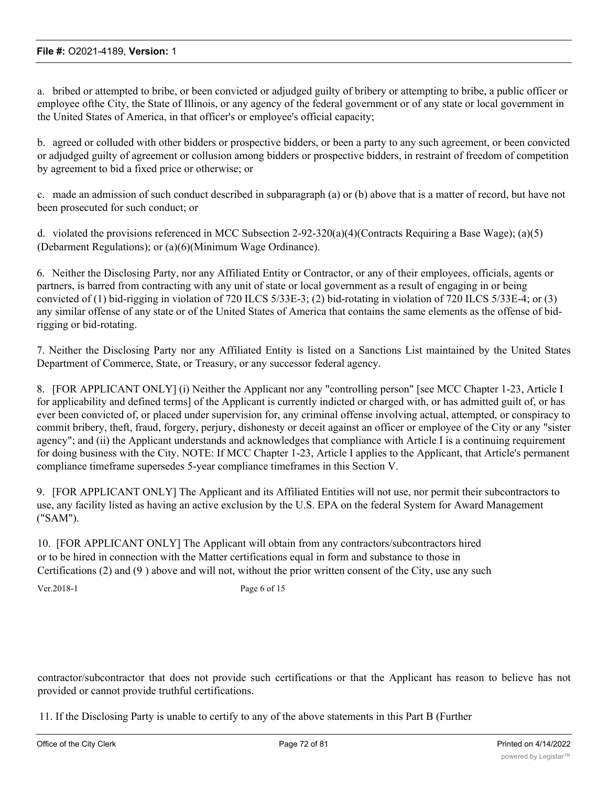a. bribed or attempted to bribe, or been convicted or adjudged guilty of bribery or attempting to bribe, a public officer or employee ofthe City, the State of Illinois, or any agency of the federal government or of any state or local government in the United States of America, in that officer's or employee's official capacity;

b. agreed or colluded with other bidders or prospective bidders, or been a party to any such agreement, or been convicted or adjudged guilty of agreement or collusion among bidders or prospective bidders, in restraint of freedom of competition by agreement to bid a fixed price or otherwise; or

c. made an admission of such conduct described in subparagraph (a) or (b) above that is a matter of record, but have not been prosecuted for such conduct; or

d. violated the provisions referenced in MCC Subsection 2-92-320(a)(4)(Contracts Requiring a Base Wage); (a)(5) (Debarment Regulations); or (a)(6)(Minimum Wage Ordinance).

6. Neither the Disclosing Party, nor any Affiliated Entity or Contractor, or any of their employees, officials, agents or partners, is barred from contracting with any unit of state or local government as a result of engaging in or being convicted of (1) bid-rigging in violation of 720 ILCS 5/33E-3; (2) bid-rotating in violation of 720 ILCS 5/33E-4; or (3) any similar offense of any state or of the United States of America that contains the same elements as the offense of bidrigging or bid-rotating.

7. Neither the Disclosing Party nor any Affiliated Entity is listed on a Sanctions List maintained by the United States Department of Commerce, State, or Treasury, or any successor federal agency.

8. [FOR APPLICANT ONLY] (i) Neither the Applicant nor any "controlling person" [see MCC Chapter 1-23, Article I for applicability and defined terms] of the Applicant is currently indicted or charged with, or has admitted guilt of, or has ever been convicted of, or placed under supervision for, any criminal offense involving actual, attempted, or conspiracy to commit bribery, theft, fraud, forgery, perjury, dishonesty or deceit against an officer or employee of the City or any "sister agency"; and (ii) the Applicant understands and acknowledges that compliance with Article I is a continuing requirement for doing business with the City. NOTE: If MCC Chapter 1-23, Article I applies to the Applicant, that Article's permanent compliance timeframe supersedes 5-year compliance timeframes in this Section V.

9. [FOR APPLICANT ONLY] The Applicant and its Affiliated Entities will not use, nor permit their subcontractors to use, any facility listed as having an active exclusion by the U.S. EPA on the federal System for Award Management ("SAM").

10. [FOR APPLICANT ONLY] The Applicant will obtain from any contractors/subcontractors hired or to be hired in connection with the Matter certifications equal in form and substance to those in Certifications (2) and (9 ) above and will not, without the prior written consent of the City, use any such

Ver.2018-1 Page 6 of 15

contractor/subcontractor that does not provide such certifications or that the Applicant has reason to believe has not provided or cannot provide truthful certifications.

11. If the Disclosing Party is unable to certify to any of the above statements in this Part B (Further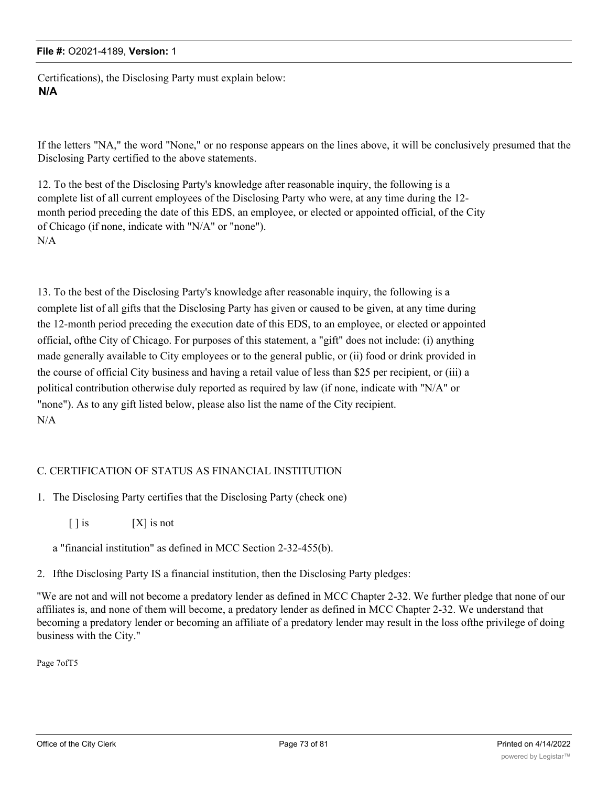Certifications), the Disclosing Party must explain below: **N/A**

If the letters "NA," the word "None," or no response appears on the lines above, it will be conclusively presumed that the Disclosing Party certified to the above statements.

12. To the best of the Disclosing Party's knowledge after reasonable inquiry, the following is a complete list of all current employees of the Disclosing Party who were, at any time during the 12 month period preceding the date of this EDS, an employee, or elected or appointed official, of the City of Chicago (if none, indicate with "N/A" or "none"). N/A

13. To the best of the Disclosing Party's knowledge after reasonable inquiry, the following is a complete list of all gifts that the Disclosing Party has given or caused to be given, at any time during the 12-month period preceding the execution date of this EDS, to an employee, or elected or appointed official, ofthe City of Chicago. For purposes of this statement, a "gift" does not include: (i) anything made generally available to City employees or to the general public, or (ii) food or drink provided in the course of official City business and having a retail value of less than \$25 per recipient, or (iii) a political contribution otherwise duly reported as required by law (if none, indicate with "N/A" or "none"). As to any gift listed below, please also list the name of the City recipient. N/A

## C. CERTIFICATION OF STATUS AS FINANCIAL INSTITUTION

- 1. The Disclosing Party certifies that the Disclosing Party (check one)
	- $[ ]$  is  $[ X ]$  is not
	- a "financial institution" as defined in MCC Section 2-32-455(b).
- 2. Ifthe Disclosing Party IS a financial institution, then the Disclosing Party pledges:

"We are not and will not become a predatory lender as defined in MCC Chapter 2-32. We further pledge that none of our affiliates is, and none of them will become, a predatory lender as defined in MCC Chapter 2-32. We understand that becoming a predatory lender or becoming an affiliate of a predatory lender may result in the loss ofthe privilege of doing business with the City."

Page 7ofT5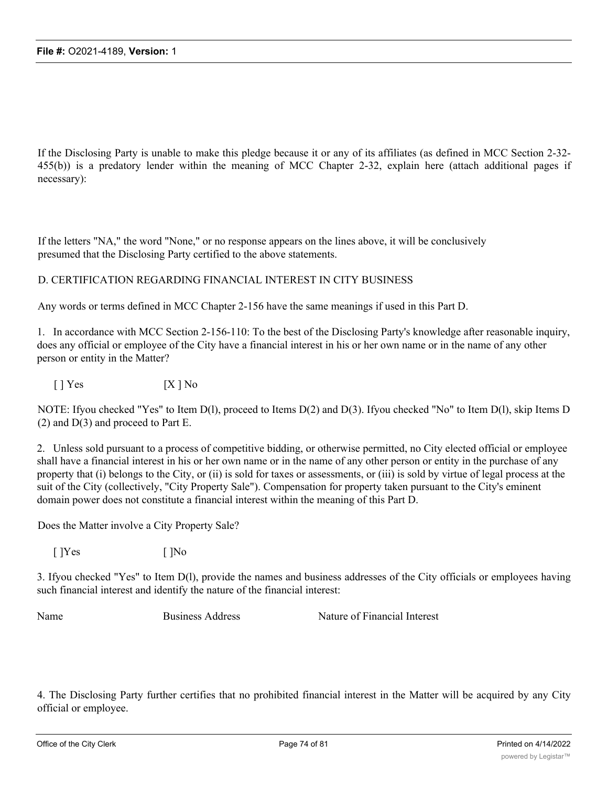If the Disclosing Party is unable to make this pledge because it or any of its affiliates (as defined in MCC Section 2-32- 455(b)) is a predatory lender within the meaning of MCC Chapter 2-32, explain here (attach additional pages if necessary):

If the letters "NA," the word "None," or no response appears on the lines above, it will be conclusively presumed that the Disclosing Party certified to the above statements.

### D. CERTIFICATION REGARDING FINANCIAL INTEREST IN CITY BUSINESS

Any words or terms defined in MCC Chapter 2-156 have the same meanings if used in this Part D.

1. In accordance with MCC Section 2-156-110: To the best of the Disclosing Party's knowledge after reasonable inquiry, does any official or employee of the City have a financial interest in his or her own name or in the name of any other person or entity in the Matter?

 $[ ]$   $\begin{bmatrix}$  Yes  $[$   $[$   $]$   $\begin{bmatrix}$   $\end{bmatrix}$  No

NOTE: Ifyou checked "Yes" to Item D(l), proceed to Items D(2) and D(3). Ifyou checked "No" to Item D(l), skip Items D (2) and D(3) and proceed to Part E.

2. Unless sold pursuant to a process of competitive bidding, or otherwise permitted, no City elected official or employee shall have a financial interest in his or her own name or in the name of any other person or entity in the purchase of any property that (i) belongs to the City, or (ii) is sold for taxes or assessments, or (iii) is sold by virtue of legal process at the suit of the City (collectively, "City Property Sale"). Compensation for property taken pursuant to the City's eminent domain power does not constitute a financial interest within the meaning of this Part D.

Does the Matter involve a City Property Sale?

 $[$  ]Yes  $[$  ]No

3. Ifyou checked "Yes" to Item D(l), provide the names and business addresses of the City officials or employees having such financial interest and identify the nature of the financial interest:

Name Business Address Nature of Financial Interest

4. The Disclosing Party further certifies that no prohibited financial interest in the Matter will be acquired by any City official or employee.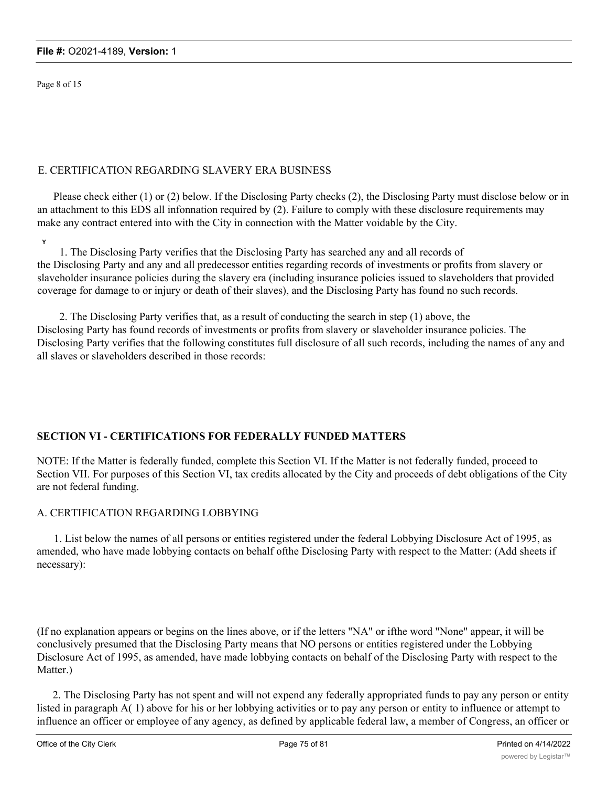Page 8 of 15

### E. CERTIFICATION REGARDING SLAVERY ERA BUSINESS

Please check either (1) or (2) below. If the Disclosing Party checks (2), the Disclosing Party must disclose below or in an attachment to this EDS all infonnation required by (2). Failure to comply with these disclosure requirements may make any contract entered into with the City in connection with the Matter voidable by the City.

**Y**

1. The Disclosing Party verifies that the Disclosing Party has searched any and all records of the Disclosing Party and any and all predecessor entities regarding records of investments or profits from slavery or slaveholder insurance policies during the slavery era (including insurance policies issued to slaveholders that provided coverage for damage to or injury or death of their slaves), and the Disclosing Party has found no such records.

2. The Disclosing Party verifies that, as a result of conducting the search in step (1) above, the Disclosing Party has found records of investments or profits from slavery or slaveholder insurance policies. The Disclosing Party verifies that the following constitutes full disclosure of all such records, including the names of any and all slaves or slaveholders described in those records:

# **SECTION VI - CERTIFICATIONS FOR FEDERALLY FUNDED MATTERS**

NOTE: If the Matter is federally funded, complete this Section VI. If the Matter is not federally funded, proceed to Section VII. For purposes of this Section VI, tax credits allocated by the City and proceeds of debt obligations of the City are not federal funding.

# A. CERTIFICATION REGARDING LOBBYING

1. List below the names of all persons or entities registered under the federal Lobbying Disclosure Act of 1995, as amended, who have made lobbying contacts on behalf ofthe Disclosing Party with respect to the Matter: (Add sheets if necessary):

(If no explanation appears or begins on the lines above, or if the letters "NA" or ifthe word "None" appear, it will be conclusively presumed that the Disclosing Party means that NO persons or entities registered under the Lobbying Disclosure Act of 1995, as amended, have made lobbying contacts on behalf of the Disclosing Party with respect to the Matter.)

2. The Disclosing Party has not spent and will not expend any federally appropriated funds to pay any person or entity listed in paragraph A( 1) above for his or her lobbying activities or to pay any person or entity to influence or attempt to influence an officer or employee of any agency, as defined by applicable federal law, a member of Congress, an officer or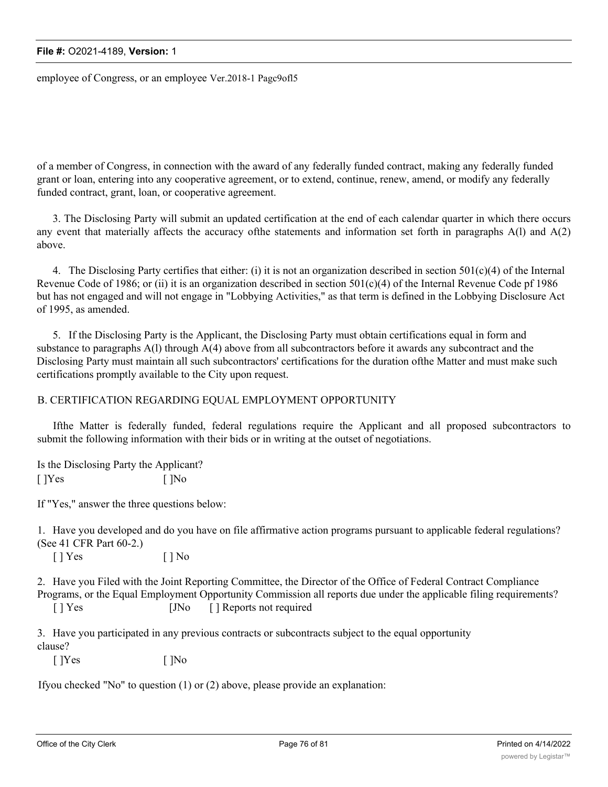employee of Congress, or an employee Ver.2018-1 Pagc9ofl5

of a member of Congress, in connection with the award of any federally funded contract, making any federally funded grant or loan, entering into any cooperative agreement, or to extend, continue, renew, amend, or modify any federally funded contract, grant, loan, or cooperative agreement.

3. The Disclosing Party will submit an updated certification at the end of each calendar quarter in which there occurs any event that materially affects the accuracy ofthe statements and information set forth in paragraphs A(l) and A(2) above.

4. The Disclosing Party certifies that either: (i) it is not an organization described in section  $501(c)(4)$  of the Internal Revenue Code of 1986; or (ii) it is an organization described in section  $501(c)(4)$  of the Internal Revenue Code pf 1986 but has not engaged and will not engage in "Lobbying Activities," as that term is defined in the Lobbying Disclosure Act of 1995, as amended.

5. If the Disclosing Party is the Applicant, the Disclosing Party must obtain certifications equal in form and substance to paragraphs A(l) through A(4) above from all subcontractors before it awards any subcontract and the Disclosing Party must maintain all such subcontractors' certifications for the duration ofthe Matter and must make such certifications promptly available to the City upon request.

#### B. CERTIFICATION REGARDING EQUAL EMPLOYMENT OPPORTUNITY

Ifthe Matter is federally funded, federal regulations require the Applicant and all proposed subcontractors to submit the following information with their bids or in writing at the outset of negotiations.

Is the Disclosing Party the Applicant?  $[$  ]Yes  $[$  ]No

If "Yes," answer the three questions below:

1. Have you developed and do you have on file affirmative action programs pursuant to applicable federal regulations? (See 41 CFR Part 60-2.)

 $[ ]$   $Yes$   $[ ]$   $No$ 

2. Have you Filed with the Joint Reporting Committee, the Director of the Office of Federal Contract Compliance Programs, or the Equal Employment Opportunity Commission all reports due under the applicable filing requirements? [ ] Yes [JNo [ ] Reports not required

3. Have you participated in any previous contracts or subcontracts subject to the equal opportunity clause?

 $[$  ]Yes  $[$  ]No

Ifyou checked "No" to question (1) or (2) above, please provide an explanation: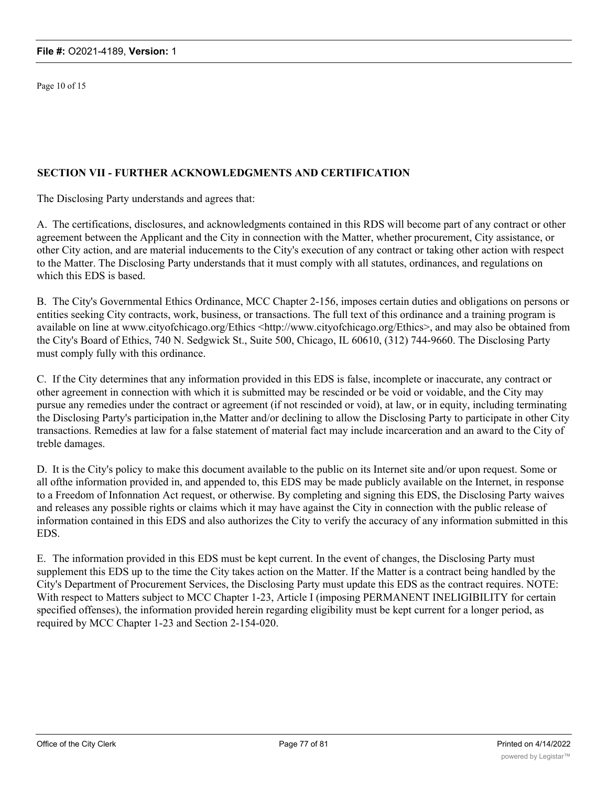Page 10 of 15

### **SECTION VII - FURTHER ACKNOWLEDGMENTS AND CERTIFICATION**

The Disclosing Party understands and agrees that:

A. The certifications, disclosures, and acknowledgments contained in this RDS will become part of any contract or other agreement between the Applicant and the City in connection with the Matter, whether procurement, City assistance, or other City action, and are material inducements to the City's execution of any contract or taking other action with respect to the Matter. The Disclosing Party understands that it must comply with all statutes, ordinances, and regulations on which this EDS is based.

B. The City's Governmental Ethics Ordinance, MCC Chapter 2-156, imposes certain duties and obligations on persons or entities seeking City contracts, work, business, or transactions. The full text of this ordinance and a training program is available on line at www.cityofchicago.org/Ethics <http://www.cityofchicago.org/Ethics>, and may also be obtained from the City's Board of Ethics, 740 N. Sedgwick St., Suite 500, Chicago, IL 60610, (312) 744-9660. The Disclosing Party must comply fully with this ordinance.

C. If the City determines that any information provided in this EDS is false, incomplete or inaccurate, any contract or other agreement in connection with which it is submitted may be rescinded or be void or voidable, and the City may pursue any remedies under the contract or agreement (if not rescinded or void), at law, or in equity, including terminating the Disclosing Party's participation in,the Matter and/or declining to allow the Disclosing Party to participate in other City transactions. Remedies at law for a false statement of material fact may include incarceration and an award to the City of treble damages.

D. It is the City's policy to make this document available to the public on its Internet site and/or upon request. Some or all ofthe information provided in, and appended to, this EDS may be made publicly available on the Internet, in response to a Freedom of Infonnation Act request, or otherwise. By completing and signing this EDS, the Disclosing Party waives and releases any possible rights or claims which it may have against the City in connection with the public release of information contained in this EDS and also authorizes the City to verify the accuracy of any information submitted in this EDS.

E. The information provided in this EDS must be kept current. In the event of changes, the Disclosing Party must supplement this EDS up to the time the City takes action on the Matter. If the Matter is a contract being handled by the City's Department of Procurement Services, the Disclosing Party must update this EDS as the contract requires. NOTE: With respect to Matters subject to MCC Chapter 1-23, Article I (imposing PERMANENT INELIGIBILITY for certain specified offenses), the information provided herein regarding eligibility must be kept current for a longer period, as required by MCC Chapter 1-23 and Section 2-154-020.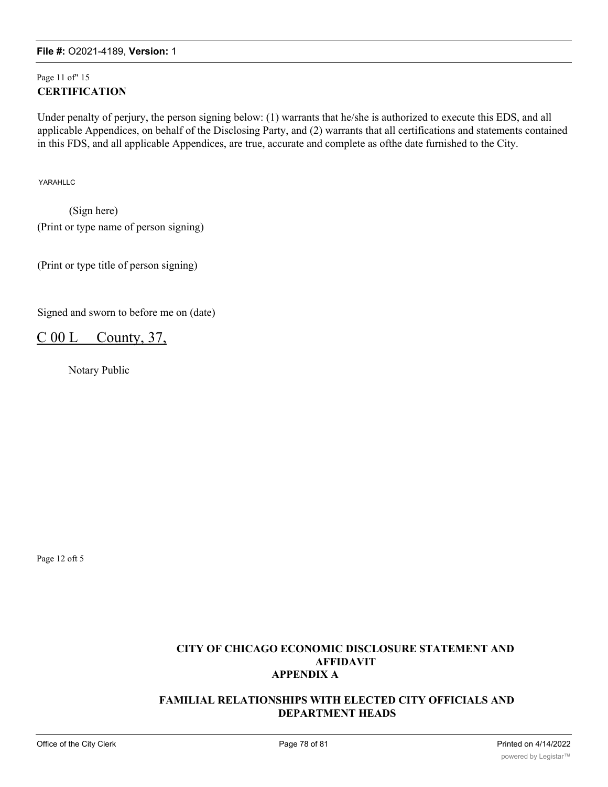# Page 11 of" 15 **CERTIFICATION**

Under penalty of perjury, the person signing below: (1) warrants that he/she is authorized to execute this EDS, and all applicable Appendices, on behalf of the Disclosing Party, and (2) warrants that all certifications and statements contained in this FDS, and all applicable Appendices, are true, accurate and complete as ofthe date furnished to the City.

YARAHLLC

(Sign here) (Print or type name of person signing)

(Print or type title of person signing)

Signed and sworn to before me on (date)

# $C 00 L$  County, 37,

Notary Public

Page 12 oft 5

# **CITY OF CHICAGO ECONOMIC DISCLOSURE STATEMENT AND AFFIDAVIT APPENDIX A**

### **FAMILIAL RELATIONSHIPS WITH ELECTED CITY OFFICIALS AND DEPARTMENT HEADS**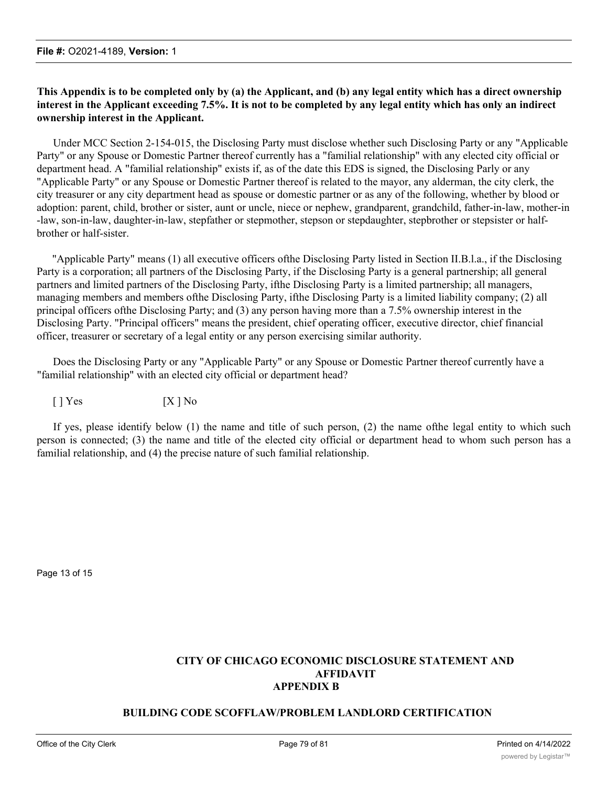### **This Appendix is to be completed only by (a) the Applicant, and (b) any legal entity which has a direct ownership interest in the Applicant exceeding 7.5%. It is not to be completed by any legal entity which has only an indirect ownership interest in the Applicant.**

Under MCC Section 2-154-015, the Disclosing Party must disclose whether such Disclosing Party or any "Applicable Party" or any Spouse or Domestic Partner thereof currently has a "familial relationship" with any elected city official or department head. A "familial relationship" exists if, as of the date this EDS is signed, the Disclosing Parly or any "Applicable Party" or any Spouse or Domestic Partner thereof is related to the mayor, any alderman, the city clerk, the city treasurer or any city department head as spouse or domestic partner or as any of the following, whether by blood or adoption: parent, child, brother or sister, aunt or uncle, niece or nephew, grandparent, grandchild, father-in-law, mother-in -law, son-in-law, daughter-in-law, stepfather or stepmother, stepson or stepdaughter, stepbrother or stepsister or halfbrother or half-sister.

"Applicable Party" means (1) all executive officers ofthe Disclosing Party listed in Section II.B.l.a., if the Disclosing Party is a corporation; all partners of the Disclosing Party, if the Disclosing Party is a general partnership; all general partners and limited partners of the Disclosing Party, ifthe Disclosing Party is a limited partnership; all managers, managing members and members ofthe Disclosing Party, ifthe Disclosing Party is a limited liability company; (2) all principal officers ofthe Disclosing Party; and (3) any person having more than a 7.5% ownership interest in the Disclosing Party. "Principal officers" means the president, chief operating officer, executive director, chief financial officer, treasurer or secretary of a legal entity or any person exercising similar authority.

Does the Disclosing Party or any "Applicable Party" or any Spouse or Domestic Partner thereof currently have a "familial relationship" with an elected city official or department head?

 $[ ] Yes$   $[ X ] No$ 

If yes, please identify below (1) the name and title of such person, (2) the name ofthe legal entity to which such person is connected; (3) the name and title of the elected city official or department head to whom such person has a familial relationship, and (4) the precise nature of such familial relationship.

Page 13 of 15

### **CITY OF CHICAGO ECONOMIC DISCLOSURE STATEMENT AND AFFIDAVIT APPENDIX B**

### **BUILDING CODE SCOFFLAW/PROBLEM LANDLORD CERTIFICATION**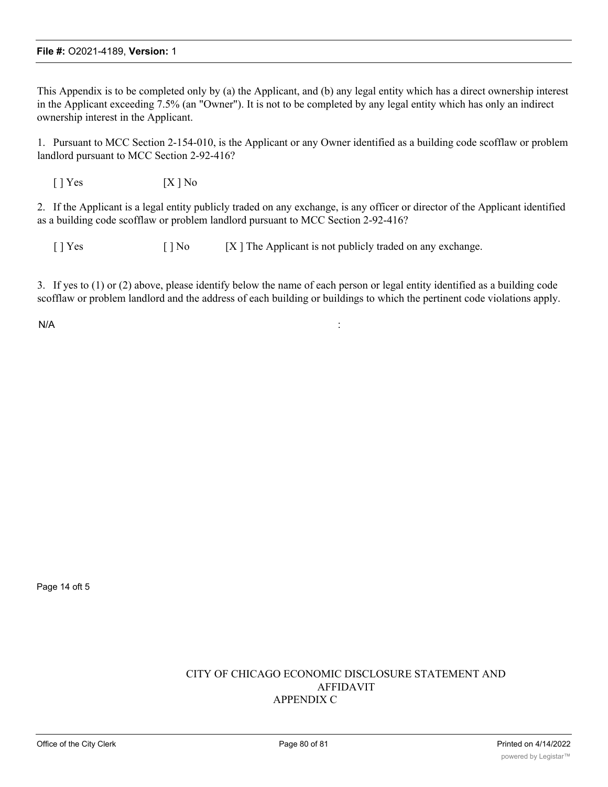This Appendix is to be completed only by (a) the Applicant, and (b) any legal entity which has a direct ownership interest in the Applicant exceeding 7.5% (an "Owner"). It is not to be completed by any legal entity which has only an indirect ownership interest in the Applicant.

1. Pursuant to MCC Section 2-154-010, is the Applicant or any Owner identified as a building code scofflaw or problem landlord pursuant to MCC Section 2-92-416?

 $[ ]$  Yes  $[ X ]$  No

2. If the Applicant is a legal entity publicly traded on any exchange, is any officer or director of the Applicant identified as a building code scofflaw or problem landlord pursuant to MCC Section 2-92-416?

[ ] Yes [ ] No [X ] The Applicant is not publicly traded on any exchange.

3. If yes to (1) or (2) above, please identify below the name of each person or legal entity identified as a building code scofflaw or problem landlord and the address of each building or buildings to which the pertinent code violations apply.

 $N/A$  :

Page 14 oft 5

### CITY OF CHICAGO ECONOMIC DISCLOSURE STATEMENT AND AFFIDAVIT APPENDIX C